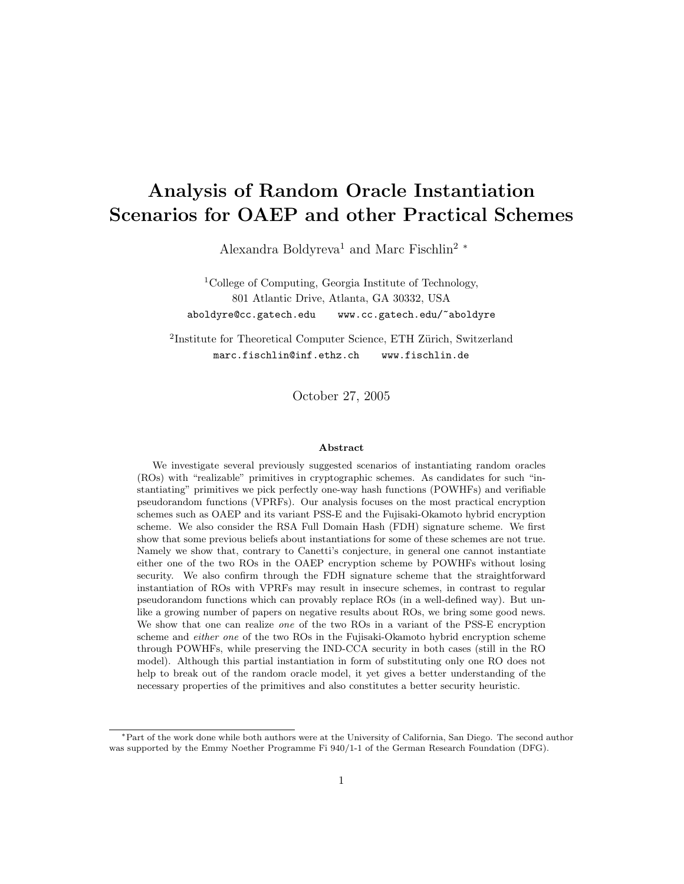# Analysis of Random Oracle Instantiation Scenarios for OAEP and other Practical Schemes

Alexandra Boldyreva<sup>1</sup> and Marc Fischlin<sup>2</sup><sup>∗</sup>

<sup>1</sup>College of Computing, Georgia Institute of Technology, 801 Atlantic Drive, Atlanta, GA 30332, USA aboldyre@cc.gatech.edu www.cc.gatech.edu/~aboldyre

<sup>2</sup>Institute for Theoretical Computer Science, ETH Zürich, Switzerland marc.fischlin@inf.ethz.ch www.fischlin.de

October 27, 2005

#### Abstract

We investigate several previously suggested scenarios of instantiating random oracles (ROs) with "realizable" primitives in cryptographic schemes. As candidates for such "instantiating" primitives we pick perfectly one-way hash functions (POWHFs) and verifiable pseudorandom functions (VPRFs). Our analysis focuses on the most practical encryption schemes such as OAEP and its variant PSS-E and the Fujisaki-Okamoto hybrid encryption scheme. We also consider the RSA Full Domain Hash (FDH) signature scheme. We first show that some previous beliefs about instantiations for some of these schemes are not true. Namely we show that, contrary to Canetti's conjecture, in general one cannot instantiate either one of the two ROs in the OAEP encryption scheme by POWHFs without losing security. We also confirm through the FDH signature scheme that the straightforward instantiation of ROs with VPRFs may result in insecure schemes, in contrast to regular pseudorandom functions which can provably replace ROs (in a well-defined way). But unlike a growing number of papers on negative results about ROs, we bring some good news. We show that one can realize *one* of the two ROs in a variant of the PSS-E encryption scheme and *either one* of the two ROs in the Fujisaki-Okamoto hybrid encryption scheme through POWHFs, while preserving the IND-CCA security in both cases (still in the RO model). Although this partial instantiation in form of substituting only one RO does not help to break out of the random oracle model, it yet gives a better understanding of the necessary properties of the primitives and also constitutes a better security heuristic.

<sup>∗</sup>Part of the work done while both authors were at the University of California, San Diego. The second author was supported by the Emmy Noether Programme Fi 940/1-1 of the German Research Foundation (DFG).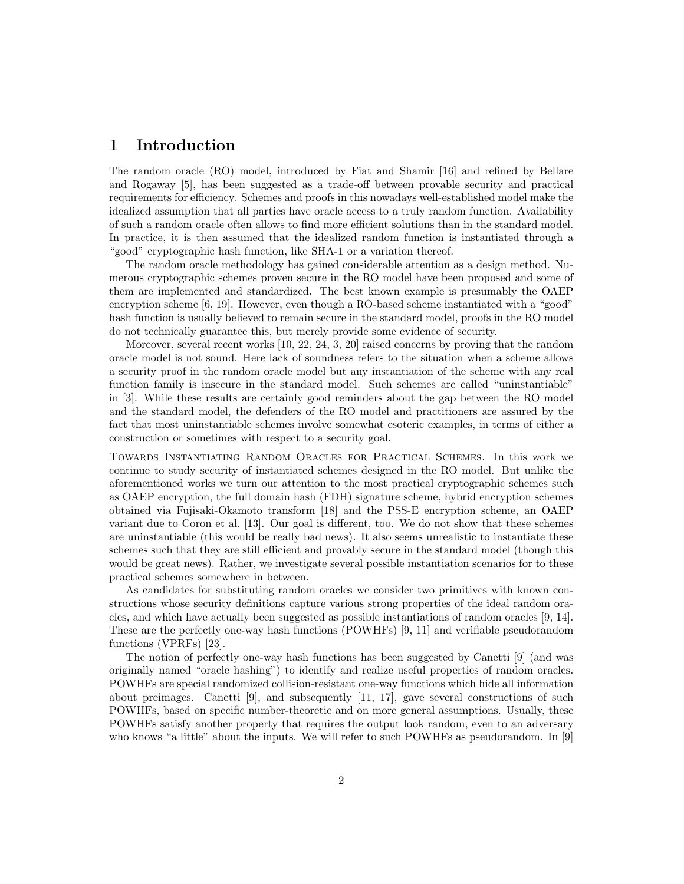## 1 Introduction

The random oracle (RO) model, introduced by Fiat and Shamir [16] and refined by Bellare and Rogaway [5], has been suggested as a trade-off between provable security and practical requirements for efficiency. Schemes and proofs in this nowadays well-established model make the idealized assumption that all parties have oracle access to a truly random function. Availability of such a random oracle often allows to find more efficient solutions than in the standard model. In practice, it is then assumed that the idealized random function is instantiated through a "good" cryptographic hash function, like SHA-1 or a variation thereof.

The random oracle methodology has gained considerable attention as a design method. Numerous cryptographic schemes proven secure in the RO model have been proposed and some of them are implemented and standardized. The best known example is presumably the OAEP encryption scheme [6, 19]. However, even though a RO-based scheme instantiated with a "good" hash function is usually believed to remain secure in the standard model, proofs in the RO model do not technically guarantee this, but merely provide some evidence of security.

Moreover, several recent works [10, 22, 24, 3, 20] raised concerns by proving that the random oracle model is not sound. Here lack of soundness refers to the situation when a scheme allows a security proof in the random oracle model but any instantiation of the scheme with any real function family is insecure in the standard model. Such schemes are called "uninstantiable" in [3]. While these results are certainly good reminders about the gap between the RO model and the standard model, the defenders of the RO model and practitioners are assured by the fact that most uninstantiable schemes involve somewhat esoteric examples, in terms of either a construction or sometimes with respect to a security goal.

Towards Instantiating Random Oracles for Practical Schemes. In this work we continue to study security of instantiated schemes designed in the RO model. But unlike the aforementioned works we turn our attention to the most practical cryptographic schemes such as OAEP encryption, the full domain hash (FDH) signature scheme, hybrid encryption schemes obtained via Fujisaki-Okamoto transform [18] and the PSS-E encryption scheme, an OAEP variant due to Coron et al. [13]. Our goal is different, too. We do not show that these schemes are uninstantiable (this would be really bad news). It also seems unrealistic to instantiate these schemes such that they are still efficient and provably secure in the standard model (though this would be great news). Rather, we investigate several possible instantiation scenarios for to these practical schemes somewhere in between.

As candidates for substituting random oracles we consider two primitives with known constructions whose security definitions capture various strong properties of the ideal random oracles, and which have actually been suggested as possible instantiations of random oracles [9, 14]. These are the perfectly one-way hash functions (POWHFs) [9, 11] and verifiable pseudorandom functions (VPRFs) [23].

The notion of perfectly one-way hash functions has been suggested by Canetti [9] (and was originally named "oracle hashing") to identify and realize useful properties of random oracles. POWHFs are special randomized collision-resistant one-way functions which hide all information about preimages. Canetti [9], and subsequently [11, 17], gave several constructions of such POWHFs, based on specific number-theoretic and on more general assumptions. Usually, these POWHFs satisfy another property that requires the output look random, even to an adversary who knows "a little" about the inputs. We will refer to such POWHFs as pseudorandom. In [9]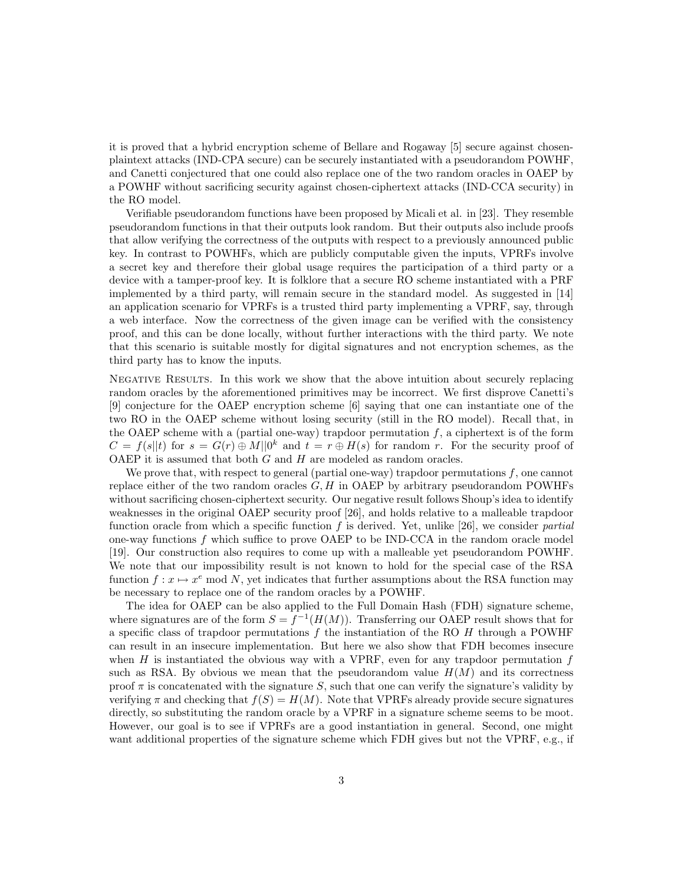it is proved that a hybrid encryption scheme of Bellare and Rogaway [5] secure against chosenplaintext attacks (IND-CPA secure) can be securely instantiated with a pseudorandom POWHF, and Canetti conjectured that one could also replace one of the two random oracles in OAEP by a POWHF without sacrificing security against chosen-ciphertext attacks (IND-CCA security) in the RO model.

Verifiable pseudorandom functions have been proposed by Micali et al. in [23]. They resemble pseudorandom functions in that their outputs look random. But their outputs also include proofs that allow verifying the correctness of the outputs with respect to a previously announced public key. In contrast to POWHFs, which are publicly computable given the inputs, VPRFs involve a secret key and therefore their global usage requires the participation of a third party or a device with a tamper-proof key. It is folklore that a secure RO scheme instantiated with a PRF implemented by a third party, will remain secure in the standard model. As suggested in [14] an application scenario for VPRFs is a trusted third party implementing a VPRF, say, through a web interface. Now the correctness of the given image can be verified with the consistency proof, and this can be done locally, without further interactions with the third party. We note that this scenario is suitable mostly for digital signatures and not encryption schemes, as the third party has to know the inputs.

NEGATIVE RESULTS. In this work we show that the above intuition about securely replacing random oracles by the aforementioned primitives may be incorrect. We first disprove Canetti's [9] conjecture for the OAEP encryption scheme [6] saying that one can instantiate one of the two RO in the OAEP scheme without losing security (still in the RO model). Recall that, in the OAEP scheme with a (partial one-way) trapdoor permutation  $f$ , a ciphertext is of the form  $C = f(s||t)$  for  $s = G(r) \oplus M||0^k$  and  $t = r \oplus H(s)$  for random r. For the security proof of OAEP it is assumed that both  $G$  and  $H$  are modeled as random oracles.

We prove that, with respect to general (partial one-way) trapdoor permutations  $f$ , one cannot replace either of the two random oracles  $G, H$  in OAEP by arbitrary pseudorandom POWHFs without sacrificing chosen-ciphertext security. Our negative result follows Shoup's idea to identify weaknesses in the original OAEP security proof [26], and holds relative to a malleable trapdoor function oracle from which a specific function f is derived. Yet, unlike [26], we consider *partial* one-way functions  $f$  which suffice to prove OAEP to be IND-CCA in the random oracle model [19]. Our construction also requires to come up with a malleable yet pseudorandom POWHF. We note that our impossibility result is not known to hold for the special case of the RSA function  $f: x \mapsto x^e \mod N$ , yet indicates that further assumptions about the RSA function may be necessary to replace one of the random oracles by a POWHF.

The idea for OAEP can be also applied to the Full Domain Hash (FDH) signature scheme, where signatures are of the form  $S = f^{-1}(H(M))$ . Transferring our OAEP result shows that for a specific class of trapdoor permutations  $f$  the instantiation of the RO  $H$  through a POWHF can result in an insecure implementation. But here we also show that FDH becomes insecure when H is instantiated the obvious way with a VPRF, even for any trapdoor permutation  $f$ such as RSA. By obvious we mean that the pseudorandom value  $H(M)$  and its correctness proof  $\pi$  is concatenated with the signature S, such that one can verify the signature's validity by verifying  $\pi$  and checking that  $f(S) = H(M)$ . Note that VPRFs already provide secure signatures directly, so substituting the random oracle by a VPRF in a signature scheme seems to be moot. However, our goal is to see if VPRFs are a good instantiation in general. Second, one might want additional properties of the signature scheme which FDH gives but not the VPRF, e.g., if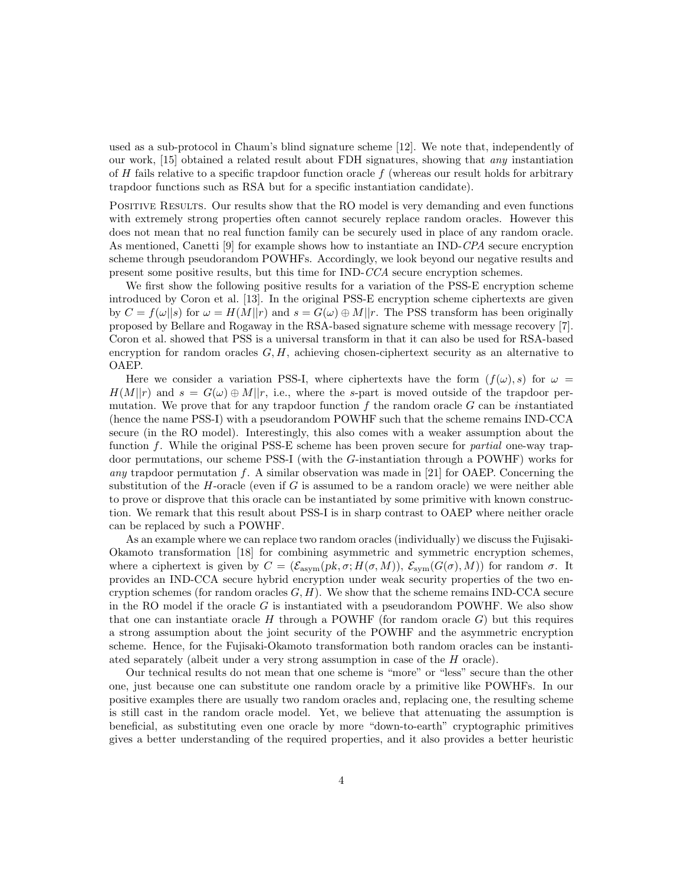used as a sub-protocol in Chaum's blind signature scheme [12]. We note that, independently of our work, [15] obtained a related result about FDH signatures, showing that any instantiation of H fails relative to a specific trapdoor function oracle  $f$  (whereas our result holds for arbitrary trapdoor functions such as RSA but for a specific instantiation candidate).

POSITIVE RESULTS. Our results show that the RO model is very demanding and even functions with extremely strong properties often cannot securely replace random oracles. However this does not mean that no real function family can be securely used in place of any random oracle. As mentioned, Canetti [9] for example shows how to instantiate an IND-CPA secure encryption scheme through pseudorandom POWHFs. Accordingly, we look beyond our negative results and present some positive results, but this time for IND-CCA secure encryption schemes.

We first show the following positive results for a variation of the PSS-E encryption scheme introduced by Coron et al. [13]. In the original PSS-E encryption scheme ciphertexts are given by  $C = f(\omega||s)$  for  $\omega = H(M||r)$  and  $s = G(\omega) \oplus M||r$ . The PSS transform has been originally proposed by Bellare and Rogaway in the RSA-based signature scheme with message recovery [7]. Coron et al. showed that PSS is a universal transform in that it can also be used for RSA-based encryption for random oracles  $G, H$ , achieving chosen-ciphertext security as an alternative to OAEP.

Here we consider a variation PSS-I, where ciphertexts have the form  $(f(\omega), s)$  for  $\omega =$  $H(M||r)$  and  $s = G(\omega) \oplus M||r$ , i.e., where the s-part is moved outside of the trapdoor permutation. We prove that for any trapdoor function  $f$  the random oracle  $G$  can be instantiated (hence the name PSS-I) with a pseudorandom POWHF such that the scheme remains IND-CCA secure (in the RO model). Interestingly, this also comes with a weaker assumption about the function f. While the original PSS-E scheme has been proven secure for *partial* one-way trapdoor permutations, our scheme PSS-I (with the G-instantiation through a POWHF) works for any trapdoor permutation f. A similar observation was made in [21] for OAEP. Concerning the substitution of the  $H$ -oracle (even if  $G$  is assumed to be a random oracle) we were neither able to prove or disprove that this oracle can be instantiated by some primitive with known construction. We remark that this result about PSS-I is in sharp contrast to OAEP where neither oracle can be replaced by such a POWHF.

As an example where we can replace two random oracles (individually) we discuss the Fujisaki-Okamoto transformation [18] for combining asymmetric and symmetric encryption schemes, where a ciphertext is given by  $C = (\mathcal{E}_{\text{asym}}(pk, \sigma; H(\sigma, M)), \mathcal{E}_{\text{sym}}(G(\sigma), M))$  for random  $\sigma$ . It provides an IND-CCA secure hybrid encryption under weak security properties of the two encryption schemes (for random oracles  $G, H$ ). We show that the scheme remains IND-CCA secure in the RO model if the oracle  $G$  is instantiated with a pseudorandom POWHF. We also show that one can instantiate oracle  $H$  through a POWHF (for random oracle  $G$ ) but this requires a strong assumption about the joint security of the POWHF and the asymmetric encryption scheme. Hence, for the Fujisaki-Okamoto transformation both random oracles can be instantiated separately (albeit under a very strong assumption in case of the H oracle).

Our technical results do not mean that one scheme is "more" or "less" secure than the other one, just because one can substitute one random oracle by a primitive like POWHFs. In our positive examples there are usually two random oracles and, replacing one, the resulting scheme is still cast in the random oracle model. Yet, we believe that attenuating the assumption is beneficial, as substituting even one oracle by more "down-to-earth" cryptographic primitives gives a better understanding of the required properties, and it also provides a better heuristic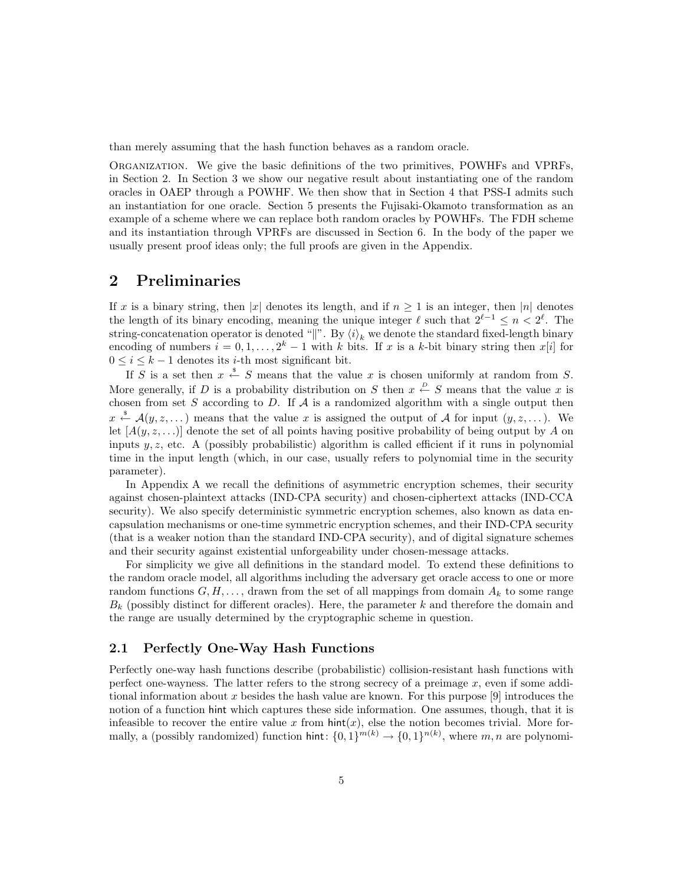than merely assuming that the hash function behaves as a random oracle.

Organization. We give the basic definitions of the two primitives, POWHFs and VPRFs, in Section 2. In Section 3 we show our negative result about instantiating one of the random oracles in OAEP through a POWHF. We then show that in Section 4 that PSS-I admits such an instantiation for one oracle. Section 5 presents the Fujisaki-Okamoto transformation as an example of a scheme where we can replace both random oracles by POWHFs. The FDH scheme and its instantiation through VPRFs are discussed in Section 6. In the body of the paper we usually present proof ideas only; the full proofs are given in the Appendix.

## 2 Preliminaries

If x is a binary string, then |x| denotes its length, and if  $n \geq 1$  is an integer, then |n| denotes the length of its binary encoding, meaning the unique integer  $\ell$  such that  $2^{\ell-1} \leq n < 2^{\ell}$ . The string-concatenation operator is denoted "|". By  $\langle i \rangle_k$  we denote the standard fixed-length binary encoding of numbers  $i = 0, 1, ..., 2^k - 1$  with k bits. If x is a k-bit binary string then  $x[i]$  for  $0 ≤ i ≤ k - 1$  denotes its *i*-th most significant bit.

If S is a set then  $x \stackrel{s}{\leftarrow} S$  means that the value x is chosen uniformly at random from S. More generally, if D is a probability distribution on S then  $x \stackrel{D}{\leftarrow} S$  means that the value x is chosen from set S according to D. If  $\mathcal A$  is a randomized algorithm with a single output then  $x \stackrel{\$}{\leftarrow} \mathcal{A}(y, z, \dots)$  means that the value x is assigned the output of A for input  $(y, z, \dots)$ . We let  $[A(y, z, \ldots)]$  denote the set of all points having positive probability of being output by A on inputs  $y, z$ , etc. A (possibly probabilistic) algorithm is called efficient if it runs in polynomial time in the input length (which, in our case, usually refers to polynomial time in the security parameter).

In Appendix A we recall the definitions of asymmetric encryption schemes, their security against chosen-plaintext attacks (IND-CPA security) and chosen-ciphertext attacks (IND-CCA security). We also specify deterministic symmetric encryption schemes, also known as data encapsulation mechanisms or one-time symmetric encryption schemes, and their IND-CPA security (that is a weaker notion than the standard IND-CPA security), and of digital signature schemes and their security against existential unforgeability under chosen-message attacks.

For simplicity we give all definitions in the standard model. To extend these definitions to the random oracle model, all algorithms including the adversary get oracle access to one or more random functions  $G, H, \ldots$ , drawn from the set of all mappings from domain  $A_k$  to some range  $B_k$  (possibly distinct for different oracles). Here, the parameter k and therefore the domain and the range are usually determined by the cryptographic scheme in question.

#### 2.1 Perfectly One-Way Hash Functions

Perfectly one-way hash functions describe (probabilistic) collision-resistant hash functions with perfect one-wayness. The latter refers to the strong secrecy of a preimage x, even if some additional information about  $x$  besides the hash value are known. For this purpose  $[9]$  introduces the notion of a function hint which captures these side information. One assumes, though, that it is infeasible to recover the entire value x from  $\text{hint}(x)$ , else the notion becomes trivial. More formally, a (possibly randomized) function hint:  $\{0,1\}^{m(k)} \to \{0,1\}^{n(k)}$ , where m, n are polynomi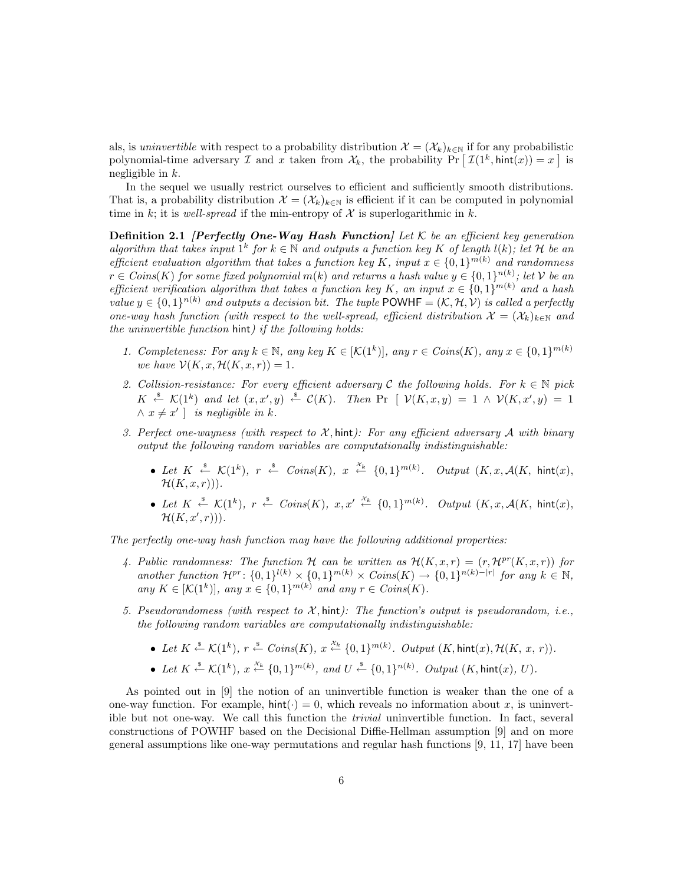als, is uninvertible with respect to a probability distribution  $\mathcal{X} = (\mathcal{X}_k)_{k \in \mathbb{N}}$  if for any probabilistic polynomial-time adversary  $\mathcal I$  and  $x$  taken from  $\mathcal X_k$ , the probability  $\Pr[\mathcal I(1^k,\textsf{hint}(x)) = x]$  is negligible in  $k$ .

In the sequel we usually restrict ourselves to efficient and sufficiently smooth distributions. That is, a probability distribution  $\mathcal{X} = (\mathcal{X}_k)_{k \in \mathbb{N}}$  is efficient if it can be computed in polynomial time in k; it is well-spread if the min-entropy of  $X$  is superlogarithmic in k.

**Definition 2.1 [Perfectly One-Way Hash Function]** Let  $K$  be an efficient key generation algorithm that takes input  $1^k$  for  $k \in \mathbb{N}$  and outputs a function key K of length  $l(k)$ ; let H be an efficient evaluation algorithm that takes a function key K, input  $x \in \{0,1\}^{m(k)}$  and randomness  $r \in \mathit{Coins}(K)$  for some fixed polynomial  $m(k)$  and returns a hash value  $y \in \{0,1\}^{n(k)}$ ; let  $\mathcal V$  be an efficient verification algorithm that takes a function key K, an input  $x \in \{0,1\}^{m(k)}$  and a hash value  $y \in \{0,1\}^{n(k)}$  and outputs a decision bit. The tuple POWHF =  $(\mathcal{K}, \mathcal{H}, \mathcal{V})$  is called a perfectly one-way hash function (with respect to the well-spread, efficient distribution  $\mathcal{X} = (\mathcal{X}_k)_{k \in \mathbb{N}}$  and the uninvertible function hint) if the following holds:

- 1. Completeness: For any  $k \in \mathbb{N}$ , any key  $K \in [\mathcal{K}(1^k)]$ , any  $r \in \text{Coins}(K)$ , any  $x \in \{0,1\}^{m(k)}$ we have  $V(K, x, \mathcal{H}(K, x, r)) = 1$ .
- 2. Collision-resistance: For every efficient adversary C the following holds. For  $k \in \mathbb{N}$  pick  $K \stackrel{\$}{\leftarrow} \mathcal{K}(1^k)$  and let  $(x, x', y) \stackrel{\$}{\leftarrow} \mathcal{C}(K)$ . Then Pr  $[\mathcal{V}(K, x, y) = 1 \land \mathcal{V}(K, x', y) = 1]$  $\wedge x \neq x' \mid$  is negligible in k.
- 3. Perfect one-wayness (with respect to  $\mathcal{X}$ , hint): For any efficient adversary  $\mathcal{A}$  with binary output the following random variables are computationally indistinguishable:
	- Let  $K \stackrel{\$}{\leftarrow} \mathcal{K}(1^k)$ ,  $r \stackrel{\$}{\leftarrow} \text{Cons}(K)$ ,  $x \stackrel{x_k}{\leftarrow} \{0,1\}^{m(k)}$ . Output  $(K, x, \mathcal{A}(K, \text{hint}(x))$ .  $\mathcal{H}(K, x, r))$ .
	- Let  $K \stackrel{\$}{\leftarrow} \mathcal{K}(1^k)$ ,  $r \stackrel{\$}{\leftarrow} \text{Cons}(K)$ ,  $x, x' \stackrel{\mathcal{X}_k}{\leftarrow} \{0,1\}^{m(k)}$ . Output  $(K, x, \mathcal{A}(K, \text{hint}(x)),$  $\mathcal{H}(K, x', r))$ .

The perfectly one-way hash function may have the following additional properties:

- 4. Public randomness: The function H can be written as  $\mathcal{H}(K, x, r) = (r, \mathcal{H}^{pr}(K, x, r))$  for another function  $\mathcal{H}^{pr} \colon \{0,1\}^{l(k)} \times \{0,1\}^{m(k)} \times \text{Coins}(K) \to \{0,1\}^{n(k)-|r|}$  for any  $k \in \mathbb{N}$ , any  $K \in [\mathcal{K}(1^k)],$  any  $x \in \{0,1\}^{m(k)}$  and any  $r \in \text{Coins}(K)$ .
- 5. Pseudorandomess (with respect to  $\mathcal{X},$  hint): The function's output is pseudorandom, i.e., the following random variables are computationally indistinguishable:
	- Let  $K \xleftarrow{\$} \mathcal{K}(1^k)$ ,  $r \xleftarrow{\$} \text{Cons}(K)$ ,  $x \xleftarrow{\mathcal{X}_k} \{0,1\}^{m(k)}$ . Output  $(K, \text{hint}(x), \mathcal{H}(K, x, r))$ .
	- Let  $K \xleftarrow{\$} \mathcal{K}(1^k)$ ,  $x \xleftarrow{\mathcal{X}_k} \{0,1\}^{m(k)}$ , and  $U \xleftarrow{\$} \{0,1\}^{n(k)}$ . Output  $(K, \text{hint}(x), U)$ .

As pointed out in [9] the notion of an uninvertible function is weaker than the one of a one-way function. For example,  $\text{hint}(\cdot) = 0$ , which reveals no information about x, is uninvertible but not one-way. We call this function the trivial uninvertible function. In fact, several constructions of POWHF based on the Decisional Diffie-Hellman assumption [9] and on more general assumptions like one-way permutations and regular hash functions [9, 11, 17] have been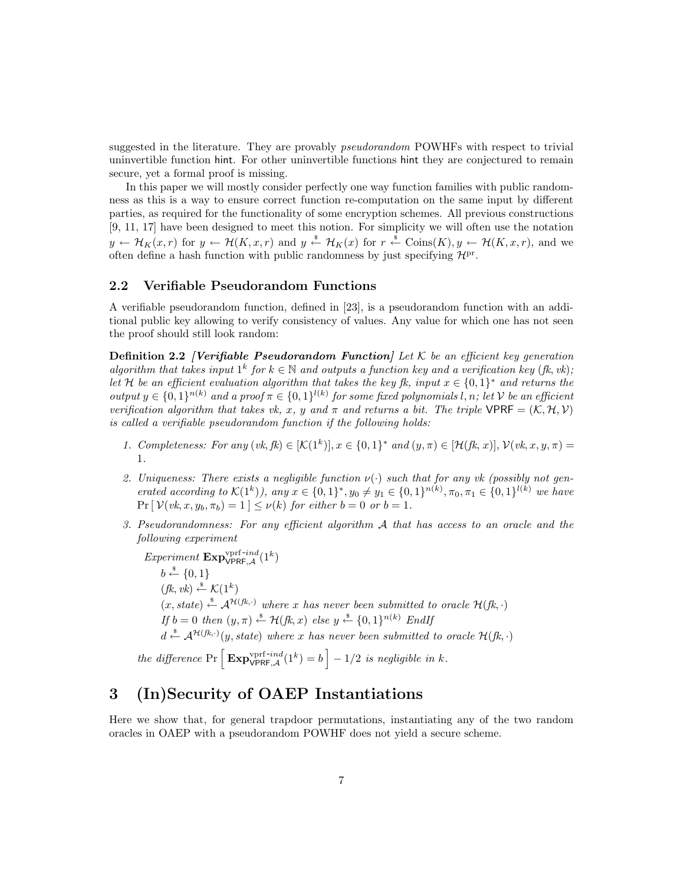suggested in the literature. They are provably *pseudorandom* POWHFs with respect to trivial uninvertible function hint. For other uninvertible functions hint they are conjectured to remain secure, yet a formal proof is missing.

In this paper we will mostly consider perfectly one way function families with public randomness as this is a way to ensure correct function re-computation on the same input by different parties, as required for the functionality of some encryption schemes. All previous constructions [9, 11, 17] have been designed to meet this notion. For simplicity we will often use the notation  $y \leftarrow \mathcal{H}_K(x,r)$  for  $y \leftarrow \mathcal{H}(K,x,r)$  and  $y \stackrel{\$}{\leftarrow} \mathcal{H}_K(x)$  for  $r \stackrel{\$}{\leftarrow} \text{Coins}(K), y \leftarrow \mathcal{H}(K,x,r)$ , and we often define a hash function with public randomness by just specifying  $\mathcal{H}^{\text{pr}}$ .

#### 2.2 Verifiable Pseudorandom Functions

A verifiable pseudorandom function, defined in [23], is a pseudorandom function with an additional public key allowing to verify consistency of values. Any value for which one has not seen the proof should still look random:

**Definition 2.2** *[Verifiable Pseudorandom Function]* Let  $K$  be an efficient key generation algorithm that takes input  $1^k$  for  $k \in \mathbb{N}$  and outputs a function key and a verification key (fk, vk); let H be an efficient evaluation algorithm that takes the key fk, input  $x \in \{0,1\}^*$  and returns the output  $y \in \{0,1\}^{n(k)}$  and a proof  $\pi \in \{0,1\}^{l(k)}$  for some fixed polynomials l, n; let V be an efficient verification algorithm that takes vk, x, y and  $\pi$  and returns a bit. The triple VPRF =  $(K, \mathcal{H}, V)$ is called a verifiable pseudorandom function if the following holds:

- 1. Completeness: For any  $(vk, fk) \in [\mathcal{K}(1^k)], x \in \{0, 1\}^*$  and  $(y, \pi) \in [\mathcal{H}(fk, x)], \mathcal{V}(vk, x, y, \pi) =$ 1.
- 2. Uniqueness: There exists a negligible function  $\nu(\cdot)$  such that for any vk (possibly not generated according to  $\mathcal{K}(1^k)$ , any  $x \in \{0,1\}^*, y_0 \neq y_1 \in \{0,1\}^{n(k)}, \pi_0, \pi_1 \in \{0,1\}^{l(k)}$  we have  $Pr[\mathcal{V}(vk, x, y_b, \pi_b) = 1] \leq \nu(k)$  for either  $b = 0$  or  $b = 1$ .
- 3. Pseudorandomness: For any efficient algorithm A that has access to an oracle and the following experiment

Experiment  $\text{Exp}_{\text{VPRF},\mathcal{A}}^{\text{vprf-ind}}(1^k)$  $b \stackrel{\hspace{0.1em}\mathsf{\scriptscriptstyle\$}}{\leftarrow} \{0,1\}$  $(fk, vk) \stackrel{\$}{\leftarrow} \mathcal{K}(1^k)$  $(x, state) \stackrel{\text{s}}{\leftarrow} \mathcal{A}^{\mathcal{H}(fk, \cdot)}$  where x has never been submitted to oracle  $\mathcal{H}(fk, \cdot)$ If  $b = 0$  then  $(y, \pi) \stackrel{\$}{\leftarrow} \mathcal{H}(fk, x)$  else  $y \stackrel{\$}{\leftarrow} \{0, 1\}^{n(k)}$  EndIf  $d \stackrel{\$}{\leftarrow} \mathcal{A}^{\mathcal{H}(fk,\cdot)}(y,\text{state})$  where x has never been submitted to oracle  $\mathcal{H}(fk,\cdot)$ 

the difference  $Pr\left[\right. \mathbf{Exp}_{\mathsf{VPRF},\mathcal{A}}^{\text{vprf-ind}}(1^k) = b \right] - 1/2$  is negligible in k.

# 3 (In)Security of OAEP Instantiations

Here we show that, for general trapdoor permutations, instantiating any of the two random oracles in OAEP with a pseudorandom POWHF does not yield a secure scheme.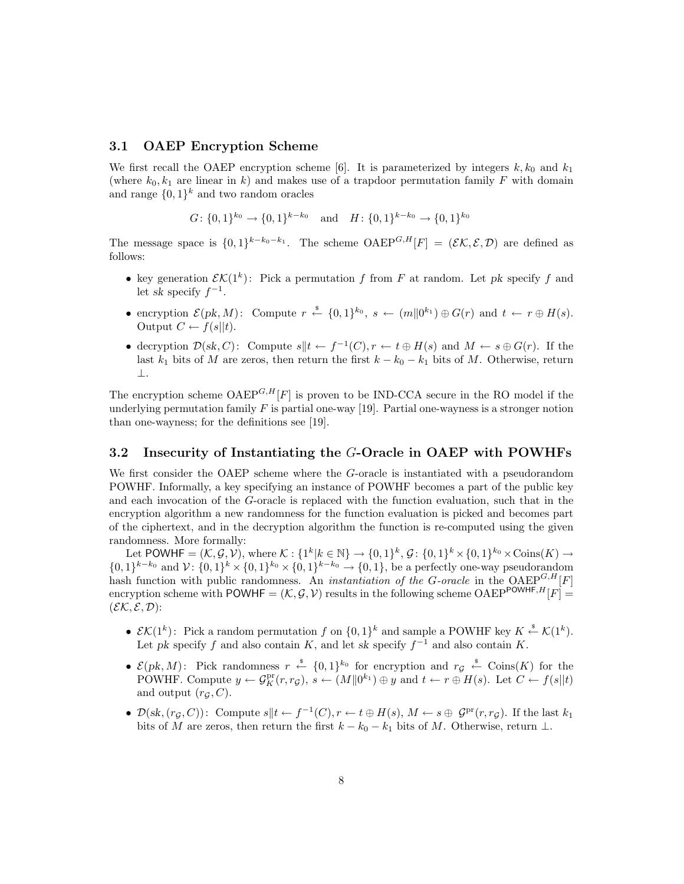#### 3.1 OAEP Encryption Scheme

We first recall the OAEP encryption scheme [6]. It is parameterized by integers  $k, k_0$  and  $k_1$ (where  $k_0, k_1$  are linear in k) and makes use of a trapdoor permutation family F with domain and range  $\{0,1\}^k$  and two random oracles

$$
G: \{0,1\}^{k_0} \to \{0,1\}^{k-k_0}
$$
 and  $H: \{0,1\}^{k-k_0} \to \{0,1\}^{k_0}$ 

The message space is  $\{0,1\}^{k-k_0-k_1}$ . The scheme  $OAEP^{G,H}[F] = (\mathcal{EK}, \mathcal{E}, \mathcal{D})$  are defined as follows:

- key generation  $\mathcal{EK}(1^k)$ : Pick a permutation f from F at random. Let pk specify f and let sk specify  $f^{-1}$ .
- encryption  $\mathcal{E}(pk, M)$ : Compute  $r \stackrel{\$}{\leftarrow} \{0, 1\}^{k_0}, s \leftarrow (m||0^{k_1}) \oplus G(r)$  and  $t \leftarrow r \oplus H(s)$ . Output  $C \leftarrow f(s||t)$ .
- decryption  $\mathcal{D}(sk, C)$ : Compute  $s \mid t \leftarrow f^{-1}(C), r \leftarrow t \oplus H(s)$  and  $M \leftarrow s \oplus G(r)$ . If the last  $k_1$  bits of M are zeros, then return the first  $k - k_0 - k_1$  bits of M. Otherwise, return ⊥.

The encryption scheme  $OAEP^{G,H}[F]$  is proven to be IND-CCA secure in the RO model if the underlying permutation family  $F$  is partial one-way [19]. Partial one-wayness is a stronger notion than one-wayness; for the definitions see [19].

#### 3.2 Insecurity of Instantiating the G-Oracle in OAEP with POWHFs

We first consider the OAEP scheme where the G-oracle is instantiated with a pseudorandom POWHF. Informally, a key specifying an instance of POWHF becomes a part of the public key and each invocation of the G-oracle is replaced with the function evaluation, such that in the encryption algorithm a new randomness for the function evaluation is picked and becomes part of the ciphertext, and in the decryption algorithm the function is re-computed using the given randomness. More formally:

Let POWHF =  $(\mathcal{K}, \mathcal{G}, \mathcal{V})$ , where  $\mathcal{K}: \{1^k | k \in \mathbb{N}\} \to \{0, 1\}^k$ ,  $\mathcal{G}: \{0, 1\}^k \times \{0, 1\}^{k_0} \times \text{Coins}(K) \to$  $\{0,1\}^{k-k_0}$  and  $\mathcal{V}: \{0,1\}^k \times \{0,1\}^{k_0} \times \{0,1\}^{k-k_0} \to \{0,1\}$ , be a perfectly one-way pseudorandom hash function with public randomness. An *instantiation of the G-oracle* in the  $O A E P^{G,H}[F]$ encryption scheme with POWHF =  $(K, \mathcal{G}, V)$  results in the following scheme OAEP<sup>POWHF, H</sup>[F] =  $(\mathcal{EK}, \mathcal{E}, \mathcal{D})$ :

- $\mathcal{EK}(1^k)$ : Pick a random permutation f on  $\{0,1\}^k$  and sample a POWHF key  $K \stackrel{\$}{\leftarrow} \mathcal{K}(1^k)$ . Let pk specify f and also contain K, and let sk specify  $f^{-1}$  and also contain K.
- $\mathcal{E}(pk, M)$ : Pick randomness  $r \stackrel{\$}{\leftarrow} \{0,1\}^{k_0}$  for encryption and  $r_{\mathcal{G}} \stackrel{\$}{\leftarrow} \text{Coins}(K)$  for the POWHF. Compute  $y \leftarrow \mathcal{G}_K^{\text{pr}}(r, r_{\mathcal{G}}), s \leftarrow (M \| 0^{k_1}) \oplus y$  and  $t \leftarrow r \oplus H(s)$ . Let  $C \leftarrow f(s || t)$ and output  $(r_G, C)$ .
- $\mathcal{D}(sk, (r_g, C))$ : Compute  $s \mid t \leftarrow f^{-1}(C), r \leftarrow t \oplus H(s), M \leftarrow s \oplus \mathcal{G}^{\text{pr}}(r, r_g)$ . If the last  $k_1$ bits of M are zeros, then return the first  $k - k_0 - k_1$  bits of M. Otherwise, return  $\perp$ .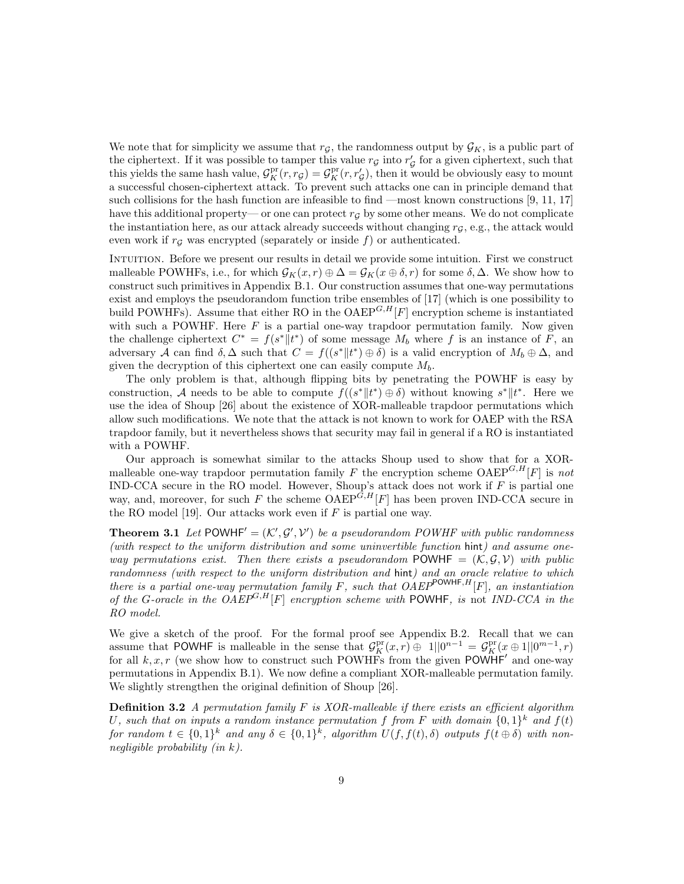We note that for simplicity we assume that  $r_{\mathcal{G}}$ , the randomness output by  $\mathcal{G}_K$ , is a public part of the ciphertext. If it was possible to tamper this value  $r_g$  into  $r'_g$  for a given ciphertext, such that this yields the same hash value,  $\mathcal{G}_K^{\text{pr}}(r,r_{\mathcal{G}}) = \mathcal{G}_K^{\text{pr}}(r,r_{\mathcal{G}}')$ , then it would be obviously easy to mount a successful chosen-ciphertext attack. To prevent such attacks one can in principle demand that such collisions for the hash function are infeasible to find —most known constructions [9, 11, 17] have this additional property— or one can protect  $r<sub>G</sub>$  by some other means. We do not complicate the instantiation here, as our attack already succeeds without changing  $r<sub>G</sub>$ , e.g., the attack would even work if  $r<sub>G</sub>$  was encrypted (separately or inside f) or authenticated.

Intuition. Before we present our results in detail we provide some intuition. First we construct malleable POWHFs, i.e., for which  $\mathcal{G}_K(x, r) \oplus \Delta = \mathcal{G}_K(x \oplus \delta, r)$  for some  $\delta, \Delta$ . We show how to construct such primitives in Appendix B.1. Our construction assumes that one-way permutations exist and employs the pseudorandom function tribe ensembles of [17] (which is one possibility to build POWHFs). Assume that either RO in the OAEP $^{G,H}[F]$  encryption scheme is instantiated with such a POWHF. Here  $F$  is a partial one-way trapdoor permutation family. Now given the challenge ciphertext  $C^* = f(s^*||t^*)$  of some message  $M_b$  where f is an instance of F, an adversary A can find  $\delta, \Delta$  such that  $C = f((s^*|| t^*) \oplus \delta)$  is a valid encryption of  $M_b \oplus \Delta$ , and given the decryption of this ciphertext one can easily compute  $M_b$ .

The only problem is that, although flipping bits by penetrating the POWHF is easy by construction, A needs to be able to compute  $f((s^*||t^*) \oplus \delta)$  without knowing  $s^*||t^*$ . Here we use the idea of Shoup [26] about the existence of XOR-malleable trapdoor permutations which allow such modifications. We note that the attack is not known to work for OAEP with the RSA trapdoor family, but it nevertheless shows that security may fail in general if a RO is instantiated with a POWHF.

Our approach is somewhat similar to the attacks Shoup used to show that for a XORmalleable one-way trapdoor permutation family F the encryption scheme  $O A E P^{G,H}[F]$  is not IND-CCA secure in the RO model. However, Shoup's attack does not work if F is partial one way, and, moreover, for such F the scheme  $O A E P^{G,H}[F]$  has been proven IND-CCA secure in the RO model [19]. Our attacks work even if  $F$  is partial one way.

**Theorem 3.1** Let POWHF' =  $(K', \mathcal{G}', \mathcal{V}')$  be a pseudorandom POWHF with public randomness (with respect to the uniform distribution and some uninvertible function hint) and assume oneway permutations exist. Then there exists a pseudorandom POWHF =  $(K, \mathcal{G}, \mathcal{V})$  with public randomness (with respect to the uniform distribution and hint) and an oracle relative to which there is a partial one-way permutation family F, such that  $OAEP^{\text{POWHF},H}[F]$ , an instantiation of the G-oracle in the  $OAEP^{G,H}[F]$  encryption scheme with POWHF, is not IND-CCA in the RO model.

We give a sketch of the proof. For the formal proof see Appendix B.2. Recall that we can assume that POWHF is malleable in the sense that  $\mathcal{G}_K^{\text{pr}}(x,r) \oplus 1||0^{n-1} = \mathcal{G}_K^{\text{pr}}(x \oplus 1||0^{m-1},r)$ for all  $k, x, r$  (we show how to construct such POWHFs from the given POWHF' and one-way permutations in Appendix B.1). We now define a compliant XOR-malleable permutation family. We slightly strengthen the original definition of Shoup [26].

**Definition 3.2** A permutation family F is XOR-malleable if there exists an efficient algorithm U, such that on inputs a random instance permutation f from F with domain  $\{0,1\}^k$  and  $f(t)$ for random  $t \in \{0,1\}^k$  and any  $\delta \in \{0,1\}^k$ , algorithm  $U(f, f(t), \delta)$  outputs  $f(t \oplus \delta)$  with nonnegligible probability  $(in k)$ .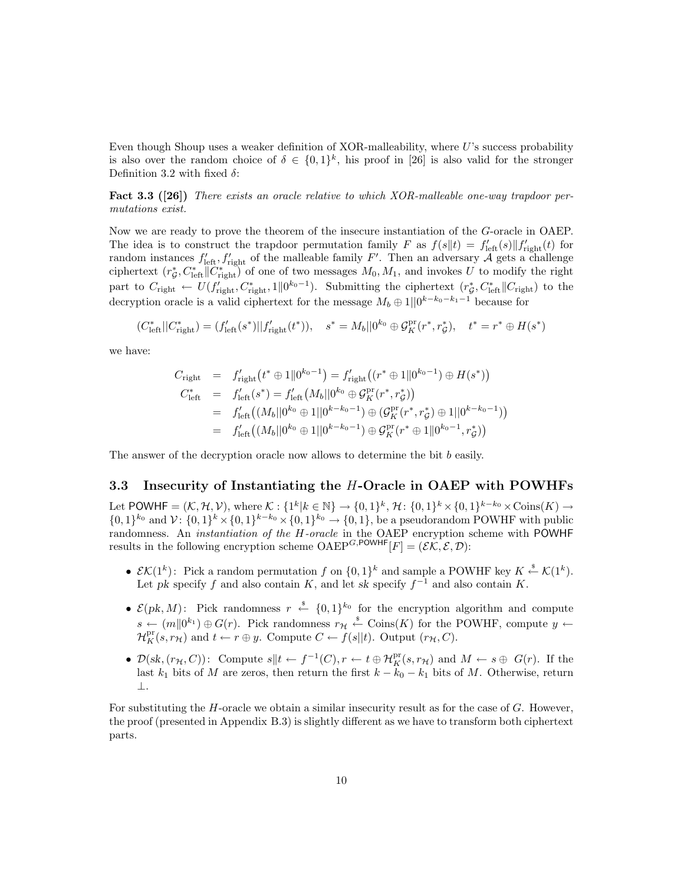Even though Shoup uses a weaker definition of XOR-malleability, where  $U$ 's success probability is also over the random choice of  $\delta \in \{0,1\}^k$ , his proof in [26] is also valid for the stronger Definition 3.2 with fixed  $\delta$ :

Fact 3.3 ([26]) There exists an oracle relative to which XOR-malleable one-way trapdoor permutations exist.

Now we are ready to prove the theorem of the insecure instantiation of the G-oracle in OAEP. The idea is to construct the trapdoor permutation family F as  $f(s||t) = f'_{\text{left}}(s)||f'_{\text{right}}(t)$  for random instances  $f'_{\text{left}}$ ,  $f'_{\text{right}}$  of the malleable family F'. Then an adversary A gets a challenge ciphertext  $(r^*_{\mathcal{G}}, C^*_{\text{left}}||C^*_{\text{right}})$  of one of two messages  $M_0, M_1$ , and invokes U to modify the right part to  $C_{\text{right}} \leftarrow U(f'_{\text{right}}, C^*_{\text{right}}, 1||0^{k_0-1})$ . Submitting the ciphertext  $(r^*_{\mathcal{G}}, C^*_{\text{left}}||C_{\text{right}})$  to the decryption oracle is a valid ciphertext for the message  $M_b \oplus 1||0^{k-k_0-k_1-1}$  because for

$$
(C_{\text{left}}^*||C_{\text{right}}^*) = (f_{\text{left}}'(s^*)||f_{\text{right}}'(t^*)), \quad s^* = M_b||0^{k_0} \oplus \mathcal{G}_K^{\text{pr}}(r^*, r_g^*), \quad t^* = r^* \oplus H(s^*)
$$

we have:

$$
C_{\text{right}} = f'_{\text{right}}(t^* \oplus 1 \parallel 0^{k_0 - 1}) = f'_{\text{right}}((r^* \oplus 1 \parallel 0^{k_0 - 1}) \oplus H(s^*))
$$
  
\n
$$
C_{\text{left}}^* = f'_{\text{left}}(s^*) = f'_{\text{left}}(M_b \parallel 0^{k_0} \oplus \mathcal{G}_K^{\text{pr}}(r^*, r^*_\mathcal{G}))
$$
  
\n
$$
= f'_{\text{left}}((M_b \parallel 0^{k_0} \oplus 1 \parallel 0^{k - k_0 - 1}) \oplus (\mathcal{G}_K^{\text{pr}}(r^*, r^*_\mathcal{G}) \oplus 1 \parallel 0^{k - k_0 - 1}))
$$
  
\n
$$
= f'_{\text{left}}((M_b \parallel 0^{k_0} \oplus 1 \parallel 0^{k - k_0 - 1}) \oplus \mathcal{G}_K^{\text{pr}}(r^* \oplus 1 \parallel 0^{k_0 - 1}, r^*_\mathcal{G}))
$$

The answer of the decryption oracle now allows to determine the bit b easily.

#### 3.3 Insecurity of Instantiating the H-Oracle in OAEP with POWHFs

Let POWHF =  $(K, \mathcal{H}, \mathcal{V})$ , where  $\mathcal{K}: \{1^k | k \in \mathbb{N}\} \to \{0, 1\}^k$ ,  $\mathcal{H}: \{0, 1\}^{k} \times \{0, 1\}^{k-k_0} \times \text{Coins}(K) \to$  $\{0,1\}^{k_0}$  and  $\mathcal{V}: \{0,1\}^k \times \{0,1\}^{k-k_0} \times \{0,1\}^{k_0} \to \{0,1\}$ , be a pseudorandom POWHF with public randomness. An *instantiation of the H-oracle* in the OAEP encryption scheme with POWHF results in the following encryption scheme  $OAEP^{G,POWHF}[F] = (\mathcal{EK}, \mathcal{E}, \mathcal{D})$ :

- $\mathcal{EK}(1^k)$ : Pick a random permutation f on  $\{0,1\}^k$  and sample a POWHF key  $K \stackrel{\$}{\leftarrow} \mathcal{K}(1^k)$ . Let pk specify f and also contain K, and let sk specify  $f^{-1}$  and also contain K.
- $\mathcal{E}(pk, M)$ : Pick randomness  $r \stackrel{\$}{\leftarrow} \{0,1\}^{k_0}$  for the encryption algorithm and compute  $s \leftarrow (m||0^{k_1}) \oplus G(r)$ . Pick randomness  $r_{\mathcal{H}} \stackrel{\text{*}}{\leftarrow} \text{Coins}(K)$  for the POWHF, compute  $y \leftarrow$  $\mathcal{H}_K^{\text{pr}}(s,r_{\mathcal{H}})$  and  $t \leftarrow r \oplus y$ . Compute  $C \leftarrow f(s||t)$ . Output  $(r_{\mathcal{H}}, C)$ .
- $\mathcal{D}(sk, (r_H, C))$ : Compute  $s \parallel t \leftarrow f^{-1}(C), r \leftarrow t \oplus \mathcal{H}_K^{\text{pr}}(s, r_H)$  and  $M \leftarrow s \oplus G(r)$ . If the last  $k_1$  bits of M are zeros, then return the first  $k - k_0 - k_1$  bits of M. Otherwise, return ⊥.

For substituting the H-oracle we obtain a similar insecurity result as for the case of G. However, the proof (presented in Appendix B.3) is slightly different as we have to transform both ciphertext parts.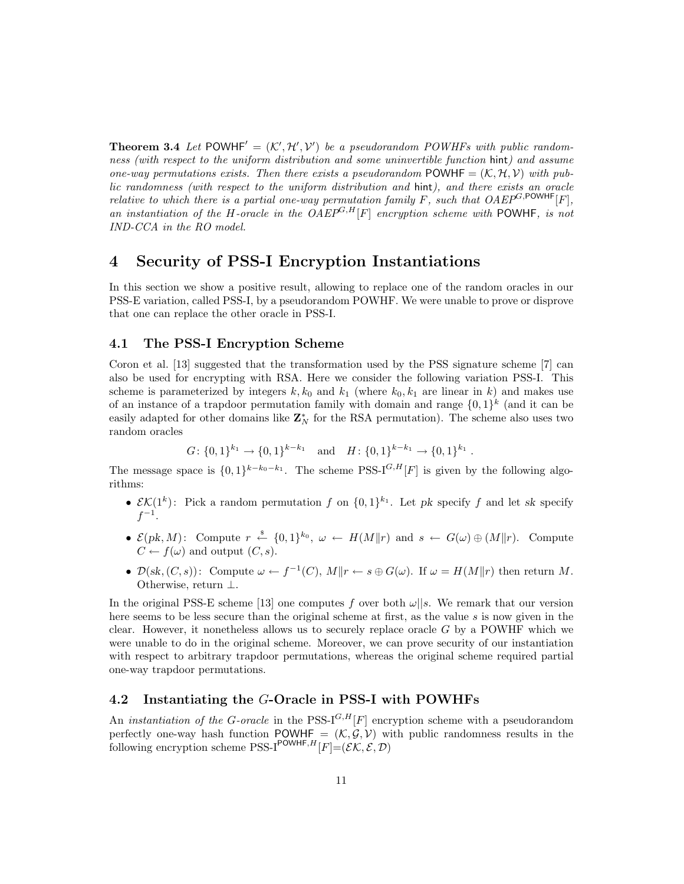**Theorem 3.4** Let POWHF<sup> $\prime$ </sup> =  $(K', \mathcal{H}', \mathcal{V}')$  be a pseudorandom POWHFs with public randomness (with respect to the uniform distribution and some uninvertible function hint) and assume one-way permutations exists. Then there exists a pseudorandom POWHF =  $(K, \mathcal{H}, \mathcal{V})$  with public randomness (with respect to the uniform distribution and hint), and there exists an oracle relative to which there is a partial one-way permutation family F, such that  $OAEP^{G,POWHF}[F]$ . an instantiation of the H-oracle in the  $OAEP^{G,H}[F]$  encryption scheme with POWHF, is not IND-CCA in the RO model.

### 4 Security of PSS-I Encryption Instantiations

In this section we show a positive result, allowing to replace one of the random oracles in our PSS-E variation, called PSS-I, by a pseudorandom POWHF. We were unable to prove or disprove that one can replace the other oracle in PSS-I.

#### 4.1 The PSS-I Encryption Scheme

Coron et al. [13] suggested that the transformation used by the PSS signature scheme [7] can also be used for encrypting with RSA. Here we consider the following variation PSS-I. This scheme is parameterized by integers  $k, k_0$  and  $k_1$  (where  $k_0, k_1$  are linear in k) and makes use of an instance of a trapdoor permutation family with domain and range  $\{0,1\}^k$  (and it can be easily adapted for other domains like  $\mathbf{Z}_N^*$  for the RSA permutation). The scheme also uses two random oracles

$$
G: \{0,1\}^{k_1} \to \{0,1\}^{k-k_1}
$$
 and  $H: \{0,1\}^{k-k_1} \to \{0,1\}^{k_1}$ 

The message space is  $\{0,1\}^{k-k_0-k_1}$ . The scheme PSS-I<sup>G,H</sup>[F] is given by the following algorithms:

•  $\mathcal{EK}(1^k)$ : Pick a random permutation f on  $\{0,1\}^{k_1}$ . Let pk specify f and let sk specify  $f^{-1}.$ 

.

- $\mathcal{E}(pk, M)$ : Compute  $r \stackrel{\$}{\leftarrow} \{0, 1\}^{k_0}, \omega \leftarrow H(M||r)$  and  $s \leftarrow G(\omega) \oplus (M||r)$ . Compute  $C \leftarrow f(\omega)$  and output  $(C, s)$ .
- $\mathcal{D}(sk, (C, s))$ : Compute  $\omega \leftarrow f^{-1}(C)$ ,  $M||r \leftarrow s \oplus G(\omega)$ . If  $\omega = H(M||r)$  then return M. Otherwise, return ⊥.

In the original PSS-E scheme [13] one computes f over both  $\omega||s$ . We remark that our version here seems to be less secure than the original scheme at first, as the value  $s$  is now given in the clear. However, it nonetheless allows us to securely replace oracle G by a POWHF which we were unable to do in the original scheme. Moreover, we can prove security of our instantiation with respect to arbitrary trapdoor permutations, whereas the original scheme required partial one-way trapdoor permutations.

#### 4.2 Instantiating the G-Oracle in PSS-I with POWHFs

An *instantiation of the G-oracle* in the PSS- $I^{G,H}[F]$  encryption scheme with a pseudorandom perfectly one-way hash function POWHF =  $(K, \mathcal{G}, \mathcal{V})$  with public randomness results in the following encryption scheme PSS-I<sup>POWHF,H</sup>[F]=( $\mathcal{EK}, \mathcal{E}, \mathcal{D}$ )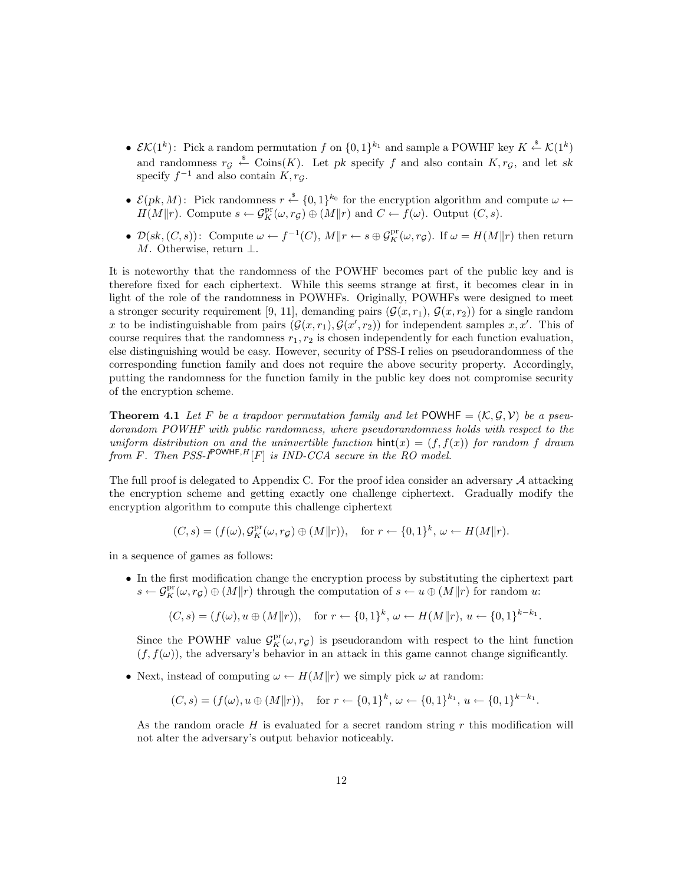- $\mathcal{EK}(1^k)$ : Pick a random permutation f on  $\{0,1\}^{k_1}$  and sample a POWHF key  $K \stackrel{\$}{\leftarrow} \mathcal{K}(1^k)$ and randomness  $r_{\mathcal{G}} \stackrel{\hspace{0.1em}\mathsf{\scriptscriptstyle\$}}{\leftarrow} \mathop{\rm Coins}(K)$ . Let pk specify f and also contain  $K, r_{\mathcal{G}},$  and let sk specify  $f^{-1}$  and also contain  $K, r_{\mathcal{G}}$ .
- $\mathcal{E}(pk, M)$ : Pick randomness  $r \stackrel{\$}{\leftarrow} \{0, 1\}^{k_0}$  for the encryption algorithm and compute  $\omega \leftarrow$  $H(M||r)$ . Compute  $s \leftarrow \mathcal{G}_K^{\text{pr}}(\omega, r_{\mathcal{G}}) \oplus (M||r)$  and  $C \leftarrow f(\omega)$ . Output  $(C, s)$ .
- $\mathcal{D}(sk, (C, s))$ : Compute  $\omega \leftarrow f^{-1}(C)$ ,  $M||r \leftarrow s \oplus \mathcal{G}_K^{\text{pr}}(\omega, r_{\mathcal{G}})$ . If  $\omega = H(M||r)$  then return M. Otherwise, return  $\perp$ .

It is noteworthy that the randomness of the POWHF becomes part of the public key and is therefore fixed for each ciphertext. While this seems strange at first, it becomes clear in in light of the role of the randomness in POWHFs. Originally, POWHFs were designed to meet a stronger security requirement [9, 11], demanding pairs  $(\mathcal{G}(x, r_1), \mathcal{G}(x, r_2))$  for a single random x to be indistinguishable from pairs  $(\mathcal{G}(x,r_1), \mathcal{G}(x',r_2))$  for independent samples  $x, x'$ . This of course requires that the randomness  $r_1, r_2$  is chosen independently for each function evaluation, else distinguishing would be easy. However, security of PSS-I relies on pseudorandomness of the corresponding function family and does not require the above security property. Accordingly, putting the randomness for the function family in the public key does not compromise security of the encryption scheme.

**Theorem 4.1** Let F be a trapdoor permutation family and let POWHF  $=(K, \mathcal{G}, \mathcal{V})$  be a pseudorandom POWHF with public randomness, where pseudorandomness holds with respect to the uniform distribution on and the uninvertible function  $\text{hint}(x) = (f, f(x))$  for random f drawn from F. Then PSS- $I^{POWHF,H}[F]$  is IND-CCA secure in the RO model.

The full proof is delegated to Appendix C. For the proof idea consider an adversary  $A$  attacking the encryption scheme and getting exactly one challenge ciphertext. Gradually modify the encryption algorithm to compute this challenge ciphertext

$$
(C, s) = (f(\omega), \mathcal{G}_K^{\text{pr}}(\omega, r_{\mathcal{G}}) \oplus (M \| r)), \text{ for } r \leftarrow \{0, 1\}^k, \omega \leftarrow H(M \| r).
$$

in a sequence of games as follows:

• In the first modification change the encryption process by substituting the ciphertext part  $s \leftarrow \mathcal{G}_K^{\text{pr}}(\omega, r_{\mathcal{G}}) \oplus (M||r)$  through the computation of  $s \leftarrow u \oplus (M||r)$  for random u:

$$
(C, s) = (f(\omega), u \oplus (M||r)),
$$
 for  $r \leftarrow \{0, 1\}^k$ ,  $\omega \leftarrow H(M||r)$ ,  $u \leftarrow \{0, 1\}^{k-k_1}$ .

Since the POWHF value  $\mathcal{G}_K^{\text{pr}}(\omega, r_{\mathcal{G}})$  is pseudorandom with respect to the hint function  $(f, f(\omega))$ , the adversary's behavior in an attack in this game cannot change significantly.

• Next, instead of computing  $\omega \leftarrow H(M||r)$  we simply pick  $\omega$  at random:

$$
(C, s) = (f(\omega), u \oplus (M||r)), \text{ for } r \leftarrow \{0, 1\}^k, \omega \leftarrow \{0, 1\}^{k_1}, u \leftarrow \{0, 1\}^{k - k_1}.
$$

As the random oracle  $H$  is evaluated for a secret random string  $r$  this modification will not alter the adversary's output behavior noticeably.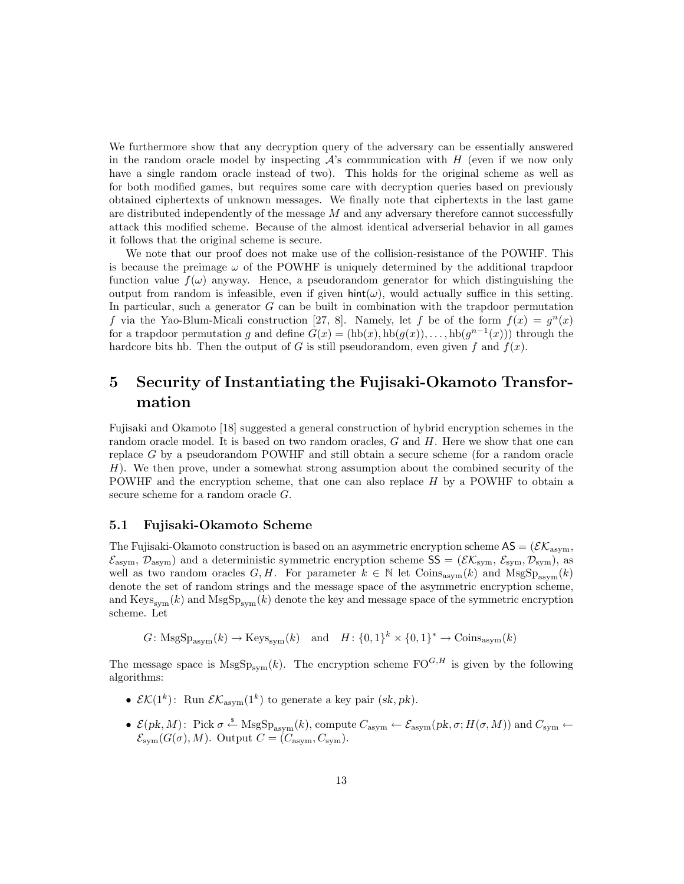We furthermore show that any decryption query of the adversary can be essentially answered in the random oracle model by inspecting  $A$ 's communication with  $H$  (even if we now only have a single random oracle instead of two). This holds for the original scheme as well as for both modified games, but requires some care with decryption queries based on previously obtained ciphertexts of unknown messages. We finally note that ciphertexts in the last game are distributed independently of the message  $M$  and any adversary therefore cannot successfully attack this modified scheme. Because of the almost identical adverserial behavior in all games it follows that the original scheme is secure.

We note that our proof does not make use of the collision-resistance of the POWHF. This is because the preimage  $\omega$  of the POWHF is uniquely determined by the additional trapdoor function value  $f(\omega)$  anyway. Hence, a pseudorandom generator for which distinguishing the output from random is infeasible, even if given  $\text{hint}(\omega)$ , would actually suffice in this setting. In particular, such a generator G can be built in combination with the trapdoor permutation f via the Yao-Blum-Micali construction [27, 8]. Namely, let f be of the form  $f(x) = g<sup>n</sup>(x)$ for a trapdoor permutation g and define  $G(x) = (hb(x), bb(g(x)), \ldots, bb(g^{n-1}(x)))$  through the hardcore bits hb. Then the output of G is still pseudorandom, even given f and  $f(x)$ .

# 5 Security of Instantiating the Fujisaki-Okamoto Transformation

Fujisaki and Okamoto [18] suggested a general construction of hybrid encryption schemes in the random oracle model. It is based on two random oracles, G and H. Here we show that one can replace G by a pseudorandom POWHF and still obtain a secure scheme (for a random oracle  $H$ ). We then prove, under a somewhat strong assumption about the combined security of the POWHF and the encryption scheme, that one can also replace H by a POWHF to obtain a secure scheme for a random oracle G.

#### 5.1 Fujisaki-Okamoto Scheme

The Fujisaki-Okamoto construction is based on an asymmetric encryption scheme  $AS = (EK<sub>asym</sub>)$  $\mathcal{E}_{\text{asym}}$ ,  $\mathcal{D}_{\text{asym}}$  and a deterministic symmetric encryption scheme  $SS = (\mathcal{E}\mathcal{K}_{\text{sym}}, \mathcal{E}_{\text{sym}}, \mathcal{D}_{\text{sym}})$ , as well as two random oracles G, H. For parameter  $k \in \mathbb{N}$  let Coins<sub>asym</sub>(k) and MsgSp<sub>asym</sub>(k) denote the set of random strings and the message space of the asymmetric encryption scheme, and Keys<sub>sym</sub> $(k)$  and MsgSp<sub>sym</sub> $(k)$  denote the key and message space of the symmetric encryption scheme. Let

 $G: \mathrm{MsgSp}_{\mathrm{asym}}(k) \to \mathrm{Keys}_{\mathrm{sym}}(k) \text{ and } H: \{0,1\}^k \times \{0,1\}^* \to \mathrm{Coins}_{\mathrm{asym}}(k)$ 

The message space is  $\text{MsgSp}_{sym}(k)$ . The encryption scheme  $\text{FO}^{G,H}$  is given by the following algorithms:

- $\mathcal{EK}(1^k)$ : Run  $\mathcal{EK}_{\text{asym}}(1^k)$  to generate a key pair  $(\text{sk}, \text{pk})$ .
- $\mathcal{E}(pk, M)$ : Pick  $\sigma \stackrel{\$}{\leftarrow} \text{MsgSp}_{\text{asym}}(k)$ , compute  $C_{\text{asym}} \leftarrow \mathcal{E}_{\text{asym}}(pk, \sigma; H(\sigma, M))$  and  $C_{\text{sym}} \leftarrow$  $\mathcal{E}_{\text{sym}}(G(\sigma), M)$ . Output  $C = (C_{\text{asym}}, C_{\text{sym}})$ .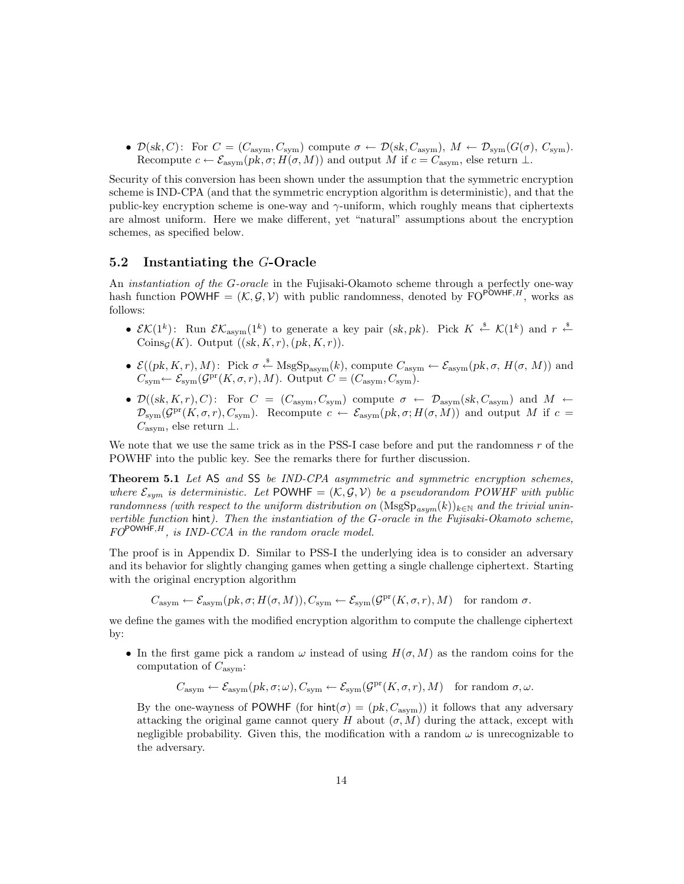•  $\mathcal{D}(sk, C)$ : For  $C = (C_{\text{asym}}, C_{\text{sym}})$  compute  $\sigma \leftarrow \mathcal{D}(sk, C_{\text{asym}})$ ,  $M \leftarrow \mathcal{D}_{\text{sym}}(G(\sigma), C_{\text{sym}})$ . Recompute  $c \leftarrow \mathcal{E}_{\text{asym}}(pk, \sigma; H(\sigma, M))$  and output M if  $c = C_{\text{asym}}$ , else return  $\perp$ .

Security of this conversion has been shown under the assumption that the symmetric encryption scheme is IND-CPA (and that the symmetric encryption algorithm is deterministic), and that the public-key encryption scheme is one-way and  $\gamma$ -uniform, which roughly means that ciphertexts are almost uniform. Here we make different, yet "natural" assumptions about the encryption schemes, as specified below.

#### 5.2 Instantiating the G-Oracle

An *instantiation of the G-oracle* in the Fujisaki-Okamoto scheme through a perfectly one-way hash function POWHF =  $(K, \mathcal{G}, V)$  with public randomness, denoted by FO<sup>POWHF,H</sup>, works as follows:

- $\mathcal{EK}(1^k)$ : Run  $\mathcal{EK}_{\text{asym}}(1^k)$  to generate a key pair  $(sk, pk)$ . Pick  $K \stackrel{\$}{\leftarrow} \mathcal{K}(1^k)$  and  $r \stackrel{\$}{\leftarrow}$ Coins $g(K)$ . Output  $((sk, K, r), (pk, K, r))$ .
- $\mathcal{E}((pk, K, r), M)$ : Pick  $\sigma \stackrel{\text{s}}{\leftarrow} \text{MsgSp}_{asym}(k)$ , compute  $C_{asym} \leftarrow \mathcal{E}_{asym}(pk, \sigma, H(\sigma, M))$  and  $C_{\text{sym}} \leftarrow \mathcal{E}_{\text{sym}}(\mathcal{G}^{\text{pr}}(K,\sigma,r),M)$ . Output  $C = (C_{\text{asym}}, C_{\text{sym}})$ .
- $\mathcal{D}((sk, K, r), C)$ : For  $C = (C_{\text{asym}}, C_{\text{sym}})$  compute  $\sigma \leftarrow \mathcal{D}_{\text{asym}}(sk, C_{\text{asym}})$  and  $M \leftarrow$  $\mathcal{D}_{sym}(\mathcal{G}^{\text{pr}}(K,\sigma,r),C_{sym})$ . Recompute  $c \leftarrow \mathcal{E}_{\text{asym}}(pk,\sigma;H(\sigma,M))$  and output M if  $c=$  $C_{\text{asym}}$ , else return  $\perp$ .

We note that we use the same trick as in the PSS-I case before and put the randomness r of the POWHF into the public key. See the remarks there for further discussion.

**Theorem 5.1** Let AS and SS be IND-CPA asymmetric and symmetric encryption schemes, where  $\mathcal{E}_{sym}$  is deterministic. Let POWHF =  $(\mathcal{K}, \mathcal{G}, \mathcal{V})$  be a pseudorandom POWHF with public randomness (with respect to the uniform distribution on  $(MsgSp_{asym}(k))_{k\in\mathbb{N}}$  and the trivial uninvertible function hint). Then the instantiation of the G-oracle in the Fujisaki-Okamoto scheme,  $FO^{\text{POWHF},H}$ , is IND-CCA in the random oracle model.

The proof is in Appendix D. Similar to PSS-I the underlying idea is to consider an adversary and its behavior for slightly changing games when getting a single challenge ciphertext. Starting with the original encryption algorithm

 $C_{\text{asym}} \leftarrow \mathcal{E}_{\text{asym}}(pk, \sigma; H(\sigma, M)), C_{\text{sym}} \leftarrow \mathcal{E}_{\text{sym}}(\mathcal{G}^{\text{pr}}(K, \sigma, r), M)$  for random  $\sigma$ .

we define the games with the modified encryption algorithm to compute the challenge ciphertext by:

• In the first game pick a random  $\omega$  instead of using  $H(\sigma, M)$  as the random coins for the computation of  $C_{\text{asym}}$ :

$$
C_{\text{asym}} \leftarrow \mathcal{E}_{\text{asym}}(pk, \sigma; \omega), C_{\text{sym}} \leftarrow \mathcal{E}_{\text{sym}}(\mathcal{G}^{\text{pr}}(K, \sigma, r), M) \quad \text{for random } \sigma, \omega.
$$

By the one-wayness of POWHF (for hint( $\sigma$ ) = (pk,  $C_{\text{asym}}$ )) it follows that any adversary attacking the original game cannot query H about  $(\sigma, M)$  during the attack, except with negligible probability. Given this, the modification with a random  $\omega$  is unrecognizable to the adversary.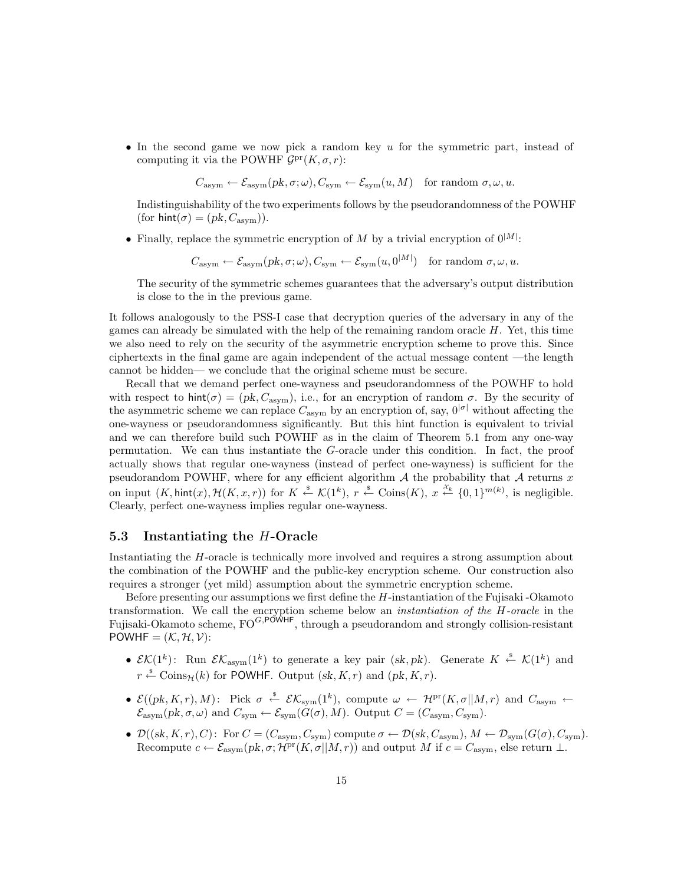• In the second game we now pick a random key  $u$  for the symmetric part, instead of computing it via the POWHF  $\mathcal{G}^{\text{pr}}(K, \sigma, r)$ :

$$
C_{\text{asym}} \leftarrow \mathcal{E}_{\text{asym}}(pk, \sigma; \omega), C_{\text{sym}} \leftarrow \mathcal{E}_{\text{sym}}(u, M) \quad \text{for random } \sigma, \omega, u.
$$

Indistinguishability of the two experiments follows by the pseudorandomness of the POWHF (for hint( $\sigma$ ) = (pk,  $C_{\text{asym}}$ )).

• Finally, replace the symmetric encryption of M by a trivial encryption of  $0^{|M|}$ :

$$
C_{\text{asym}} \leftarrow \mathcal{E}_{\text{asym}}(pk, \sigma; \omega), C_{\text{sym}} \leftarrow \mathcal{E}_{\text{sym}}(u, 0^{|M|})
$$
 for random  $\sigma, \omega, u$ .

The security of the symmetric schemes guarantees that the adversary's output distribution is close to the in the previous game.

It follows analogously to the PSS-I case that decryption queries of the adversary in any of the games can already be simulated with the help of the remaining random oracle  $H$ . Yet, this time we also need to rely on the security of the asymmetric encryption scheme to prove this. Since ciphertexts in the final game are again independent of the actual message content —the length cannot be hidden— we conclude that the original scheme must be secure.

Recall that we demand perfect one-wayness and pseudorandomness of the POWHF to hold with respect to hint( $\sigma$ ) = (pk,  $C_{\text{asym}}$ ), i.e., for an encryption of random  $\sigma$ . By the security of the asymmetric scheme we can replace  $C_{\text{asym}}$  by an encryption of, say,  $0^{|\sigma|}$  without affecting the one-wayness or pseudorandomness significantly. But this hint function is equivalent to trivial and we can therefore build such POWHF as in the claim of Theorem 5.1 from any one-way permutation. We can thus instantiate the G-oracle under this condition. In fact, the proof actually shows that regular one-wayness (instead of perfect one-wayness) is sufficient for the pseudorandom POWHF, where for any efficient algorithm  $A$  the probability that  $A$  returns  $x$ on input  $(K, \text{hint}(x), \mathcal{H}(K, x, r))$  for  $K \stackrel{\$}{\leftarrow} \mathcal{K}(1^k), r \stackrel{\$}{\leftarrow} \text{Coins}(K), x \stackrel{x_k}{\leftarrow} \{0, 1\}^{m(k)}$ , is negligible. Clearly, perfect one-wayness implies regular one-wayness.

#### 5.3 Instantiating the H-Oracle

Instantiating the H-oracle is technically more involved and requires a strong assumption about the combination of the POWHF and the public-key encryption scheme. Our construction also requires a stronger (yet mild) assumption about the symmetric encryption scheme.

Before presenting our assumptions we first define the  $H$ -instantiation of the Fujisaki -Okamoto transformation. We call the encryption scheme below an *instantiation of the H-oracle* in the Fujisaki-Okamoto scheme,  $FO^{G,POWHF}$ , through a pseudorandom and strongly collision-resistant POWHF =  $(K, H, V)$ :

- $\mathcal{EK}(1^k)$ : Run  $\mathcal{EK}_{\text{asym}}(1^k)$  to generate a key pair (sk, pk). Generate  $K \stackrel{\$}{\leftarrow} \mathcal{K}(1^k)$  and  $r \stackrel{\$}{\leftarrow} \text{Coins}_{\mathcal{H}}(k)$  for POWHF. Output  $(\textit{sk}, K, r)$  and  $(\textit{pk}, K, r)$ .
- $\mathcal{E}((pk, K, r), M)$ : Pick  $\sigma \stackrel{\hspace{0.1em}\mathsf{\scriptscriptstyle\$}}{\leftarrow} \mathcal{E} \mathcal{K}_{sym}(1^k)$ , compute  $\omega \leftarrow \mathcal{H}^{pr}(K, \sigma | M, r)$  and  $C_{\text{asym}} \leftarrow$  $\mathcal{E}_{\text{asym}}(pk, \sigma, \omega)$  and  $C_{\text{sym}} \leftarrow \mathcal{E}_{\text{sym}}(G(\sigma), M)$ . Output  $C = (C_{\text{asym}}, C_{\text{sym}})$ .
- $\mathcal{D}((\text{sk}, K, r), C)$ : For  $C = (C_{\text{asym}}, C_{\text{sym}})$  compute  $\sigma \leftarrow \mathcal{D}(\text{sk}, C_{\text{asym}})$ ,  $M \leftarrow \mathcal{D}_{\text{sym}}(G(\sigma), C_{\text{sym}})$ . Recompute  $c \leftarrow \mathcal{E}_{\text{asym}}(pk, \sigma; \mathcal{H}^{\text{pr}}(K, \sigma||M, r))$  and output M if  $c = C_{\text{asym}}$ , else return  $\perp$ .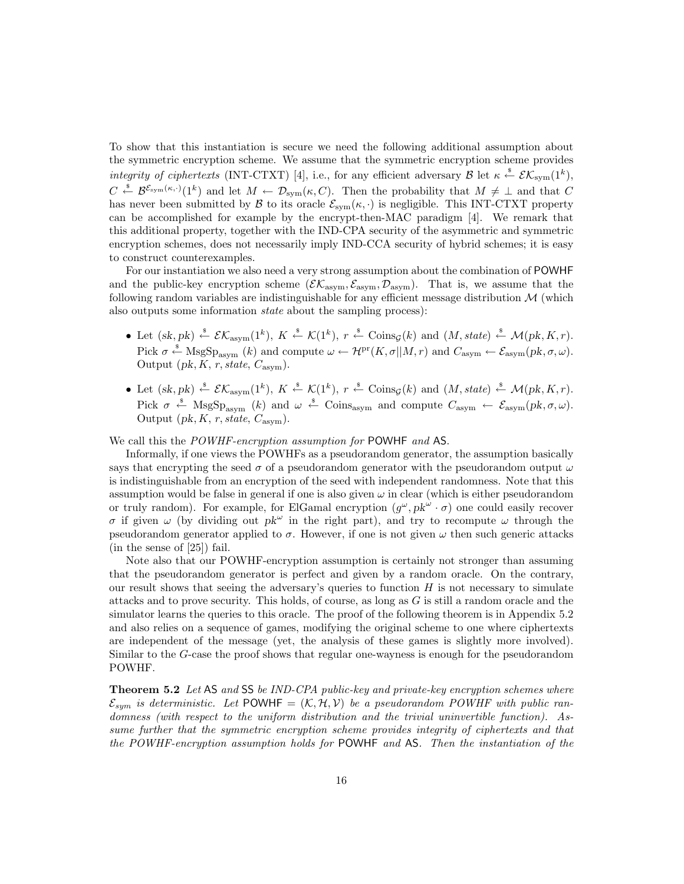To show that this instantiation is secure we need the following additional assumption about the symmetric encryption scheme. We assume that the symmetric encryption scheme provides integrity of ciphertexts (INT-CTXT) [4], i.e., for any efficient adversary  $\mathcal{B}$  let  $\kappa \stackrel{\text{s}}{\leftarrow} \mathcal{E} \mathcal{K}_{sym}(1^k)$ ,  $C \stackrel{\hspace{1mm}\text{d}}{\leftarrow} \mathcal{B}^{\mathcal{E}_{sym}(\kappa,\cdot)}(1^k)$  and let  $M \leftarrow \mathcal{D}_{sym}(\kappa,C)$ . Then the probability that  $M \neq \perp$  and that  $C$ has never been submitted by  $\beta$  to its oracle  $\mathcal{E}_{sym}(\kappa, \cdot)$  is negligible. This INT-CTXT property can be accomplished for example by the encrypt-then-MAC paradigm [4]. We remark that this additional property, together with the IND-CPA security of the asymmetric and symmetric encryption schemes, does not necessarily imply IND-CCA security of hybrid schemes; it is easy to construct counterexamples.

For our instantiation we also need a very strong assumption about the combination of POWHF and the public-key encryption scheme  $(\mathcal{EK}_{\text{asym}}, \mathcal{E}_{\text{asym}}, \mathcal{D}_{\text{asym}})$ . That is, we assume that the following random variables are indistinguishable for any efficient message distribution  $\mathcal{M}$  (which also outputs some information state about the sampling process):

- Let  $(\mathsf{sk}, \mathsf{pk}) \stackrel{\$}{\leftarrow} \mathcal{EK}_{\text{asym}}(1^k), K \stackrel{\$}{\leftarrow} \mathcal{K}(1^k), r \stackrel{\$}{\leftarrow} \text{Coins}_{\mathcal{G}}(k) \text{ and } (M, \mathsf{state}) \stackrel{\$}{\leftarrow} \mathcal{M}(p\mathsf{k}, K, r).$ Pick  $\sigma \stackrel{\$}{\leftarrow} \text{MsgSp}_{\text{asym}}(k)$  and compute  $\omega \leftarrow \mathcal{H}^{\text{pr}}(K, \sigma || M, r)$  and  $C_{\text{asym}} \leftarrow \mathcal{E}_{\text{asym}}(pk, \sigma, \omega)$ . Output  $(pk, K, r, state, C_{\text{asym}})$ .
- Let  $(\mathsf{sk}, \mathsf{pk}) \stackrel{\$}{\leftarrow} \mathcal{EK}_{\text{asym}}(1^k), K \stackrel{\$}{\leftarrow} \mathcal{K}(1^k), r \stackrel{\$}{\leftarrow} \text{Coins}_{\mathcal{G}}(k) \text{ and } (M, \mathsf{state}) \stackrel{\$}{\leftarrow} \mathcal{M}(p\mathsf{k}, K, r).$ Pick  $\sigma \stackrel{\text{*}}{\leftarrow} \text{MsgSp}_{\text{asym}}(k)$  and  $\omega \stackrel{\text{*}}{\leftarrow} \text{Coins}_{\text{asym}}$  and compute  $C_{\text{asym}} \leftarrow \mathcal{E}_{\text{asym}}(pk, \sigma, \omega)$ . Output  $(pk, K, r, state, C_{asym})$ .

We call this the POWHF-encryption assumption for POWHF and AS.

Informally, if one views the POWHFs as a pseudorandom generator, the assumption basically says that encrypting the seed  $\sigma$  of a pseudorandom generator with the pseudorandom output  $\omega$ is indistinguishable from an encryption of the seed with independent randomness. Note that this assumption would be false in general if one is also given  $\omega$  in clear (which is either pseudorandom or truly random). For example, for ElGamal encryption  $(g^{\omega}, p k^{\omega} \cdot \sigma)$  one could easily recover σ if given  $ω$  (by dividing out  $pk<sup>ω</sup>$  in the right part), and try to recompute  $ω$  through the pseudorandom generator applied to  $\sigma$ . However, if one is not given  $\omega$  then such generic attacks (in the sense of [25]) fail.

Note also that our POWHF-encryption assumption is certainly not stronger than assuming that the pseudorandom generator is perfect and given by a random oracle. On the contrary, our result shows that seeing the adversary's queries to function  $H$  is not necessary to simulate attacks and to prove security. This holds, of course, as long as  $G$  is still a random oracle and the simulator learns the queries to this oracle. The proof of the following theorem is in Appendix 5.2 and also relies on a sequence of games, modifying the original scheme to one where ciphertexts are independent of the message (yet, the analysis of these games is slightly more involved). Similar to the G-case the proof shows that regular one-wayness is enough for the pseudorandom POWHF.

**Theorem 5.2** Let AS and SS be IND-CPA public-key and private-key encryption schemes where  $\mathcal{E}_{sym}$  is deterministic. Let POWHF =  $(\mathcal{K}, \mathcal{H}, \mathcal{V})$  be a pseudorandom POWHF with public randomness (with respect to the uniform distribution and the trivial uninvertible function). Assume further that the symmetric encryption scheme provides integrity of ciphertexts and that the POWHF-encryption assumption holds for POWHF and AS. Then the instantiation of the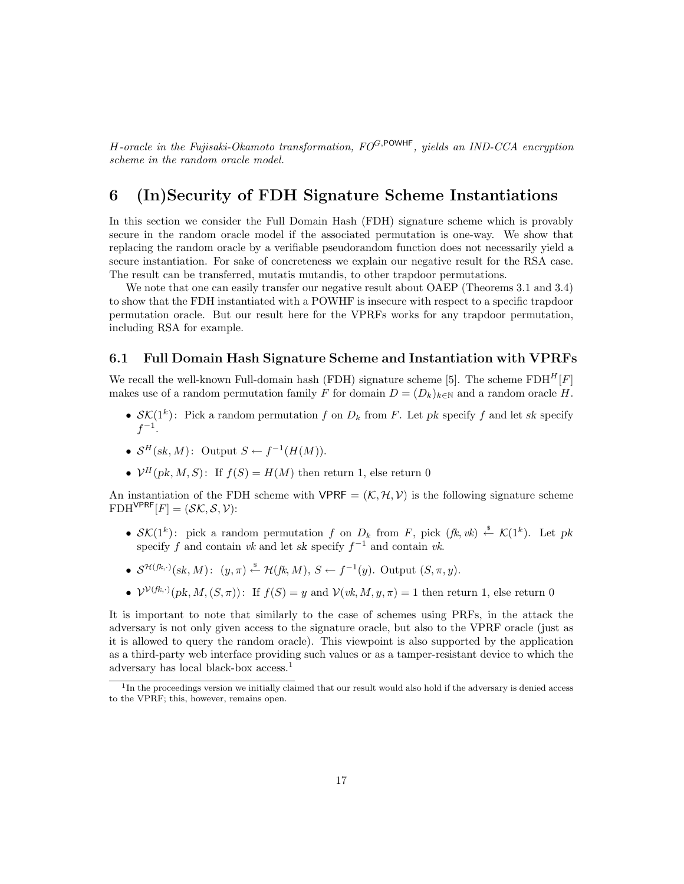H-oracle in the Fujisaki-Okamoto transformation,  $FO^{G,POWHF}$ , yields an IND-CCA encryption scheme in the random oracle model.

# 6 (In)Security of FDH Signature Scheme Instantiations

In this section we consider the Full Domain Hash (FDH) signature scheme which is provably secure in the random oracle model if the associated permutation is one-way. We show that replacing the random oracle by a verifiable pseudorandom function does not necessarily yield a secure instantiation. For sake of concreteness we explain our negative result for the RSA case. The result can be transferred, mutatis mutandis, to other trapdoor permutations.

We note that one can easily transfer our negative result about OAEP (Theorems 3.1 and 3.4) to show that the FDH instantiated with a POWHF is insecure with respect to a specific trapdoor permutation oracle. But our result here for the VPRFs works for any trapdoor permutation, including RSA for example.

#### 6.1 Full Domain Hash Signature Scheme and Instantiation with VPRFs

We recall the well-known Full-domain hash (FDH) signature scheme [5]. The scheme  $FDH<sup>H</sup>[F]$ makes use of a random permutation family F for domain  $D = (D_k)_{k \in \mathbb{N}}$  and a random oracle H.

- $\mathcal{SK}(1^k)$ : Pick a random permutation f on  $D_k$  from F. Let pk specify f and let sk specify  $f^{-1}.$
- $S^H(\mathsf{sk}, M)$ : Output  $S \leftarrow f^{-1}(H(M)).$
- $\mathcal{V}^H(pk, M, S)$ : If  $f(S) = H(M)$  then return 1, else return 0

An instantiation of the FDH scheme with  $VPRF = (K, H, V)$  is the following signature scheme  $FDH^{VPRF}[F] = (\mathcal{SK}, \mathcal{S}, \mathcal{V})$ :

- $\mathcal{SK}(1^k)$ : pick a random permutation f on  $D_k$  from F, pick  $(fk, vk) \stackrel{\$}{\leftarrow} \mathcal{K}(1^k)$ . Let pk specify f and contain vk and let sk specify  $f^{-1}$  and contain vk.
- $\mathcal{S}^{\mathcal{H}(fk,\cdot)}(sk,M)$ :  $(y,\pi) \stackrel{\$}{\leftarrow} \mathcal{H}(fk,M), S \leftarrow f^{-1}(y)$ . Output  $(S,\pi,y)$ .
- $\mathcal{V}^{\mathcal{V}(f_k,\cdot)}(pk,M,(S,\pi))$ : If  $f(S) = y$  and  $\mathcal{V}(vk,M,y,\pi) = 1$  then return 1, else return 0

It is important to note that similarly to the case of schemes using PRFs, in the attack the adversary is not only given access to the signature oracle, but also to the VPRF oracle (just as it is allowed to query the random oracle). This viewpoint is also supported by the application as a third-party web interface providing such values or as a tamper-resistant device to which the adversary has local black-box access.<sup>1</sup>

<sup>&</sup>lt;sup>1</sup>In the proceedings version we initially claimed that our result would also hold if the adversary is denied access to the VPRF; this, however, remains open.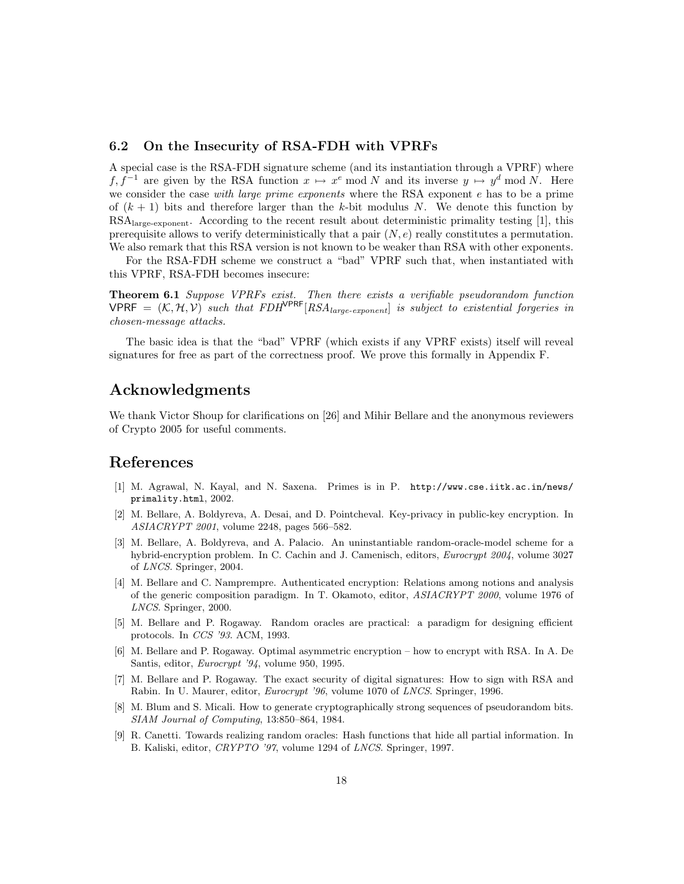#### 6.2 On the Insecurity of RSA-FDH with VPRFs

A special case is the RSA-FDH signature scheme (and its instantiation through a VPRF) where  $f, f^{-1}$  are given by the RSA function  $x \mapsto x^e \mod N$  and its inverse  $y \mapsto y^d \mod N$ . Here we consider the case *with large prime exponents* where the RSA exponent e has to be a prime of  $(k + 1)$  bits and therefore larger than the k-bit modulus N. We denote this function by RSAlarge-exponent. According to the recent result about deterministic primality testing [1], this prerequisite allows to verify deterministically that a pair  $(N, e)$  really constitutes a permutation. We also remark that this RSA version is not known to be weaker than RSA with other exponents.

For the RSA-FDH scheme we construct a "bad" VPRF such that, when instantiated with this VPRF, RSA-FDH becomes insecure:

**Theorem 6.1** Suppose VPRFs exist. Then there exists a verifiable pseudorandom function  $VPRF = (K, H, V)$  such that  $FDH^{VPRF}[RSA_{large-exponent}]$  is subject to existential forgeries in chosen-message attacks.

The basic idea is that the "bad" VPRF (which exists if any VPRF exists) itself will reveal signatures for free as part of the correctness proof. We prove this formally in Appendix F.

# Acknowledgments

We thank Victor Shoup for clarifications on [26] and Mihir Bellare and the anonymous reviewers of Crypto 2005 for useful comments.

# References

- [1] M. Agrawal, N. Kayal, and N. Saxena. Primes is in P. http://www.cse.iitk.ac.in/news/ primality.html, 2002.
- [2] M. Bellare, A. Boldyreva, A. Desai, and D. Pointcheval. Key-privacy in public-key encryption. In ASIACRYPT 2001, volume 2248, pages 566–582.
- [3] M. Bellare, A. Boldyreva, and A. Palacio. An uninstantiable random-oracle-model scheme for a hybrid-encryption problem. In C. Cachin and J. Camenisch, editors, Eurocrypt 2004, volume 3027 of LNCS. Springer, 2004.
- [4] M. Bellare and C. Namprempre. Authenticated encryption: Relations among notions and analysis of the generic composition paradigm. In T. Okamoto, editor, ASIACRYPT 2000, volume 1976 of LNCS. Springer, 2000.
- [5] M. Bellare and P. Rogaway. Random oracles are practical: a paradigm for designing efficient protocols. In CCS '93. ACM, 1993.
- [6] M. Bellare and P. Rogaway. Optimal asymmetric encryption how to encrypt with RSA. In A. De Santis, editor, Eurocrypt '94, volume 950, 1995.
- [7] M. Bellare and P. Rogaway. The exact security of digital signatures: How to sign with RSA and Rabin. In U. Maurer, editor, Eurocrypt '96, volume 1070 of LNCS. Springer, 1996.
- [8] M. Blum and S. Micali. How to generate cryptographically strong sequences of pseudorandom bits. SIAM Journal of Computing, 13:850–864, 1984.
- [9] R. Canetti. Towards realizing random oracles: Hash functions that hide all partial information. In B. Kaliski, editor, CRYPTO '97, volume 1294 of LNCS. Springer, 1997.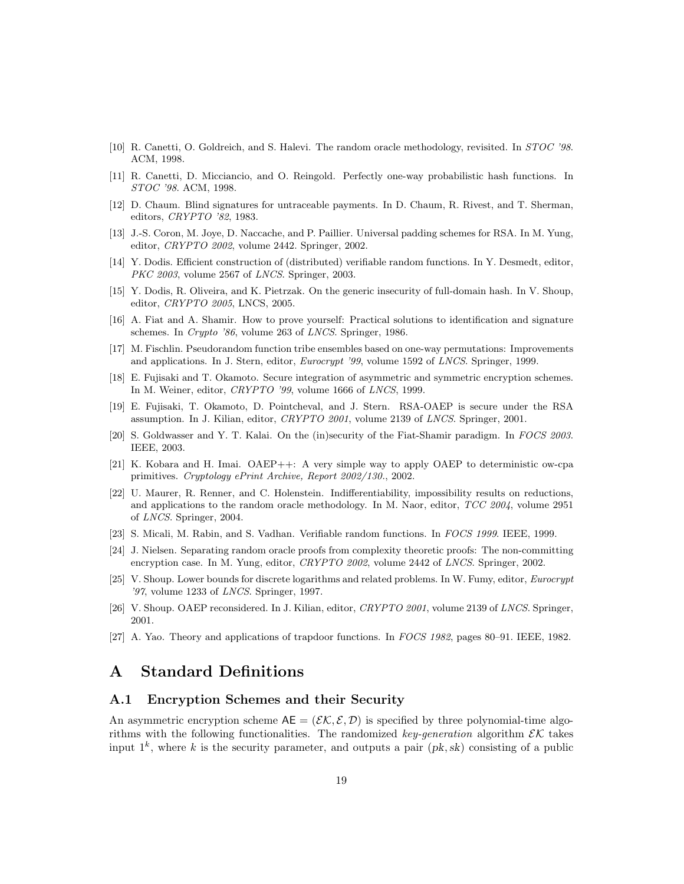- [10] R. Canetti, O. Goldreich, and S. Halevi. The random oracle methodology, revisited. In *STOC* '98. ACM, 1998.
- [11] R. Canetti, D. Micciancio, and O. Reingold. Perfectly one-way probabilistic hash functions. In STOC '98. ACM, 1998.
- [12] D. Chaum. Blind signatures for untraceable payments. In D. Chaum, R. Rivest, and T. Sherman, editors, CRYPTO '82, 1983.
- [13] J.-S. Coron, M. Joye, D. Naccache, and P. Paillier. Universal padding schemes for RSA. In M. Yung, editor, CRYPTO 2002, volume 2442. Springer, 2002.
- [14] Y. Dodis. Efficient construction of (distributed) verifiable random functions. In Y. Desmedt, editor, PKC 2003, volume 2567 of LNCS. Springer, 2003.
- [15] Y. Dodis, R. Oliveira, and K. Pietrzak. On the generic insecurity of full-domain hash. In V. Shoup, editor, CRYPTO 2005, LNCS, 2005.
- [16] A. Fiat and A. Shamir. How to prove yourself: Practical solutions to identification and signature schemes. In Crypto '86, volume 263 of LNCS. Springer, 1986.
- [17] M. Fischlin. Pseudorandom function tribe ensembles based on one-way permutations: Improvements and applications. In J. Stern, editor, Eurocrypt '99, volume 1592 of LNCS. Springer, 1999.
- [18] E. Fujisaki and T. Okamoto. Secure integration of asymmetric and symmetric encryption schemes. In M. Weiner, editor, CRYPTO '99, volume 1666 of LNCS, 1999.
- [19] E. Fujisaki, T. Okamoto, D. Pointcheval, and J. Stern. RSA-OAEP is secure under the RSA assumption. In J. Kilian, editor, CRYPTO 2001, volume 2139 of LNCS. Springer, 2001.
- [20] S. Goldwasser and Y. T. Kalai. On the (in)security of the Fiat-Shamir paradigm. In FOCS 2003. IEEE, 2003.
- [21] K. Kobara and H. Imai. OAEP++: A very simple way to apply OAEP to deterministic ow-cpa primitives. Cryptology ePrint Archive, Report 2002/130., 2002.
- [22] U. Maurer, R. Renner, and C. Holenstein. Indifferentiability, impossibility results on reductions, and applications to the random oracle methodology. In M. Naor, editor, TCC 2004, volume 2951 of LNCS. Springer, 2004.
- [23] S. Micali, M. Rabin, and S. Vadhan. Verifiable random functions. In FOCS 1999. IEEE, 1999.
- [24] J. Nielsen. Separating random oracle proofs from complexity theoretic proofs: The non-committing encryption case. In M. Yung, editor, CRYPTO 2002, volume 2442 of LNCS. Springer, 2002.
- [25] V. Shoup. Lower bounds for discrete logarithms and related problems. In W. Fumy, editor, Eurocrypt  $'97$ , volume 1233 of *LNCS*. Springer, 1997.
- [26] V. Shoup. OAEP reconsidered. In J. Kilian, editor, CRYPTO 2001, volume 2139 of LNCS. Springer, 2001.
- [27] A. Yao. Theory and applications of trapdoor functions. In FOCS 1982, pages 80–91. IEEE, 1982.

# A Standard Definitions

#### A.1 Encryption Schemes and their Security

An asymmetric encryption scheme  $AE = (\mathcal{E}K, \mathcal{E}, \mathcal{D})$  is specified by three polynomial-time algorithms with the following functionalities. The randomized key-generation algorithm  $\mathcal{EK}$  takes input  $1^k$ , where k is the security parameter, and outputs a pair  $(pk, sk)$  consisting of a public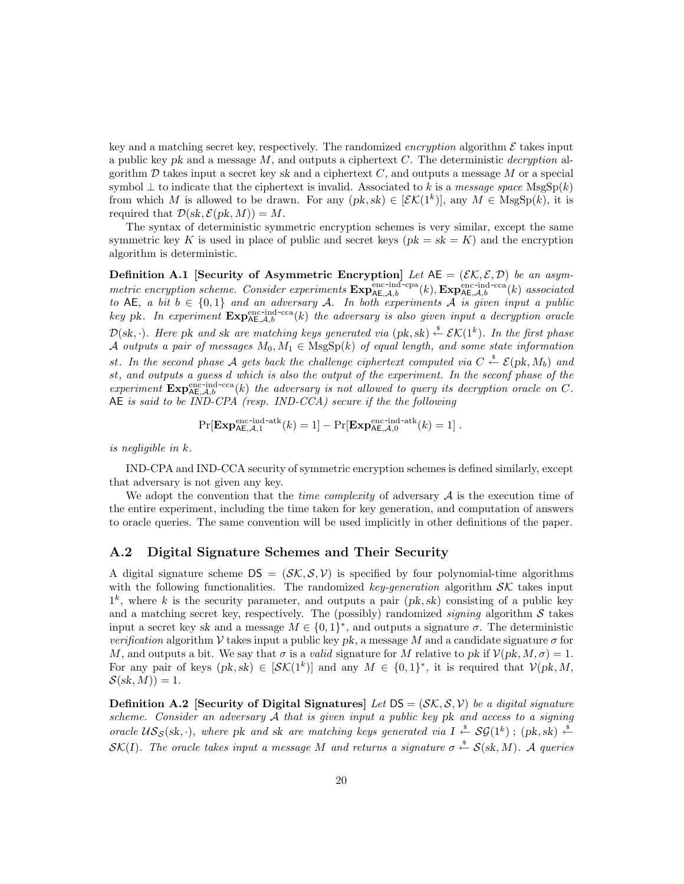key and a matching secret key, respectively. The randomized encryption algorithm  $\mathcal E$  takes input a public key pk and a message  $M$ , and outputs a ciphertext  $C$ . The deterministic *decryption* algorithm  $\mathcal D$  takes input a secret key sk and a ciphertext C, and outputs a message M or a special symbol  $\perp$  to indicate that the ciphertext is invalid. Associated to k is a message space  $\text{MsgSp}(k)$ from which M is allowed to be drawn. For any  $(pk, sk) \in [\mathcal{EK}(1^k)]$ , any  $M \in \text{MsgSp}(k)$ , it is required that  $\mathcal{D}(sk, \mathcal{E}(pk, M)) = M$ .

The syntax of deterministic symmetric encryption schemes is very similar, except the same symmetric key K is used in place of public and secret keys  $(pk = sk = K)$  and the encryption algorithm is deterministic.

Definition A.1 [Security of Asymmetric Encryption] Let  $AE = (\mathcal{EK}, \mathcal{E}, \mathcal{D})$  be an asymmetric encryption scheme. Consider experiments  $\mathbf{Exp}_{\mathsf{AE},\mathcal{A},b}^{\text{enc-ind-cpa}}(k)$ ,  $\mathbf{Exp}_{\mathsf{AE},\mathcal{A},b}^{\text{enc-ind-cca}}(k)$  associated to AE, a bit  $b \in \{0,1\}$  and an adversary A. In both experiments A is given input a public key pk. In experiment  $\exp_{AE,A,b}^{\text{enc-ind-cca}}(k)$  the adversary is also given input a decryption oracle  $\mathcal{D}(sk, \cdot)$ . Here pk and sk are matching keys generated via  $(pk, sk) \stackrel{\$}{\leftarrow} \mathcal{EK}(1^k)$ . In the first phase A outputs a pair of messages  $M_0, M_1 \in \text{MsgSp}(k)$  of equal length, and some state information st. In the second phase A gets back the challenge ciphertext computed via  $C \stackrel{\text{s}}{\leftarrow} \mathcal{E}(\text{pk}, M_b)$  and st, and outputs a guess d which is also the output of the experiment. In the seconf phase of the experiment  $\text{Exp}_{\mathsf{AE},\mathcal{A},b}^{\text{enc-ind-cca}}(k)$  the adversary is not allowed to query its decryption oracle on C. AE is said to be  $\overline{IND}\text{-}CPA$  (resp. IND-CCA) secure if the the following

$$
Pr[\mathbf{Exp}_{\mathsf{AE},\mathcal{A},1}^{\text{enc-ind-atk}}(k) = 1] - Pr[\mathbf{Exp}_{\mathsf{AE},\mathcal{A},0}^{\text{enc-ind-atk}}(k) = 1].
$$

is negligible in k.

IND-CPA and IND-CCA security of symmetric encryption schemes is defined similarly, except that adversary is not given any key.

We adopt the convention that the *time complexity* of adversary  $A$  is the execution time of the entire experiment, including the time taken for key generation, and computation of answers to oracle queries. The same convention will be used implicitly in other definitions of the paper.

#### A.2 Digital Signature Schemes and Their Security

A digital signature scheme  $DS = (SK, S, V)$  is specified by four polynomial-time algorithms with the following functionalities. The randomized key-generation algorithm  $\mathcal{SK}$  takes input  $1<sup>k</sup>$ , where k is the security parameter, and outputs a pair  $(pk, sk)$  consisting of a public key and a matching secret key, respectively. The (possibly) randomized *signing* algorithm  $S$  takes input a secret key sk and a message  $M \in \{0,1\}^*$ , and outputs a signature  $\sigma$ . The deterministic verification algorithm V takes input a public key pk, a message M and a candidate signature  $\sigma$  for M, and outputs a bit. We say that  $\sigma$  is a valid signature for M relative to pk if  $\mathcal{V}(p\mathbf{k}, M, \sigma) = 1$ . For any pair of keys  $(pk, sk) \in [\mathcal{SK}(1^k)]$  and any  $M \in \{0, 1\}^*$ , it is required that  $\mathcal{V}(pk, M,$  $S(\text{sk}, M) = 1.$ 

**Definition A.2** [Security of Digital Signatures] Let  $DS = (SK, S, V)$  be a digital signature scheme. Consider an adversary A that is given input a public key pk and access to a signing oracle  $U\mathcal{S}_{\mathcal{S}}(sk, \cdot)$ , where pk and sk are matching keys generated via  $I \stackrel{\$}{\leftarrow} \mathcal{SG}(1^k)$ ; (pk, sk)  $\stackrel{\$}{\leftarrow}$  $\mathcal{SK}(I)$ . The oracle takes input a message M and returns a signature  $\sigma \stackrel{\$}{\leftarrow} \mathcal{S}(\text{sk}, M)$ . A queries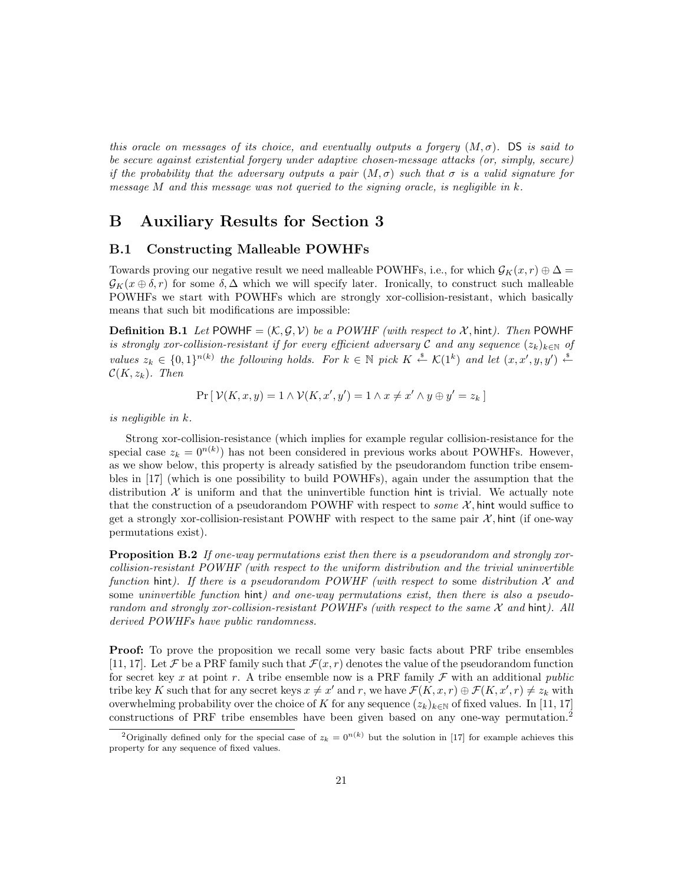this oracle on messages of its choice, and eventually outputs a forgery  $(M, \sigma)$ . DS is said to be secure against existential forgery under adaptive chosen-message attacks (or, simply, secure) if the probability that the adversary outputs a pair  $(M, \sigma)$  such that  $\sigma$  is a valid signature for message M and this message was not queried to the signing oracle, is negligible in k.

## B Auxiliary Results for Section 3

#### B.1 Constructing Malleable POWHFs

Towards proving our negative result we need malleable POWHFs, i.e., for which  $\mathcal{G}_K(x, r) \oplus \Delta =$  $\mathcal{G}_K(x \oplus \delta, r)$  for some  $\delta, \Delta$  which we will specify later. Ironically, to construct such malleable POWHFs we start with POWHFs which are strongly xor-collision-resistant, which basically means that such bit modifications are impossible:

**Definition B.1** Let POWHF =  $(K, \mathcal{G}, \mathcal{V})$  be a POWHF (with respect to X, hint). Then POWHF is strongly xor-collision-resistant if for every efficient adversary C and any sequence  $(z_k)_{k\in\mathbb{N}}$  of values  $z_k \in \{0,1\}^{n(k)}$  the following holds. For  $k \in \mathbb{N}$  pick  $K \stackrel{\$}{\leftarrow} \mathcal{K}(1^k)$  and let  $(x, x', y, y') \stackrel{\$}{\leftarrow}$  $\mathcal{C}(K, z_k)$ . Then

$$
Pr[\mathcal{V}(K, x, y) = 1 \land \mathcal{V}(K, x', y') = 1 \land x \neq x' \land y \oplus y' = z_k]
$$

is negligible in k.

Strong xor-collision-resistance (which implies for example regular collision-resistance for the special case  $z_k = 0^{n(k)}$  has not been considered in previous works about POWHFs. However, as we show below, this property is already satisfied by the pseudorandom function tribe ensembles in [17] (which is one possibility to build POWHFs), again under the assumption that the distribution  $\mathcal X$  is uniform and that the uninvertible function hint is trivial. We actually note that the construction of a pseudorandom POWHF with respect to *some*  $\mathcal{X}$ , hint would suffice to get a strongly xor-collision-resistant POWHF with respect to the same pair  $\mathcal{X}$ , hint (if one-way permutations exist).

Proposition B.2 If one-way permutations exist then there is a pseudorandom and strongly xorcollision-resistant POWHF (with respect to the uniform distribution and the trivial uninvertible function hint). If there is a pseudorandom POWHF (with respect to some distribution  $\mathcal X$  and some uninvertible function hint) and one-way permutations exist, then there is also a pseudorandom and strongly xor-collision-resistant POWHFs (with respect to the same  $X$  and hint). All derived POWHFs have public randomness.

Proof: To prove the proposition we recall some very basic facts about PRF tribe ensembles [11, 17]. Let F be a PRF family such that  $\mathcal{F}(x, r)$  denotes the value of the pseudorandom function for secret key x at point r. A tribe ensemble now is a PRF family  $\mathcal F$  with an additional public tribe key K such that for any secret keys  $x \neq x'$  and r, we have  $\mathcal{F}(K, x, r) \oplus \mathcal{F}(K, x', r) \neq z_k$  with overwhelming probability over the choice of K for any sequence  $(z_k)_{k\in\mathbb{N}}$  of fixed values. In [11, 17] constructions of PRF tribe ensembles have been given based on any one-way permutation.<sup>2</sup>

<sup>&</sup>lt;sup>2</sup>Originally defined only for the special case of  $z_k = 0^{n(k)}$  but the solution in [17] for example achieves this property for any sequence of fixed values.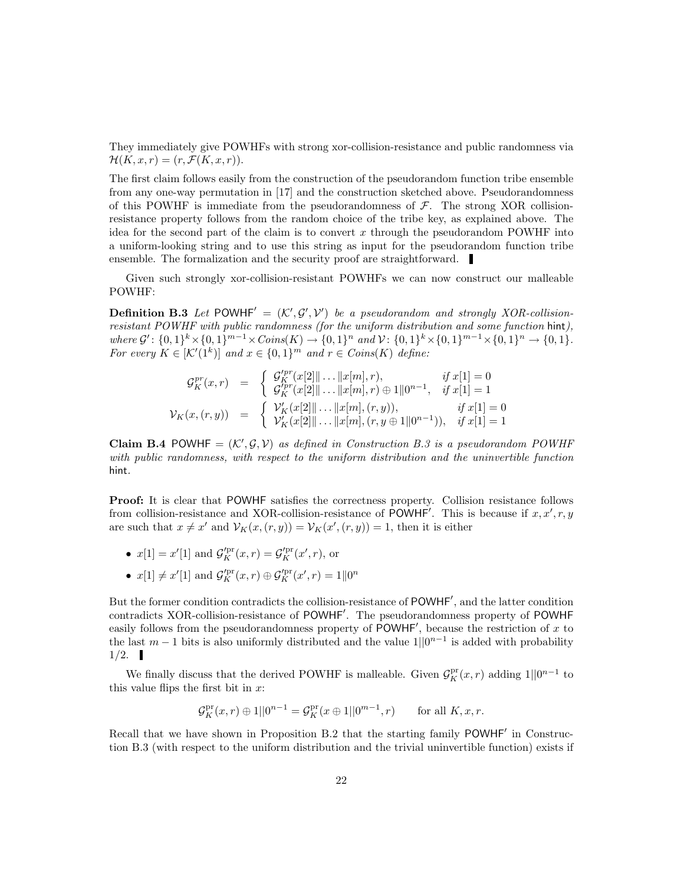They immediately give POWHFs with strong xor-collision-resistance and public randomness via  $\mathcal{H}(K, x, r) = (r, \mathcal{F}(K, x, r)).$ 

The first claim follows easily from the construction of the pseudorandom function tribe ensemble from any one-way permutation in [17] and the construction sketched above. Pseudorandomness of this POWHF is immediate from the pseudorandomness of  $\mathcal{F}$ . The strong XOR collisionresistance property follows from the random choice of the tribe key, as explained above. The idea for the second part of the claim is to convert  $x$  through the pseudorandom POWHF into a uniform-looking string and to use this string as input for the pseudorandom function tribe ensemble. The formalization and the security proof are straightforward.

Given such strongly xor-collision-resistant POWHFs we can now construct our malleable POWHF:

**Definition B.3** Let POWHF<sup>'</sup> =  $(K', \mathcal{G}', \mathcal{V}')$  be a pseudorandom and strongly XOR-collisionresistant POWHF with public randomness (for the uniform distribution and some function hint), where  $\mathcal{G}'$ :  $\{0,1\}^k \times \{0,1\}^{m-1} \times \text{Coins}(K) \to \{0,1\}^n$  and  $\mathcal{V}$ :  $\{0,1\}^k \times \{0,1\}^{m-1} \times \{0,1\}^n \to \{0,1\}$ . For every  $K \in K'(1^k)$  and  $x \in \{0,1\}^m$  and  $r \in \text{Coins}(K)$  define:

$$
\begin{array}{rcl}\n\mathcal{G}_{K}^{pr}(x,r) & = & \left\{ \begin{array}{l} \mathcal{G}_{K}^{'pr}(x[2]\| \dots \|x[m],r), & \text{if } x[1] = 0 \\
\mathcal{G}_{K}^{'pr}(x[2]\| \dots \|x[m],r) \oplus 1 \|0^{n-1}, & \text{if } x[1] = 1\n\end{array} \right. \\
\mathcal{V}_{K}(x,(r,y)) & = & \left\{ \begin{array}{l} \mathcal{V}_{K}^{\prime}(x[2]\| \dots \|x[m],(r,y)), & \text{if } x[1] = 0 \\
\mathcal{V}_{K}^{\prime}(x[2]\| \dots \|x[m],(r,y \oplus 1 \|0^{n-1})), & \text{if } x[1] = 1\n\end{array} \right.\n\end{array}
$$

Claim B.4 POWHF =  $(K', \mathcal{G}, V)$  as defined in Construction B.3 is a pseudorandom POWHF with public randomness, with respect to the uniform distribution and the uninvertible function hint.

Proof: It is clear that POWHF satisfies the correctness property. Collision resistance follows from collision-resistance and XOR-collision-resistance of POWHF'. This is because if  $x, x', r, y$ are such that  $x \neq x'$  and  $\mathcal{V}_K(x,(r, y)) = \mathcal{V}_K(x', (r, y)) = 1$ , then it is either

- $x[1] = x'[1]$  and  $\mathcal{G}_K^{\prime \text{pr}}(x,r) = \mathcal{G}_K^{\prime \text{pr}}(x',r)$ , or
- $x[1] \neq x'[1]$  and  $\mathcal{G}'^{\text{pr}}_K(x,r) \oplus \mathcal{G}'^{\text{pr}}_K(x',r) = 1||0^n$

But the former condition contradicts the collision-resistance of POWHF', and the latter condition contradicts XOR-collision-resistance of POWHF'. The pseudorandomness property of POWHF easily follows from the pseudorandomness property of  $\mathsf{POWHF}'$ , because the restriction of x to the last  $m-1$  bits is also uniformly distributed and the value  $1||0^{n-1}$  is added with probability  $1/2.$ 

We finally discuss that the derived POWHF is malleable. Given  $\mathcal{G}_K^{\text{pr}}(x,r)$  adding  $1||0^{n-1}$  to this value flips the first bit in  $x$ :

$$
\mathcal{G}_K^{\mathrm{pr}}(x,r)\oplus 1||0^{n-1}=\mathcal{G}_K^{\mathrm{pr}}(x\oplus 1||0^{m-1},r)\qquad\text{for all }K,x,r.
$$

Recall that we have shown in Proposition B.2 that the starting family POWHF' in Construction B.3 (with respect to the uniform distribution and the trivial uninvertible function) exists if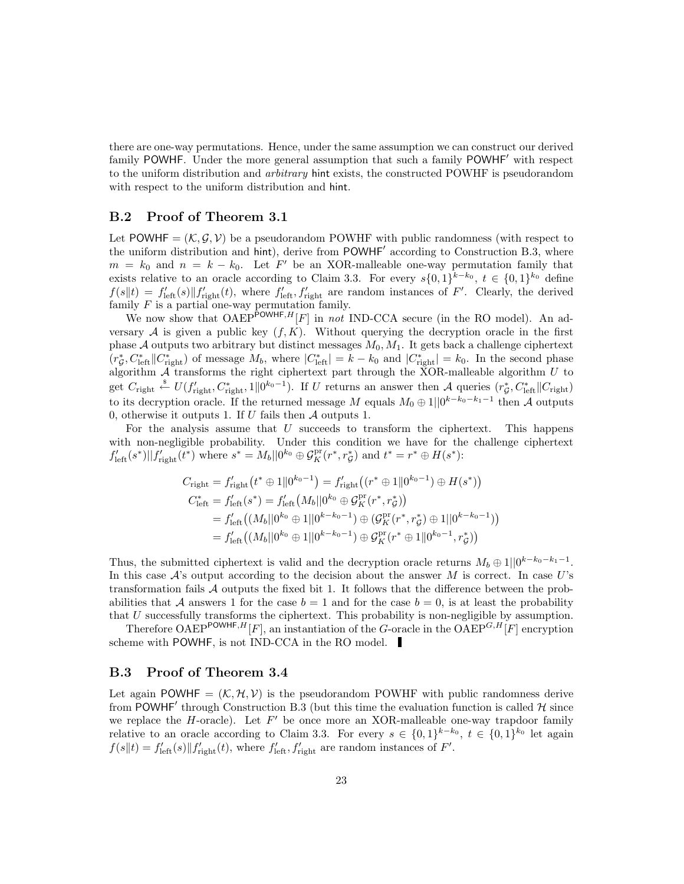there are one-way permutations. Hence, under the same assumption we can construct our derived family POWHF. Under the more general assumption that such a family POWHF' with respect to the uniform distribution and *arbitrary* hint exists, the constructed POWHF is pseudorandom with respect to the uniform distribution and hint.

#### B.2 Proof of Theorem 3.1

Let POWHF =  $(K, \mathcal{G}, \mathcal{V})$  be a pseudorandom POWHF with public randomness (with respect to the uniform distribution and hint), derive from POWHF' according to Construction B.3, where  $m = k_0$  and  $n = k - k_0$ . Let F' be an XOR-malleable one-way permutation family that exists relative to an oracle according to Claim 3.3. For every  $s\{0,1\}^{k-k_0}$ ,  $t \in \{0,1\}^{k_0}$  define  $f(s||t) = f'_{\text{left}}(s)||f'_{\text{right}}(t)$ , where  $f'_{\text{left}} f'_{\text{right}}$  are random instances of F'. Clearly, the derived family  $F$  is a partial one-way permutation family.

We now show that  $O A E P^{POWHF, H}[F]$  in not IND-CCA secure (in the RO model). An adversary  $A$  is given a public key  $(f, K)$ . Without querying the decryption oracle in the first phase  $A$  outputs two arbitrary but distinct messages  $M_0$ ,  $M_1$ . It gets back a challenge ciphertext  $(r_{\mathcal{G}}^*, C_{\text{left}}^* || C_{\text{right}}^*)$  of message  $M_b$ , where  $| C_{\text{left}}^* | = k - k_0$  and  $| C_{\text{right}}^* | = k_0$ . In the second phase algorithm  $\mathcal A$  transforms the right ciphertext part through the XOR-malleable algorithm U to get  $C_{\text{right}} \overset{\hspace{0.1em}\mathsf{\$}}{\leftarrow} U(f'_{\text{right}}, C^*_{\text{right}}, 1||0^{k_0-1})$ . If U returns an answer then A queries  $(r^*_{\mathcal{G}}, C^*_{\text{left}}||C_{\text{right}})$ to its decryption oracle. If the returned message M equals  $M_0 \oplus 1||0^{k-k_0-k_1-1}$  then A outputs 0, otherwise it outputs 1. If U fails then  $\mathcal A$  outputs 1.

For the analysis assume that  $U$  succeeds to transform the ciphertext. This happens with non-negligible probability. Under this condition we have for the challenge ciphertext  $f'_{\text{left}}(s^*)||f'_{\text{right}}(t^*)$  where  $s^* = M_b||0^{k_0} \oplus \mathcal{G}_K^{\text{pr}}(r^*, r^*_{\mathcal{G}})$  and  $t^* = r^* \oplus H(s^*)$ :

$$
C_{\text{right}} = f'_{\text{right}}(t^* \oplus 1 \parallel 0^{k_0 - 1}) = f'_{\text{right}}((r^* \oplus 1 \parallel 0^{k_0 - 1}) \oplus H(s^*))
$$
  
\n
$$
C_{\text{left}}^* = f'_{\text{left}}(s^*) = f'_{\text{left}}(M_b \parallel 0^{k_0} \oplus \mathcal{G}_K^{\text{pr}}(r^*, r_g^*))
$$
  
\n
$$
= f'_{\text{left}}((M_b \parallel 0^{k_0} \oplus 1 \parallel 0^{k - k_0 - 1}) \oplus (\mathcal{G}_K^{\text{pr}}(r^*, r_g^*) \oplus 1 \parallel 0^{k - k_0 - 1}))
$$
  
\n
$$
= f'_{\text{left}}((M_b \parallel 0^{k_0} \oplus 1 \parallel 0^{k - k_0 - 1}) \oplus \mathcal{G}_K^{\text{pr}}(r^* \oplus 1 \parallel 0^{k_0 - 1}, r_g^*))
$$

Thus, the submitted ciphertext is valid and the decryption oracle returns  $M_b \oplus 1||0^{k-k_0-k_1-1}$ . In this case  $A$ 's output according to the decision about the answer M is correct. In case U's transformation fails A outputs the fixed bit 1. It follows that the difference between the probabilities that A answers 1 for the case  $b = 1$  and for the case  $b = 0$ , is at least the probability that U successfully transforms the ciphertext. This probability is non-negligible by assumption.

Therefore OAEP<sup>POWHF,H</sup>[F], an instantiation of the G-oracle in the OAEP<sup>G,H</sup>[F] encryption scheme with POWHF, is not IND-CCA in the RO model.

#### B.3 Proof of Theorem 3.4

Let again POWHF =  $(K, \mathcal{H}, \mathcal{V})$  is the pseudorandom POWHF with public randomness derive from POWHF' through Construction B.3 (but this time the evaluation function is called  $H$  since we replace the  $H$ -oracle). Let  $F'$  be once more an XOR-malleable one-way trapdoor family relative to an oracle according to Claim 3.3. For every  $s \in \{0,1\}^{k-k_0}, t \in \{0,1\}^{k_0}$  let again  $f(s||t) = f'_{\text{left}}(s)||f'_{\text{right}}(t)$ , where  $f'_{\text{left}} f'_{\text{right}}$  are random instances of F'.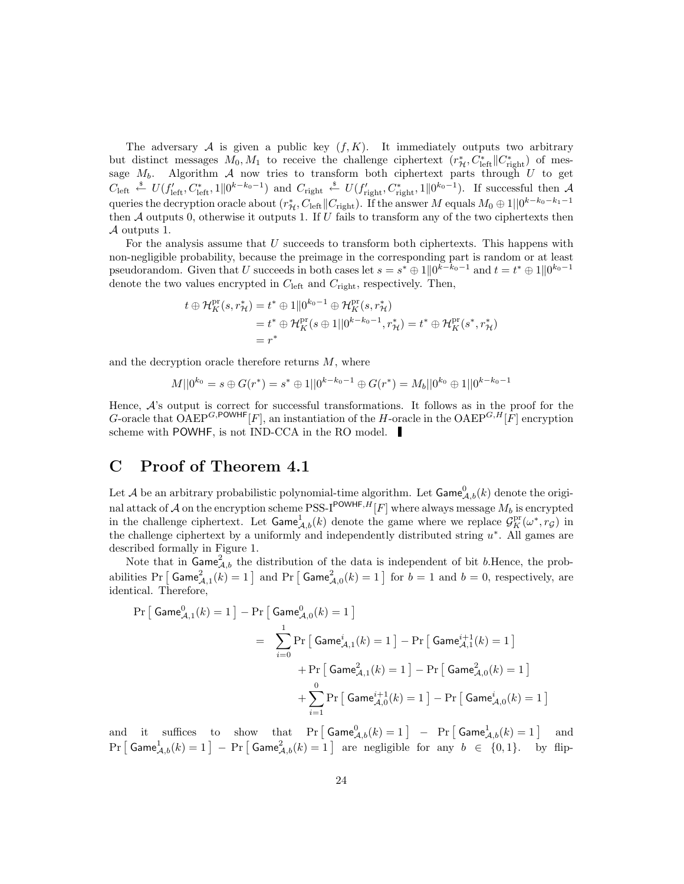The adversary  $A$  is given a public key  $(f, K)$ . It immediately outputs two arbitrary but distinct messages  $M_0, M_1$  to receive the challenge ciphertext  $(r^*_{\mathcal{H}}, C^*_{\text{left}} \| C^*_{\text{right}})$  of message  $M_b$ . Algorithm A now tries to transform both ciphertext parts through U to get  $C_{\text{left}} \stackrel{\hspace{0.1em}\mathsf{\scriptscriptstyle\$}}{\leftarrow} U(f'_{\text{left}}, C^*_{\text{left}}, 1 \| 0^{k-k_0-1})$  and  $C_{\text{right}} \stackrel{\hspace{0.1em}\mathsf{\scriptscriptstyle\$}}{\leftarrow} U(f'_{\text{right}}, C^*_{\text{right}}, 1 \| 0^{k_0-1})$ . If successful then A queries the decryption oracle about  $(r^*_{\mathcal{H}},C_{\text{left}}||C_{\text{right}})$ . If the answer M equals  $M_0 \oplus 1||0^{k-k_0-k_1-1}$ then  $A$  outputs 0, otherwise it outputs 1. If  $U$  fails to transform any of the two ciphertexts then A outputs 1.

For the analysis assume that U succeeds to transform both ciphertexts. This happens with non-negligible probability, because the preimage in the corresponding part is random or at least pseudorandom. Given that U succeeds in both cases let  $s = s^* \oplus 1||0^{k-k_0-1}$  and  $t = t^* \oplus 1||0^{k_0-1}$ denote the two values encrypted in  $C_{\text{left}}$  and  $C_{\text{right}}$ , respectively. Then,

$$
t \oplus \mathcal{H}_K^{\text{pr}}(s, r_{\mathcal{H}}^*) = t^* \oplus 1 || 0^{k_0 - 1} \oplus \mathcal{H}_K^{\text{pr}}(s, r_{\mathcal{H}}^*)
$$
  
=  $t^* \oplus \mathcal{H}_K^{\text{pr}}(s \oplus 1 || 0^{k - k_0 - 1}, r_{\mathcal{H}}^*) = t^* \oplus \mathcal{H}_K^{\text{pr}}(s^*, r_{\mathcal{H}}^*)$   
=  $r^*$ 

and the decryption oracle therefore returns  $M$ , where

$$
M||0^{k_0} = s \oplus G(r^*) = s^* \oplus 1||0^{k-k_0-1} \oplus G(r^*) = M_b||0^{k_0} \oplus 1||0^{k-k_0-1}
$$

Hence, A's output is correct for successful transformations. It follows as in the proof for the G-oracle that  $\widehat{O(\text{AEP}^{G,POWHF}[F])}$ , an instantiation of the H-oracle in the  $\widehat{O(\text{AEP}^{G,H}[F])}$  encryption scheme with POWHF, is not IND-CCA in the RO model.

# C Proof of Theorem 4.1

Let  $\mathcal A$  be an arbitrary probabilistic polynomial-time algorithm. Let  $\mathsf{Game}^0_{\mathcal A,b}(k)$  denote the original attack of A on the encryption scheme PSS-I<sup>POWHF,H</sup>[F] where always message  $M_b$  is encrypted in the challenge ciphertext. Let  $\text{Game}^1_{\mathcal{A},b}(k)$  denote the game where we replace  $\mathcal{G}_K^{\text{pr}}(\omega^*, r_g)$  in the challenge ciphertext by a uniformly and independently distributed string  $u^*$ . All games are described formally in Figure 1.

Note that in  $\textsf{Game}^2_{\mathcal{A},b}$  the distribution of the data is independent of bit b.Hence, the probabilities Pr  $\left[$  Game $_{A,1}^2(k) = 1$  and Pr  $\left[$  Game $_{A,0}^2(k) = 1$  for  $b = 1$  and  $b = 0$ , respectively, are identical. Therefore,

$$
\begin{aligned} \Pr\big[\ \mathsf{Game}^\mathsf{0}_{\mathcal{A},1}(k)=1\ \big] - \Pr\big[\ \mathsf{Game}^\mathsf{0}_{\mathcal{A},0}(k)=1\ \big] \\ = & \ \sum_{i=0}^1 \Pr\big[\ \mathsf{Game}^i_{\mathcal{A},1}(k)=1\ \big] - \Pr\big[\ \mathsf{Game}^{i+1}_{\mathcal{A},1}(k)=1\ \big] \\ & + \Pr\big[\ \mathsf{Game}^2_{\mathcal{A},1}(k)=1\ \big] - \Pr\big[\ \mathsf{Game}^2_{\mathcal{A},0}(k)=1\ \big] \\ + & \ \sum_{i=1}^0 \Pr\big[\ \mathsf{Game}^{i+1}_{\mathcal{A},0}(k)=1\ \big] - \Pr\big[\ \mathsf{Game}^i_{\mathcal{A},0}(k)=1\ \big] \end{aligned}
$$

and it suffices to show that  $Pr \left[ \textsf{Game}^0_{\mathcal{A},b}(k) = 1 \right]$  –  $Pr \left[ \textsf{Game}^1_{\mathcal{A},b}(k) = 1 \right]$ and  $\Pr\big[\mathsf{Game}^1_{\mathcal{A},b}(k) = 1\big] - \Pr\big[\mathsf{Game}^2_{\mathcal{A},b}(k) = 1\big]$  are negligible for any  $b \in \{0,1\}$ . by flip-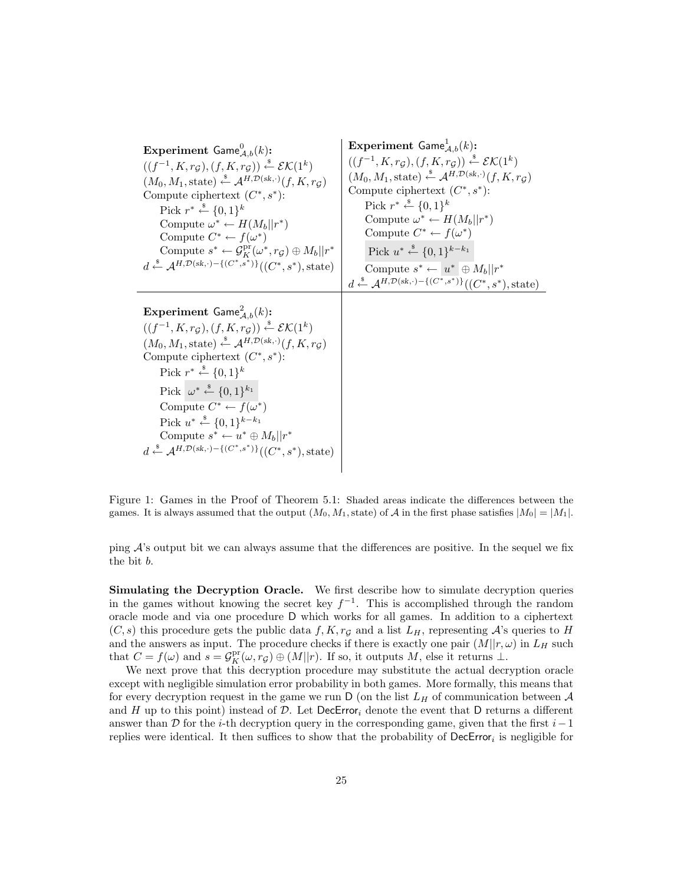| <b>Experiment Game</b> $_{A,b}^{0}(k)$ :<br>$((f^{-1}, K, r_G), (f, K, r_G)) \stackrel{\ast}{\leftarrow} \mathcal{EK}(1^k)$<br>$(M_0, M_1, \text{state}) \stackrel{\text{*}}{\leftarrow} \mathcal{A}^{H, \mathcal{D}(sk, \cdot)}(f, K, r_G)$<br>Compute ciphertext $(C^*, s^*)$ :<br>Pick $r^* \stackrel{\$}{\leftarrow} \{0,1\}^k$<br>Compute $\omega^* \leftarrow H(M_b  r^*)$<br>Compute $C^* \leftarrow f(\omega^*)$<br>Compute $s^* \leftarrow \mathcal{G}_K^{\text{pr}}(\omega^*, r_G) \oplus M_b  r^*$<br>$d \stackrel{\$}{\leftarrow} \mathcal{A}^{H,\mathcal{D}(sk,\cdot) - \{(C^*,s^*)\}}((C^*,s^*),state)$                                                                         | <b>Experiment Game</b> <sup>1</sup> $_A$ <sub><i>b</i></sub> $(k)$ <b>:</b><br>$((f^{-1}, K, r_G), (f, K, r_G)) \stackrel{\text{s}}{\leftarrow} \mathcal{EK}(1^k)$<br>$(M_0, M_1, \text{state}) \stackrel{\text{s}}{\leftarrow} \mathcal{A}^{H, \mathcal{D}(sk, \cdot)}(f, K, r_G)$<br>Compute ciphertext $(C^*, s^*)$ :<br>Pick $r^* \stackrel{\text{*}}{\leftarrow} \{0,1\}^k$<br>Compute $\omega^* \leftarrow H(M_b  r^*)$<br>Compute $C^* \leftarrow f(\omega^*)$<br>Pick $u^* \stackrel{\$}{\leftarrow} \{0,1\}^{k-k_1}$<br>Compute $s^* \leftarrow u^* \oplus M_b    r^*$<br>$d \stackrel{\$}{\leftarrow} \mathcal{A}^{H,\mathcal{D}(sk,\cdot) - \{ (C^*,s^*) \} }((C^*,s^*),state)$ |
|-----------------------------------------------------------------------------------------------------------------------------------------------------------------------------------------------------------------------------------------------------------------------------------------------------------------------------------------------------------------------------------------------------------------------------------------------------------------------------------------------------------------------------------------------------------------------------------------------------------------------------------------------------------------------------------------------|--------------------------------------------------------------------------------------------------------------------------------------------------------------------------------------------------------------------------------------------------------------------------------------------------------------------------------------------------------------------------------------------------------------------------------------------------------------------------------------------------------------------------------------------------------------------------------------------------------------------------------------------------------------------------------------------|
| <b>Experiment</b> Game $_{A,b}^2(k)$ :<br>$((f^{-1}, K, r_G), (f, K, r_G)) \stackrel{\ast}{\leftarrow} \mathcal{EK}(1^k)$<br>$(M_0, M_1, \text{state}) \stackrel{\text{s}}{\leftarrow} \mathcal{A}^{H, \mathcal{D}(sk, \cdot)}(f, K, r_G)$<br>Compute ciphertext $(C^*, s^*)$ :<br>Pick $r^* \stackrel{\text{*}}{\leftarrow} \{0,1\}^k$<br>Pick $\omega^* \stackrel{\hspace{0.1em}\mathsf{\scriptscriptstyle\$}}{\leftarrow} \{0,1\}^{k_1}$<br>Compute $C^* \leftarrow f(\omega^*)$<br>Pick $u^* \leftarrow \{0,1\}^{k-k_1}$<br>Compute $s^* \leftarrow u^* \oplus M_b    r^*$<br>$d \stackrel{\$}{\leftarrow} \mathcal{A}^{H,\mathcal{D}(sk,\cdot) - \{(C^*,s^*)\}}((C^*,s^*),\text{state})$ |                                                                                                                                                                                                                                                                                                                                                                                                                                                                                                                                                                                                                                                                                            |

Figure 1: Games in the Proof of Theorem 5.1: Shaded areas indicate the differences between the games. It is always assumed that the output  $(M_0, M_1, \text{state})$  of A in the first phase satisfies  $|M_0| = |M_1|$ .

ping  $\mathcal{A}$ 's output bit we can always assume that the differences are positive. In the sequel we fix the bit b.

Simulating the Decryption Oracle. We first describe how to simulate decryption queries in the games without knowing the secret key  $f^{-1}$ . This is accomplished through the random oracle mode and via one procedure D which works for all games. In addition to a ciphertext  $(C, s)$  this procedure gets the public data f, K, r<sub>G</sub> and a list  $L_H$ , representing A's queries to H and the answers as input. The procedure checks if there is exactly one pair  $(M||r, \omega)$  in  $L_H$  such that  $C = f(\omega)$  and  $s = \mathcal{G}_K^{\text{pr}}(\omega, r_{\mathcal{G}}) \oplus (M||r)$ . If so, it outputs M, else it returns  $\perp$ .

We next prove that this decryption procedure may substitute the actual decryption oracle except with negligible simulation error probability in both games. More formally, this means that for every decryption request in the game we run D (on the list  $L_H$  of communication between A and H up to this point) instead of  $D$ . Let DecError<sub>i</sub> denote the event that D returns a different answer than D for the i-th decryption query in the corresponding game, given that the first  $i-1$ replies were identical. It then suffices to show that the probability of  $\mathsf{DecError}_i$  is negligible for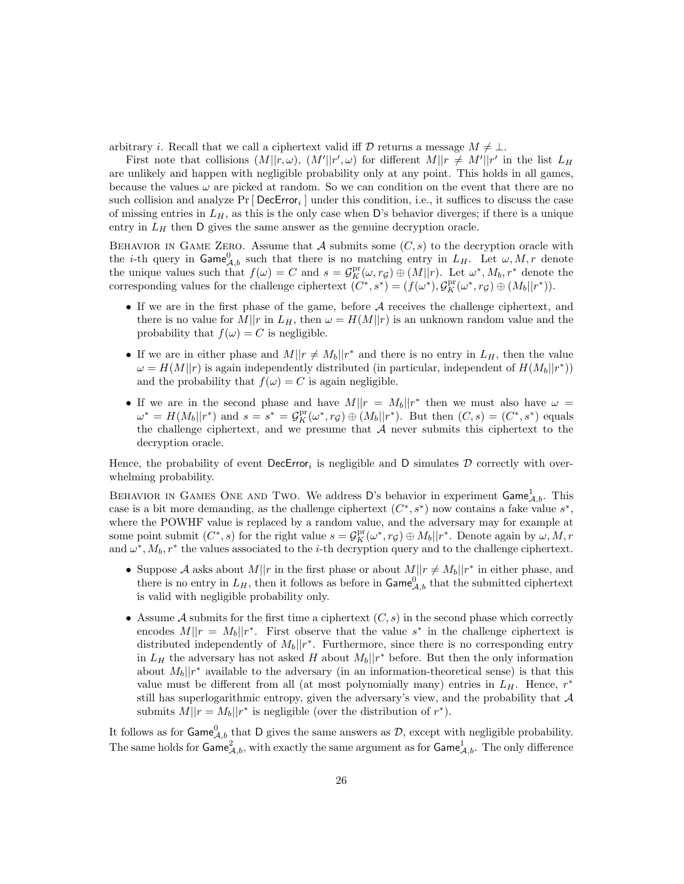arbitrary *i*. Recall that we call a ciphertext valid iff  $D$  returns a message  $M \neq \bot$ .

First note that collisions  $(M||r,\omega)$ ,  $(M'||r',\omega)$  for different  $M||r \neq M'||r'$  in the list  $L_H$ are unlikely and happen with negligible probability only at any point. This holds in all games, because the values  $\omega$  are picked at random. So we can condition on the event that there are no such collision and analyze  $Pr[\,$  DecError<sub>i</sub>  $]$  under this condition, i.e., it suffices to discuss the case of missing entries in  $L_H$ , as this is the only case when D's behavior diverges; if there is a unique entry in  $L_H$  then D gives the same answer as the genuine decryption oracle.

BEHAVIOR IN GAME ZERO. Assume that A submits some  $(C, s)$  to the decryption oracle with the *i*-th query in  $\textsf{Game}^0_{\mathcal{A},b}$  such that there is no matching entry in  $L_H$ . Let  $\omega, M, r$  denote the unique values such that  $f(\omega) = C$  and  $s = \mathcal{G}_K^{\text{pr}}(\omega, r_{\mathcal{G}}) \oplus (M||r)$ . Let  $\omega^*, M_b, r^*$  denote the corresponding values for the challenge ciphertext  $(C^*, s^*) = (f(\omega^*), \mathcal{G}_K^{\text{pr}}(\omega^*, r_g) \oplus (M_b||r^*)).$ 

- If we are in the first phase of the game, before A receives the challenge ciphertext, and there is no value for M||r in  $L_H$ , then  $\omega = H(M||r)$  is an unknown random value and the probability that  $f(\omega) = C$  is negligible.
- If we are in either phase and  $M||r \neq M_b||r^*$  and there is no entry in  $L_H$ , then the value  $\omega = H(M||r)$  is again independently distributed (in particular, independent of  $H(M_b||r^*))$ ) and the probability that  $f(\omega) = C$  is again negligible.
- If we are in the second phase and have  $M||r = M_b||r^*$  then we must also have  $\omega =$  $\omega^* = H(M_b||r^*)$  and  $s = s^* = \mathcal{G}_K^{\text{pr}}(\omega^*, r_g) \oplus (M_b||r^*)$ . But then  $(C, s) = (C^*, s^*)$  equals the challenge ciphertext, and we presume that  $A$  never submits this ciphertext to the decryption oracle.

Hence, the probability of event DecError<sub>i</sub> is negligible and D simulates  $D$  correctly with overwhelming probability.

BEHAVIOR IN GAMES ONE AND TWO. We address D's behavior in experiment  $\mathsf{Game}^1_{\mathcal{A},b}$ . This case is a bit more demanding, as the challenge ciphertext  $(C^*, s^*)$  now contains a fake value  $s^*$ , where the POWHF value is replaced by a random value, and the adversary may for example at some point submit  $(C^*, s)$  for the right value  $s = \mathcal{G}_K^{\text{pr}}(\omega^*, r_{\mathcal{G}}) \oplus M_b || r^*$ . Denote again by  $\omega, M, r$ and  $\omega^*, M_b, r^*$  the values associated to the *i*-th decryption query and to the challenge ciphertext.

- Suppose A asks about  $M||r$  in the first phase or about  $M||r \neq M_b||r^*$  in either phase, and there is no entry in  $L_H$ , then it follows as before in  $\mathsf{Game}^0_{\mathcal{A},b}$  that the submitted ciphertext is valid with negligible probability only.
- Assume A submits for the first time a ciphertext  $(C, s)$  in the second phase which correctly encodes  $M||r = M_b||r^*$ . First observe that the value  $s^*$  in the challenge ciphertext is distributed independently of  $M_b||r^*$ . Furthermore, since there is no corresponding entry in  $L_H$  the adversary has not asked H about  $M_b||r^*$  before. But then the only information about  $M_b||r^*$  available to the adversary (in an information-theoretical sense) is that this value must be different from all (at most polynomially many) entries in  $L_H$ . Hence,  $r^*$ still has superlogarithmic entropy, given the adversary's view, and the probability that  $A$ submits  $M||r = M_b||r^*$  is negligible (over the distribution of  $r^*$ ).

It follows as for  $\mathsf{Game}^0_{\mathcal{A},b}$  that D gives the same answers as D, except with negligible probability. The same holds for  $\textsf{Game}^2_{\mathcal{A},b}$ , with exactly the same argument as for  $\textsf{Game}^1_{\mathcal{A},b}$ . The only difference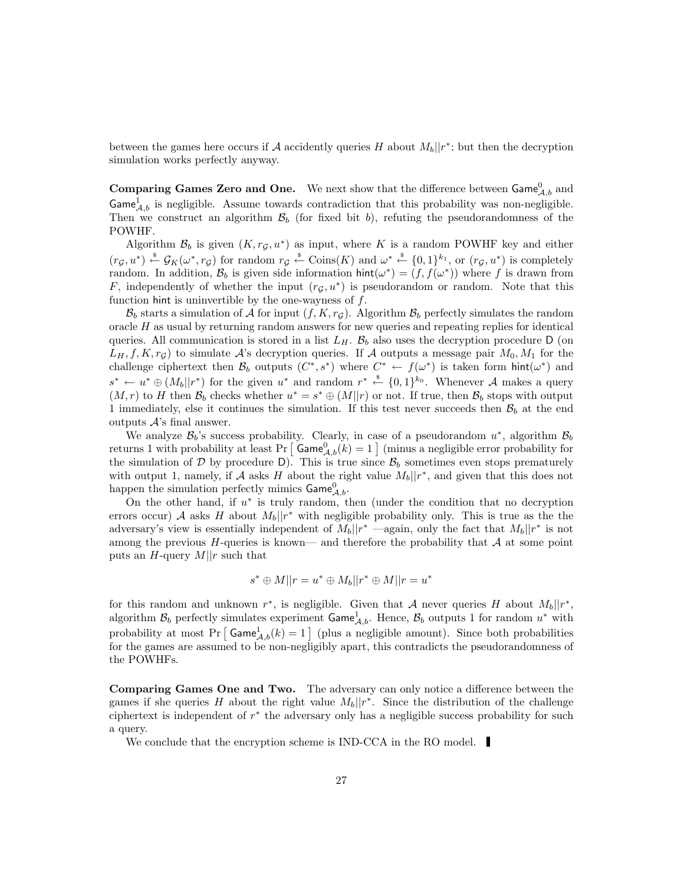between the games here occurs if A accidently queries H about  $M_b||r^*$ ; but then the decryption simulation works perfectly anyway.

**Comparing Games Zero and One.** We next show that the difference between  $\mathsf{Game}^0_{\mathcal{A},b}$  and Game<sup>1</sup><sub> $\mathcal{A},b$ </sub> is negligible. Assume towards contradiction that this probability was non-negligible. Then we construct an algorithm  $\mathcal{B}_b$  (for fixed bit b), refuting the pseudorandomness of the POWHF.

Algorithm  $\mathcal{B}_b$  is given  $(K, r_{\mathcal{G}}, u^*)$  as input, where K is a random POWHF key and either  $(r_G, u^*) \stackrel{\hspace{0.1em}\mathsf{\scriptscriptstyle\$}}{\leftarrow} \mathcal{G}_K(\omega^*, r_G)$  for random  $r_G \stackrel{\hspace{0.1em}\mathsf{\scriptscriptstyle\$}}{\leftarrow} \text{Coins}(K)$  and  $\omega^* \stackrel{\hspace{0.1em}\mathsf{\scriptscriptstyle\$}}{\leftarrow} \{0,1\}^{k_1}$ , or  $(r_G, u^*)$  is completely random. In addition,  $\mathcal{B}_b$  is given side information  $\text{hint}(\omega^*) = (f, f(\omega^*))$  where f is drawn from F, independently of whether the input  $(r<sub>G</sub>, u<sup>*</sup>)$  is pseudorandom or random. Note that this function hint is uninvertible by the one-wayness of  $f$ .

 $\mathcal{B}_b$  starts a simulation of A for input  $(f, K, r_g)$ . Algorithm  $\mathcal{B}_b$  perfectly simulates the random oracle  $H$  as usual by returning random answers for new queries and repeating replies for identical queries. All communication is stored in a list  $L_H$ .  $B_b$  also uses the decryption procedure D (on  $L_H, f, K, r_g$ ) to simulate A's decryption queries. If A outputs a message pair  $M_0, M_1$  for the challenge ciphertext then  $\mathcal{B}_b$  outputs  $(C^*, s^*)$  where  $C^* \leftarrow f(\omega^*)$  is taken form hint $(\omega^*)$  and  $s^* \leftarrow u^* \oplus (M_b||r^*)$  for the given  $u^*$  and random  $r^* \stackrel{\$}{\leftarrow} \{0,1\}^{k_0}$ . Whenever A makes a query  $(M, r)$  to H then  $\mathcal{B}_b$  checks whether  $u^* = s^* \oplus (M||r)$  or not. If true, then  $\mathcal{B}_b$  stops with output 1 immediately, else it continues the simulation. If this test never succeeds then  $B_b$  at the end outputs  $A$ 's final answer.

We analyze  $\mathcal{B}_b$ 's success probability. Clearly, in case of a pseudorandom  $u^*$ , algorithm  $\mathcal{B}_b$ returns 1 with probability at least  $Pr\left[ \text{ Game}_{\mathcal{A},b}^{0}(k) = 1 \right]$  (minus a negligible error probability for the simulation of D by procedure D). This is true since  $\mathcal{B}_b$  sometimes even stops prematurely with output 1, namely, if A asks H about the right value  $M_b||r^*$ , and given that this does not happen the simulation perfectly mimics  $\mathsf{Game}^0_{\mathcal{A},b}.$ 

On the other hand, if  $u^*$  is truly random, then (under the condition that no decryption errors occur) A asks H about  $M_b||r^*$  with negligible probability only. This is true as the the adversary's view is essentially independent of  $M_b||r^*$  —again, only the fact that  $M_b||r^*$  is not among the previous  $H$ -queries is known— and therefore the probability that  $A$  at some point puts an H-query  $M||r$  such that

$$
s^* \oplus M||r = u^* \oplus M_b||r^* \oplus M||r = u^*
$$

for this random and unknown  $r^*$ , is negligible. Given that A never queries H about  $M_b||r^*$ , algorithm  $\mathcal{B}_b$  perfectly simulates experiment  $\mathsf{Game}^1_{\mathcal{A},b}$ . Hence,  $\mathcal{B}_b$  outputs 1 for random  $u^*$  with probability at most Pr  $\left[$  Game $_{A,b}^{1}(k) = 1 \right]$  (plus a negligible amount). Since both probabilities for the games are assumed to be non-negligibly apart, this contradicts the pseudorandomness of the POWHFs.

Comparing Games One and Two. The adversary can only notice a difference between the games if she queries H about the right value  $M_b||r^*$ . Since the distribution of the challenge ciphertext is independent of  $r^*$  the adversary only has a negligible success probability for such a query.

We conclude that the encryption scheme is IND-CCA in the RO model.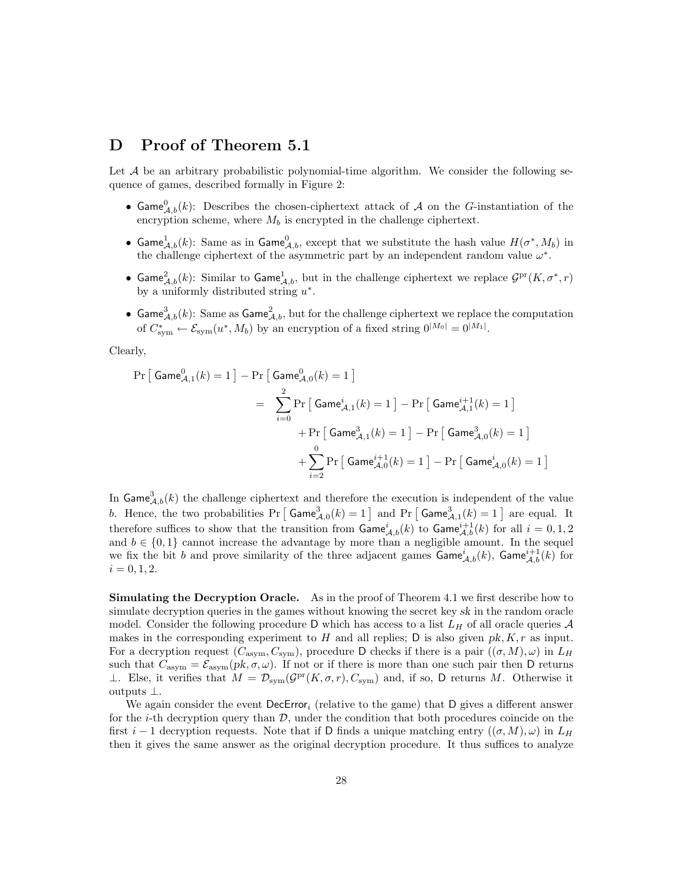# D Proof of Theorem 5.1

Let  $A$  be an arbitrary probabilistic polynomial-time algorithm. We consider the following sequence of games, described formally in Figure 2:

- Game $_{\mathcal{A},b}^{0}(k)$ : Describes the chosen-ciphertext attack of A on the G-instantiation of the encryption scheme, where  $M_b$  is encrypted in the challenge ciphertext.
- Game $^1_{A,b}(k)$ : Same as in Game $^0_{A,b}$ , except that we substitute the hash value  $H(\sigma^*, M_b)$  in the challenge ciphertext of the asymmetric part by an independent random value  $\omega^*$ .
- Game $^2_{\mathcal{A},b}(k)$ : Similar to Game $^1_{\mathcal{A},b}$ , but in the challenge ciphertext we replace  $\mathcal{G}^{\text{pr}}(K,\sigma^*,r)$ by a uniformly distributed string  $u^*$ .
- Game<sub> $A,b$ </sub> $(k)$ : Same as Game<sub> $A,b$ </sub>, but for the challenge ciphertext we replace the computation of  $C^*_{sym} \leftarrow \mathcal{E}_{sym}(u^*, M_b)$  by an encryption of a fixed string  $0^{|M_0|} = 0^{|M_1|}$ .

Clearly,

$$
\begin{aligned} \Pr\left[\ \mathsf{Game}^0_{\mathcal{A},1}(k)=1 \ \right] - \Pr\left[\ \mathsf{Game}^0_{\mathcal{A},0}(k)=1 \ \right] \\ = & \ \sum_{i=0}^2 \Pr\left[\ \mathsf{Game}^i_{\mathcal{A},1}(k)=1 \ \right] - \Pr\left[\ \mathsf{Game}^{i+1}_{\mathcal{A},1}(k)=1 \ \right] \\ & + \Pr\left[\ \mathsf{Game}^3_{\mathcal{A},1}(k)=1 \ \right] - \Pr\left[\ \mathsf{Game}^3_{\mathcal{A},0}(k)=1 \ \right] \\ + & \sum_{i=2}^0 \Pr\left[\ \mathsf{Game}^{i+1}_{\mathcal{A},0}(k)=1 \ \right] - \Pr\left[\ \mathsf{Game}^i_{\mathcal{A},0}(k)=1 \ \right] \end{aligned}
$$

In  $\mathsf{Game}^3_{\mathcal{A},b}(k)$  the challenge ciphertext and therefore the execution is independent of the value b. Hence, the two probabilities  $Pr\left[Game_{\mathcal{A},0}^{3}(k) = 1 \right]$  and  $Pr\left[Game_{\mathcal{A},1}^{3}(k) = 1 \right]$  are equal. It therefore suffices to show that the transition from  $\textsf{Game}^i_{\mathcal{A},b}(k)$  to  $\textsf{Game}^{i+1}_{\mathcal{A},b}(k)$  for all  $i = 0,1,2$ and  $b \in \{0,1\}$  cannot increase the advantage by more than a negligible amount. In the sequel we fix the bit b and prove similarity of the three adjacent games  $\overline{Game}^i_{A,b}(k)$ ,  $Game^{i+1}_{A,b}(k)$  for  $i = 0, 1, 2.$ 

Simulating the Decryption Oracle. As in the proof of Theorem 4.1 we first describe how to simulate decryption queries in the games without knowing the secret key sk in the random oracle model. Consider the following procedure D which has access to a list  $L_H$  of all oracle queries A makes in the corresponding experiment to  $H$  and all replies; D is also given  $pk, K, r$  as input. For a decryption request  $(C_{\text{asym}}, C_{\text{sym}})$ , procedure D checks if there is a pair  $((\sigma, M), \omega)$  in  $L_H$ such that  $C_{\text{asym}} = \mathcal{E}_{\text{asym}}(pk, \sigma, \omega)$ . If not or if there is more than one such pair then D returns ⊥. Else, it verifies that  $M = \mathcal{D}_{sym}(\mathcal{G}^{\text{pr}}(K,\sigma,r),C_{sym})$  and, if so, D returns M. Otherwise it outputs ⊥.

We again consider the event DecError<sub>i</sub> (relative to the game) that D gives a different answer for the *i*-th decryption query than  $D$ , under the condition that both procedures coincide on the first i − 1 decryption requests. Note that if D finds a unique matching entry  $((\sigma, M), \omega)$  in  $L_H$ then it gives the same answer as the original decryption procedure. It thus suffices to analyze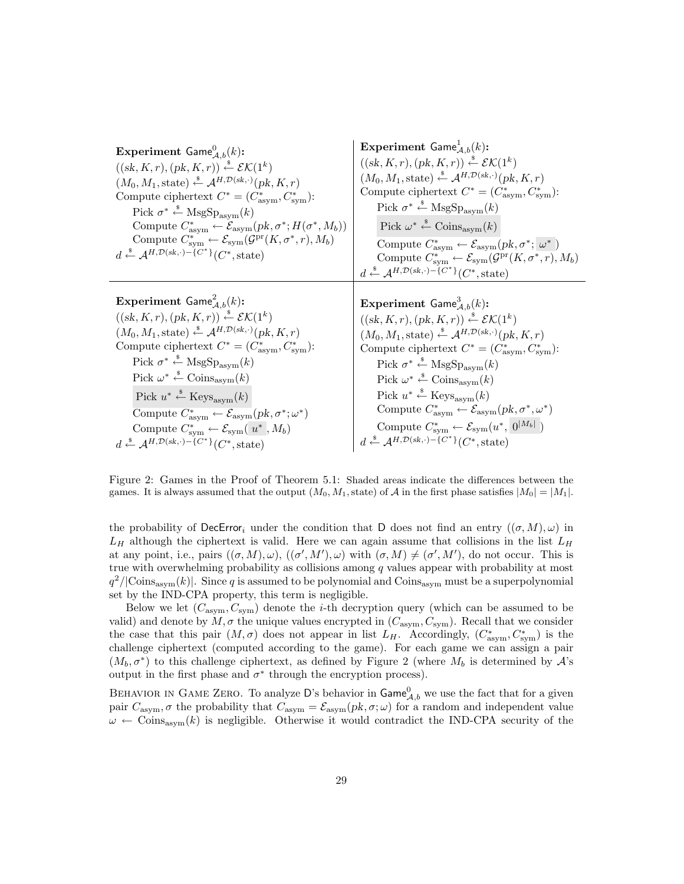| <b>Experiment Game</b> $_{A,b}^{0}(k)$ :<br>$((sk, K, r), (pk, K, r)) \stackrel{\$}{\leftarrow} \mathcal{EK}(1^k)$<br>$(M_0, M_1, \text{state}) \stackrel{\text{*}}{\leftarrow} \mathcal{A}^{H, \mathcal{D}(sk, \cdot)}(pk, K, r)$<br>Compute ciphertext $C^* = (C^*_{\text{asym}}, C^*_{\text{sym}})$ :<br>Pick $\sigma^* \stackrel{\text{s}}{\leftarrow} \text{MsgSp}_{\text{asym}}(k)$<br>Compute $C^*_{\text{asym}} \leftarrow \mathcal{E}_{\text{asym}}(pk, \sigma^*; H(\sigma^*, M_b))$<br>Compute $C^*_{sym} \leftarrow \mathcal{E}_{sym}(\mathcal{G}^{\text{pr}}(K, \sigma^*, r), M_b)$<br>$d \stackrel{\$}{\leftarrow} \mathcal{A}^{H,\mathcal{D}(sk,\cdot)-\{C^*\}}(C^*,\text{state})$ | <b>Experiment Game</b> $_{A,b}^{L}(k)$ :<br>$((sk, K, r), (pk, K, r)) \stackrel{\$}{\leftarrow} \mathcal{EK}(1^k)$<br>$(M_0, M_1, \text{state}) \stackrel{\text{*}}{\leftarrow} \mathcal{A}^{H, \mathcal{D}(sk, \cdot)}(pk, K, r)$<br>Compute ciphertext $C^* = (C^*_{\text{asym}}, C^*_{\text{sym}})$ :<br>Pick $\sigma^* \stackrel{\text{*}}{\leftarrow} \text{MsgSp}_{\text{asym}}(k)$<br>Pick $\omega^* \stackrel{\$}{\leftarrow} \text{Coins}_{\text{asym}}(k)$<br>Compute $C^*_{\text{asym}} \leftarrow \mathcal{E}_{\text{asym}}(pk, \sigma^*; \omega^*)$<br>Compute $C^*_{sym} \leftarrow \mathcal{E}_{sym}(\mathcal{G}^{\text{pr}}(K, \sigma^*, r), M_b)$<br>$d \stackrel{\$}{\leftarrow} \mathcal{A}^{H,\mathcal{D}(\text{sk},\cdot) - \{C^*\}}(C^*,\text{state})$ |
|--------------------------------------------------------------------------------------------------------------------------------------------------------------------------------------------------------------------------------------------------------------------------------------------------------------------------------------------------------------------------------------------------------------------------------------------------------------------------------------------------------------------------------------------------------------------------------------------------------------------------------------------------------------------------------------------------|------------------------------------------------------------------------------------------------------------------------------------------------------------------------------------------------------------------------------------------------------------------------------------------------------------------------------------------------------------------------------------------------------------------------------------------------------------------------------------------------------------------------------------------------------------------------------------------------------------------------------------------------------------------------------------------------------------------------------------------------------------------------------|
| <b>Experiment Game</b> $_{A,b}^2(k)$ :                                                                                                                                                                                                                                                                                                                                                                                                                                                                                                                                                                                                                                                           | <b>Experiment</b> Game $^{3}_{A,b}(k)$ :                                                                                                                                                                                                                                                                                                                                                                                                                                                                                                                                                                                                                                                                                                                                     |
| $((sk, K, r), (pk, K, r)) \stackrel{\$}{\leftarrow} \mathcal{EK}(1^k)$                                                                                                                                                                                                                                                                                                                                                                                                                                                                                                                                                                                                                           | $((sk, K, r), (pk, K, r)) \stackrel{\$}{\leftarrow} \mathcal{EK}(1^k)$                                                                                                                                                                                                                                                                                                                                                                                                                                                                                                                                                                                                                                                                                                       |
| $(M_0, M_1, \text{state}) \stackrel{\text{*}}{\leftarrow} \mathcal{A}^{H, \mathcal{D}(sk, \cdot)}(pk, K, r)$                                                                                                                                                                                                                                                                                                                                                                                                                                                                                                                                                                                     | $(M_0, M_1, \text{state}) \stackrel{\text{*}}{\leftarrow} \mathcal{A}^{H, \mathcal{D}(sk, \cdot)}(pk, K, r)$                                                                                                                                                                                                                                                                                                                                                                                                                                                                                                                                                                                                                                                                 |
| Compute ciphertext $C^* = (C^*_{\text{asym}}, C^*_{\text{sym}})$ :                                                                                                                                                                                                                                                                                                                                                                                                                                                                                                                                                                                                                               | Compute ciphertext $C^* = (C^*_{\text{asym}}, C^*_{\text{sym}})$ :                                                                                                                                                                                                                                                                                                                                                                                                                                                                                                                                                                                                                                                                                                           |
| Pick $\sigma^* \stackrel{\text{s}}{\leftarrow} \text{MsgSp}_{\text{asym}}(k)$                                                                                                                                                                                                                                                                                                                                                                                                                                                                                                                                                                                                                    | Pick $\sigma^* \stackrel{\hspace{0.1em}\mathsf{\scriptscriptstyle\$}}{\leftarrow} \mathrm{MsgSp}_{\mathrm{asym}}(k)$                                                                                                                                                                                                                                                                                                                                                                                                                                                                                                                                                                                                                                                         |
| Pick $\omega^* \stackrel{\hspace{0.1em}\mathsf{\scriptscriptstyle\$}}{\leftarrow} \operatorname{Coins}_{\text{asym}}(k)$                                                                                                                                                                                                                                                                                                                                                                                                                                                                                                                                                                         | Pick $\omega^* \stackrel{\text{*}}{\leftarrow} \text{Coins}_{\text{asym}}(k)$                                                                                                                                                                                                                                                                                                                                                                                                                                                                                                                                                                                                                                                                                                |
| Pick $u^* \stackrel{\text{s}}{\leftarrow} \text{Keys}_{\text{asym}}(k)$                                                                                                                                                                                                                                                                                                                                                                                                                                                                                                                                                                                                                          | Pick $u^* \overset{\text{*}}{\leftarrow}$ Keys <sub>asym</sub> $(k)$                                                                                                                                                                                                                                                                                                                                                                                                                                                                                                                                                                                                                                                                                                         |
| Compute $C^*_{\text{asym}} \leftarrow \mathcal{E}_{\text{asym}}(pk, \sigma^*; \omega^*)$                                                                                                                                                                                                                                                                                                                                                                                                                                                                                                                                                                                                         | Compute $C^*_{\text{asym}} \leftarrow \mathcal{E}_{\text{asym}}(pk, \sigma^*, \omega^*)$                                                                                                                                                                                                                                                                                                                                                                                                                                                                                                                                                                                                                                                                                     |
| Compute $C^*_{sym} \leftarrow \mathcal{E}_{sym}(u^*, M_b)$                                                                                                                                                                                                                                                                                                                                                                                                                                                                                                                                                                                                                                       | Compute $C^*_{sym} \leftarrow \mathcal{E}_{sym}(u^*, 0^{ M_b })$                                                                                                                                                                                                                                                                                                                                                                                                                                                                                                                                                                                                                                                                                                             |
| $d \stackrel{\$}{\leftarrow} \mathcal{A}^{H,\mathcal{D}(\text{sk},\cdot)-\{C^*\}}(C^*,\text{state})$                                                                                                                                                                                                                                                                                                                                                                                                                                                                                                                                                                                             | $d \stackrel{\$}{\leftarrow} \mathcal{A}^{H,\mathcal{D}(sk,\cdot)-\{C^*\}}(C^*,\text{state})$                                                                                                                                                                                                                                                                                                                                                                                                                                                                                                                                                                                                                                                                                |

Figure 2: Games in the Proof of Theorem 5.1: Shaded areas indicate the differences between the games. It is always assumed that the output  $(M_0, M_1, \text{state})$  of A in the first phase satisfies  $|M_0| = |M_1|$ .

the probability of DecError<sub>i</sub> under the condition that D does not find an entry  $((\sigma, M), \omega)$  in  $L_H$  although the ciphertext is valid. Here we can again assume that collisions in the list  $L_H$ at any point, i.e., pairs  $((\sigma, M), \omega)$ ,  $((\sigma', M'), \omega)$  with  $(\sigma, M) \neq (\sigma', M')$ , do not occur. This is true with overwhelming probability as collisions among q values appear with probability at most  $q^2/|\text{Coins}_{\text{asym}}(k)|$ . Since q is assumed to be polynomial and Coins<sub>asym</sub> must be a superpolynomial set by the IND-CPA property, this term is negligible.

Below we let  $(C_{\text{asym}}, C_{\text{sym}})$  denote the *i*-th decryption query (which can be assumed to be valid) and denote by  $M, \sigma$  the unique values encrypted in  $(C_{\text{asym}}, C_{\text{sym}})$ . Recall that we consider the case that this pair  $(M, \sigma)$  does not appear in list  $L_H$ . Accordingly,  $(C^*_{\text{asym}}, C^*_{\text{sym}})$  is the challenge ciphertext (computed according to the game). For each game we can assign a pair  $(M_b, \sigma^*)$  to this challenge ciphertext, as defined by Figure 2 (where  $M_b$  is determined by  $\mathcal{A}$ 's output in the first phase and  $\sigma^*$  through the encryption process).

BEHAVIOR IN GAME ZERO. To analyze D's behavior in  $\mathsf{Game}^0_{\mathcal{A},b}$  we use the fact that for a given pair  $C_{\text{asym}}$ ,  $\sigma$  the probability that  $C_{\text{asym}} = \mathcal{E}_{\text{asym}}(pk, \sigma; \omega)$  for a random and independent value  $\omega \leftarrow$  Coins<sub>asym</sub> $(k)$  is negligible. Otherwise it would contradict the IND-CPA security of the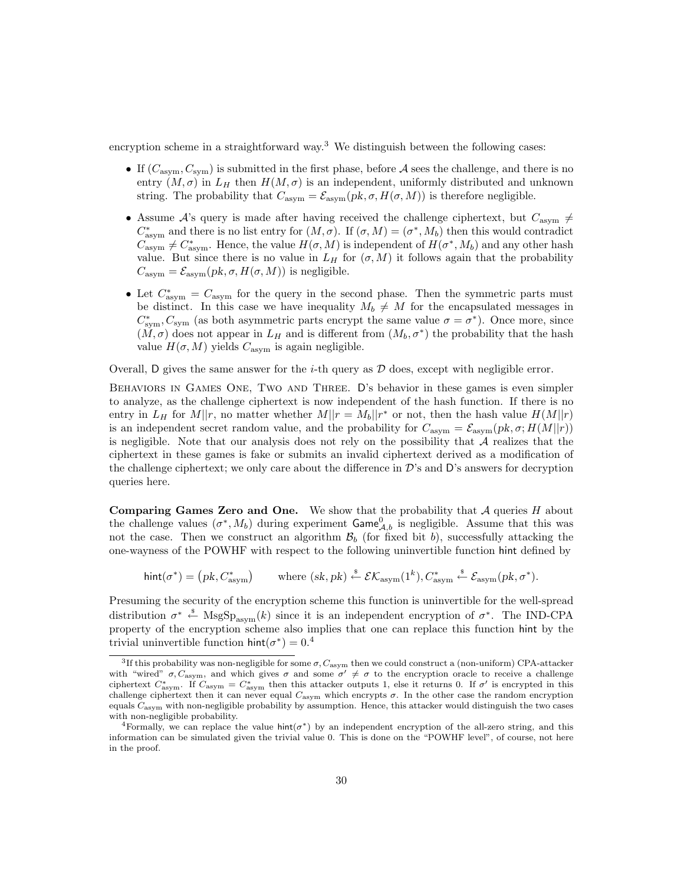encryption scheme in a straightforward way.<sup>3</sup> We distinguish between the following cases:

- If  $(C_{\text{asym}}, C_{\text{sym}})$  is submitted in the first phase, before A sees the challenge, and there is no entry  $(M, \sigma)$  in  $L_H$  then  $H(M, \sigma)$  is an independent, uniformly distributed and unknown string. The probability that  $C_{\text{asym}} = \mathcal{E}_{\text{asym}}(pk, \sigma, H(\sigma, M))$  is therefore negligible.
- Assume A's query is made after having received the challenge ciphertext, but  $C_{\text{asym}} \neq$  $C^*_{\text{asym}}$  and there is no list entry for  $(M, \sigma)$ . If  $(\sigma, M) = (\sigma^*, M_b)$  then this would contradict  $C_{\text{asym}}^{\dagger} \neq C_{\text{asym}}^*$ . Hence, the value  $H(\sigma, M)$  is independent of  $H(\sigma^*, M_b)$  and any other hash value. But since there is no value in  $L_H$  for  $(\sigma, M)$  it follows again that the probability  $C_{\text{asym}} = \mathcal{E}_{\text{asym}}(pk, \sigma, H(\sigma, M))$  is negligible.
- Let  $C^*_{\text{asym}} = C_{\text{asym}}$  for the query in the second phase. Then the symmetric parts must be distinct. In this case we have inequality  $M_b \neq M$  for the encapsulated messages in  $C_{sym}^*$ ,  $C_{sym}$  (as both asymmetric parts encrypt the same value  $\sigma = \sigma^*$ ). Once more, since  $(M, \sigma)$  does not appear in  $L_H$  and is different from  $(M_b, \sigma^*)$  the probability that the hash value  $H(\sigma, M)$  yields  $C_{\text{asym}}$  is again negligible.

Overall, D gives the same answer for the *i*-th query as  $D$  does, except with negligible error.

Behaviors in Games One, Two and Three. D's behavior in these games is even simpler to analyze, as the challenge ciphertext is now independent of the hash function. If there is no entry in  $L_H$  for  $M||r$ , no matter whether  $M||r = M_b||r^*$  or not, then the hash value  $H(M||r)$ is an independent secret random value, and the probability for  $C_{\text{asym}} = \mathcal{E}_{\text{asym}}(pk, \sigma; H(M||r))$ is negligible. Note that our analysis does not rely on the possibility that  $A$  realizes that the ciphertext in these games is fake or submits an invalid ciphertext derived as a modification of the challenge ciphertext; we only care about the difference in  $\mathcal{D}$ 's and  $\mathcal{D}$ 's answers for decryption queries here.

**Comparing Games Zero and One.** We show that the probability that  $A$  queries  $H$  about the challenge values  $(\sigma^*, M_b)$  during experiment  $Game_{\mathcal{A},b}^0$  is negligible. Assume that this was not the case. Then we construct an algorithm  $B_b$  (for fixed bit b), successfully attacking the one-wayness of the POWHF with respect to the following uninvertible function hint defined by

 $\text{hint}(\sigma^*) = (pk, C^*_{\text{asym}})$  where  $(\text{sk}, pk) \overset{\$}{\leftarrow} \mathcal{EK}_{\text{asym}}(1^k), C^*_{\text{asym}} \overset{\$}{\leftarrow} \mathcal{E}_{\text{asym}}(pk, \sigma^*).$ 

Presuming the security of the encryption scheme this function is uninvertible for the well-spread distribution  $\sigma^* \leftarrow \text{MsgSp}_{\text{asym}}(k)$  since it is an independent encryption of  $\sigma^*$ . The IND-CPA property of the encryption scheme also implies that one can replace this function hint by the trivial uninvertible function  $\text{hint}(\sigma^*) = 0.4$ 

<sup>&</sup>lt;sup>3</sup>If this probability was non-negligible for some  $\sigma$ ,  $C_{\text{asym}}$  then we could construct a (non-uniform) CPA-attacker with "wired"  $\sigma$ , C<sub>asym</sub>, and which gives  $\sigma$  and some  $\sigma' \neq \sigma$  to the encryption oracle to receive a challenge ciphertext  $C^*_{\text{asym}}$ . If  $C_{\text{asym}} = C^*_{\text{asym}}$  then this attacker outputs 1, else it returns 0. If  $\sigma'$  is encrypted in this challenge ciphertext then it can never equal  $C_{\text{asym}}$  which encrypts  $\sigma$ . In the other case the random encryption equals  $\tilde{C}_{\text{asym}}$  with non-negligible probability by assumption. Hence, this attacker would distinguish the two cases with non-negligible probability.

<sup>&</sup>lt;sup>4</sup>Formally, we can replace the value  $\text{hint}(\sigma^*)$  by an independent encryption of the all-zero string, and this information can be simulated given the trivial value 0. This is done on the "POWHF level", of course, not here in the proof.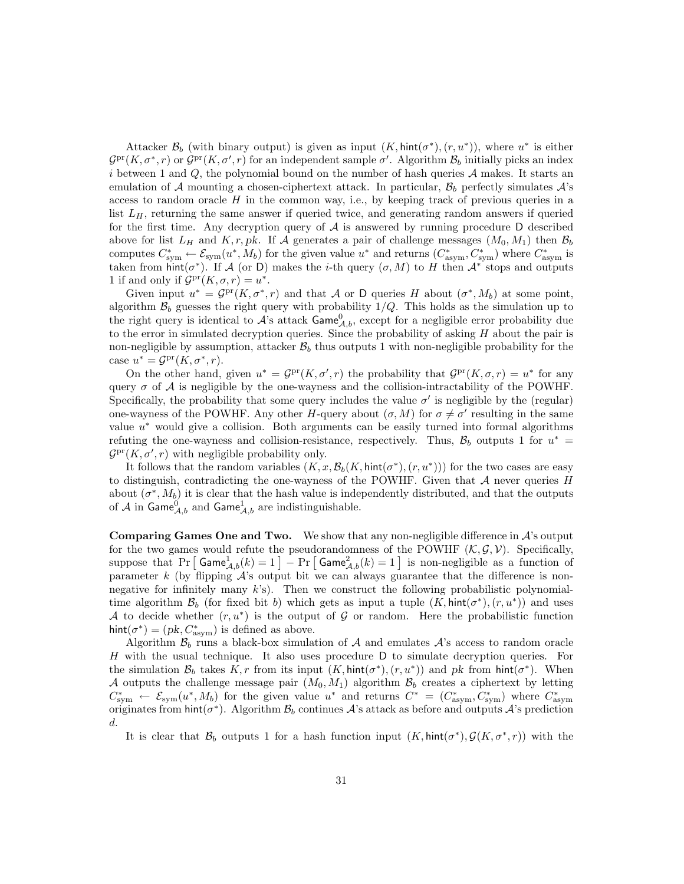Attacker  $\mathcal{B}_b$  (with binary output) is given as input  $(K, \text{hint}(\sigma^*), (r, u^*))$ , where  $u^*$  is either  $\mathcal{G}^{\text{pr}}(K,\sigma^*,r)$  or  $\mathcal{G}^{\text{pr}}(K,\sigma',r)$  for an independent sample  $\sigma'$ . Algorithm  $\mathcal{B}_b$  initially picks an index i between 1 and  $Q$ , the polynomial bound on the number of hash queries  $A$  makes. It starts an emulation of A mounting a chosen-ciphertext attack. In particular,  $B_b$  perfectly simulates  $A$ 's access to random oracle  $H$  in the common way, i.e., by keeping track of previous queries in a list  $L_H$ , returning the same answer if queried twice, and generating random answers if queried for the first time. Any decryption query of  $A$  is answered by running procedure  $D$  described above for list  $L_H$  and K, r, pk. If A generates a pair of challenge messages  $(M_0, M_1)$  then  $\mathcal{B}_b$ computes  $C^*_{sym} \leftarrow \mathcal{E}_{sym}(u^*, M_b)$  for the given value  $u^*$  and returns  $(C^*_{asym}, C^*_{sym})$  where  $C^*_{asym}$  is taken from  $\text{hint}(\sigma^*)$ . If A (or D) makes the *i*-th query  $(\sigma, M)$  to H then  $\mathcal{A}^*$  stops and outputs 1 if and only if  $\mathcal{G}^{\text{pr}}(K, \sigma, r) = u^*$ .

Given input  $u^* = \mathcal{G}^{\text{pr}}(K, \sigma^*, r)$  and that A or D queries H about  $(\sigma^*, M_b)$  at some point, algorithm  $\mathcal{B}_b$  guesses the right query with probability 1/Q. This holds as the simulation up to the right query is identical to A's attack  $\mathsf{Game}^0_{\mathcal{A},b}$ , except for a negligible error probability due to the error in simulated decryption queries. Since the probability of asking  $H$  about the pair is non-negligible by assumption, attacker  $B<sub>b</sub>$  thus outputs 1 with non-negligible probability for the case  $u^* = \mathcal{G}^{\text{pr}}(K, \sigma^*, r)$ .

On the other hand, given  $u^* = \mathcal{G}^{\text{pr}}(K, \sigma', r)$  the probability that  $\mathcal{G}^{\text{pr}}(K, \sigma, r) = u^*$  for any query  $\sigma$  of  $\mathcal A$  is negligible by the one-wayness and the collision-intractability of the POWHF. Specifically, the probability that some query includes the value  $\sigma'$  is negligible by the (regular) one-wayness of the POWHF. Any other H-query about  $(\sigma, M)$  for  $\sigma \neq \sigma'$  resulting in the same value  $u^*$  would give a collision. Both arguments can be easily turned into formal algorithms refuting the one-wayness and collision-resistance, respectively. Thus,  $\mathcal{B}_b$  outputs 1 for  $u^*$  =  $\mathcal{G}^{\text{pr}}(K, \sigma', r)$  with negligible probability only.

It follows that the random variables  $(K, x, \mathcal{B}_b(K, \text{hint}(\sigma^*), (r, u^*)))$  for the two cases are easy to distinguish, contradicting the one-wayness of the POWHF. Given that  $A$  never queries  $H$ about  $(\sigma^*, M_b)$  it is clear that the hash value is independently distributed, and that the outputs of  $\mathcal A$  in  $\mathsf{Game}^0_{\mathcal A,b}$  and  $\mathsf{Game}^1_{\mathcal A,b}$  are indistinguishable.

**Comparing Games One and Two.** We show that any non-negligible difference in  $\mathcal{A}$ 's output for the two games would refute the pseudorandomness of the POWHF  $(K, \mathcal{G}, \mathcal{V})$ . Specifically, suppose that  $Pr\left[$  Game $_{A,b}^{1}(k) = 1 \right] - Pr\left[$  Game $_{A,b}^{2}(k) = 1 \right]$  is non-negligible as a function of parameter k (by flipping  $\mathcal{A}$ 's output bit we can always guarantee that the difference is nonnegative for infinitely many  $k$ 's). Then we construct the following probabilistic polynomialtime algorithm  $\mathcal{B}_b$  (for fixed bit b) which gets as input a tuple  $(K, \text{hint}(\sigma^*), (r, u^*))$  and uses A to decide whether  $(r, u^*)$  is the output of G or random. Here the probabilistic function  $\text{hint}(\sigma^*) = (pk, C^*_{\text{asym}})$  is defined as above.

Algorithm  $\mathcal{B}_b$  runs a black-box simulation of A and emulates A's access to random oracle H with the usual technique. It also uses procedure D to simulate decryption queries. For the simulation  $\mathcal{B}_b$  takes K, r from its input  $(K, \text{hint}(\sigma^*), (r, u^*))$  and pk from  $\text{hint}(\sigma^*)$ . When A outputs the challenge message pair  $(M_0, M_1)$  algorithm  $\mathcal{B}_b$  creates a ciphertext by letting  $C_{\text{sym}}^* \leftarrow \mathcal{E}_{\text{sym}}(u^*, M_b)$  for the given value  $u^*$  and returns  $C^* = (C_{\text{asym}}^*, C_{\text{sym}}^*)$  where  $C_{\text{asym}}^*$  originates from hint $(\sigma^*)$ . Algorithm  $\mathcal{B}_b$  continues  $\mathcal{A}$ 's attack as before and outputs  $\mathcal{A$ d.

It is clear that  $\mathcal{B}_b$  outputs 1 for a hash function input  $(K, \text{hint}(\sigma^*), \mathcal{G}(K, \sigma^*, r))$  with the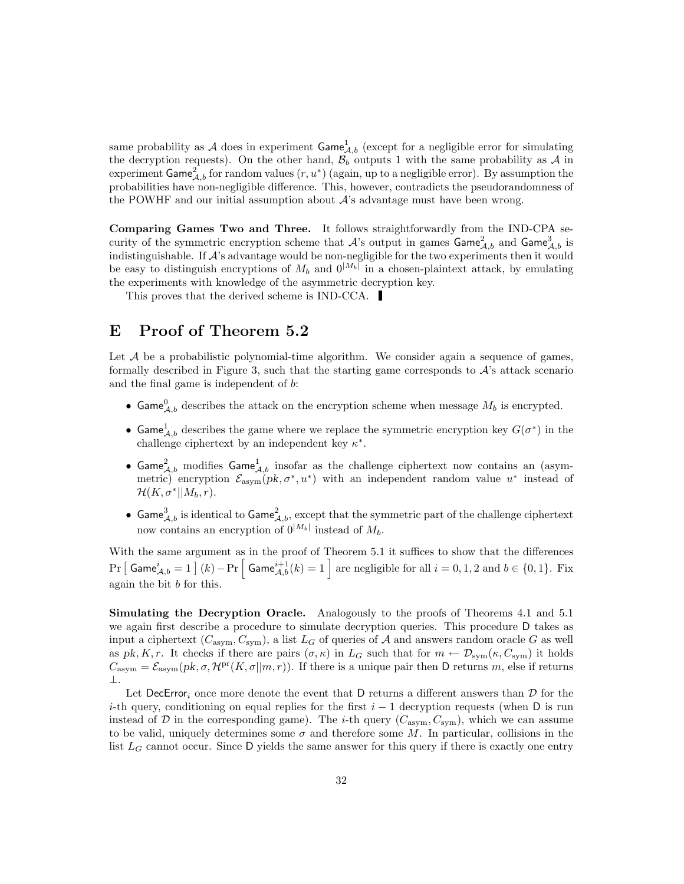same probability as  $A$  does in experiment  $\textsf{Game}^1_{A,b}$  (except for a negligible error for simulating the decryption requests). On the other hand,  $\mathcal{B}_b$  outputs 1 with the same probability as A in experiment  $\textsf{Game}^2_{\mathcal{A},b}$  for random values  $(r, u^*)$  (again, up to a negligible error). By assumption the probabilities have non-negligible difference. This, however, contradicts the pseudorandomness of the POWHF and our initial assumption about  $\mathcal{A}$ 's advantage must have been wrong.

Comparing Games Two and Three. It follows straightforwardly from the IND-CPA security of the symmetric encryption scheme that  $\mathcal{A}$ 's output in games  $\mathsf{Game}^2_{\mathcal{A},b}$  and  $\mathsf{Game}^3_{\mathcal{A},b}$  is indistinguishable. If A's advantage would be non-negligible for the two experiments then it would be easy to distinguish encryptions of  $M_b$  and  $0^{|M_b|}$  in a chosen-plaintext attack, by emulating the experiments with knowledge of the asymmetric decryption key.

This proves that the derived scheme is IND-CCA.

# E Proof of Theorem 5.2

Let  $A$  be a probabilistic polynomial-time algorithm. We consider again a sequence of games, formally described in Figure 3, such that the starting game corresponds to  $\mathcal{A}$ 's attack scenario and the final game is independent of b:

- Game $^0_{A,b}$  describes the attack on the encryption scheme when message  $M_b$  is encrypted.
- Game<sup>1</sup><sub>*A*,*b*</sub> describes the game where we replace the symmetric encryption key  $G(\sigma^*)$  in the challenge ciphertext by an independent key  $\kappa^*$ .
- Game<sup>2</sup><sub> $A,b$ </sub> modifies Game<sup>1</sup><sub> $A,b$ </sub> insofar as the challenge ciphertext now contains an (asymmetric) encryption  $\mathcal{E}_{\text{asym}}(pk, \sigma^*, u^*)$  with an independent random value  $u^*$  instead of  $\mathcal{H}(K,\sigma^*||M_b,r).$
- Game $^3_{A,b}$  is identical to Game $^2_{A,b}$ , except that the symmetric part of the challenge ciphertext now contains an encryption of  $0^{|M_b|}$  instead of  $M_b$ .

With the same argument as in the proof of Theorem 5.1 it suffices to show that the differences  $\Pr\big[\textsf{Game}^i_{\mathcal{A},b}=1\,\big]\,(k)-\Pr\Big[\textsf{Game}^{i+1}_{\mathcal{A},b}(k)=1\,\Big]$  are negligible for all  $i=0,1,2$  and  $b\in\{0,1\}.$  Fix again the bit b for this.

Simulating the Decryption Oracle. Analogously to the proofs of Theorems 4.1 and 5.1 we again first describe a procedure to simulate decryption queries. This procedure D takes as input a ciphertext  $(C_{\text{asym}}, C_{\text{sym}})$ , a list  $L_G$  of queries of A and answers random oracle G as well as pk, K, r. It checks if there are pairs  $(\sigma, \kappa)$  in  $L_G$  such that for  $m \leftarrow \mathcal{D}_{sym}(\kappa, C_{sym})$  it holds  $C_{\text{asym}} = \mathcal{E}_{\text{asym}}(pk, \sigma, \mathcal{H}^{\text{pr}}(K, \sigma | m, r))$ . If there is a unique pair then D returns m, else if returns ⊥.

Let DecError<sub>i</sub> once more denote the event that D returns a different answers than  $D$  for the i-th query, conditioning on equal replies for the first  $i - 1$  decryption requests (when D is run instead of D in the corresponding game). The *i*-th query  $(C_{\text{asym}}, C_{\text{sym}})$ , which we can assume to be valid, uniquely determines some  $\sigma$  and therefore some M. In particular, collisions in the list  $L_G$  cannot occur. Since D yields the same answer for this query if there is exactly one entry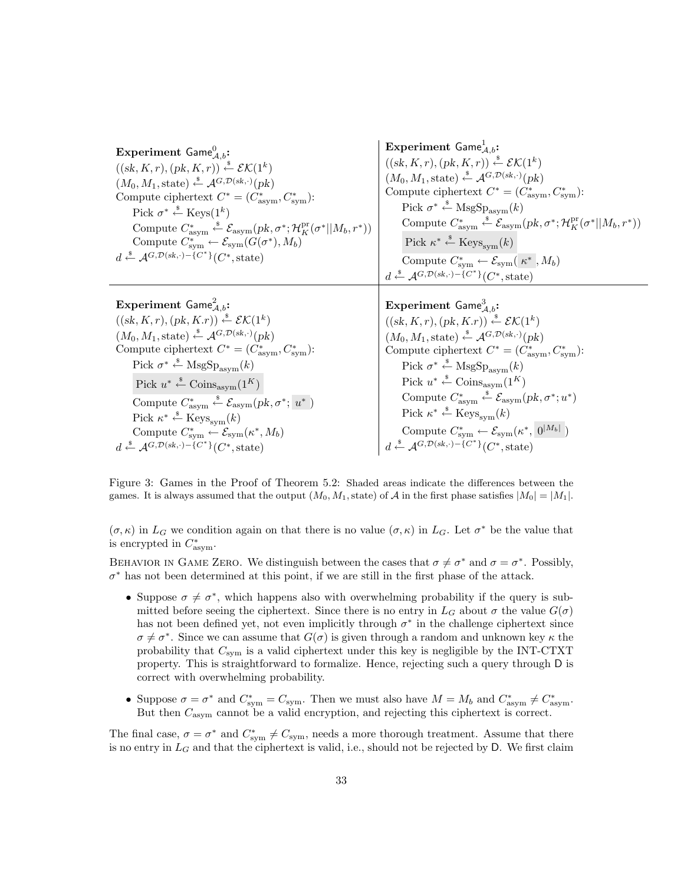| <b>Experiment Game</b> $_{A,b}^0$ :<br>$((sk, K, r), (pk, K, r)) \stackrel{1}{\leftarrow} \mathcal{EK}(1^k)$<br>$(M_0, M_1, \text{state}) \stackrel{\$}{\leftarrow} \mathcal{A}^{G, \mathcal{D}(sk, \cdot)}(pk)$<br>Compute ciphertext $C^* = (C^*_{\text{asym}}, C^*_{\text{sym}})$ :<br>Pick $\sigma^* \stackrel{\hspace{0.1em}\mathsf{\scriptscriptstyle\$}}{\leftarrow}$ Keys $(1^k)$<br>Compute $C^*_{\text{asym}} \overset{\hspace{0.1em}\mathsf{\scriptscriptstyle\$}}{\leftarrow} \mathcal{E}_{\text{asym}}(pk, \sigma^*; \mathcal{H}^{\text{pr}}_K(\sigma^*  M_b, r^*))$<br>Compute $C^*_{sym} \leftarrow \mathcal{E}_{sym}(G(\sigma^*), M_b)$<br>$d \stackrel{\$}{\leftarrow} \mathcal{A}^{G,\mathcal{D}(sk,\cdot)-\{C^*\}}(C^*,\text{state})$ | <b>Experiment</b> Game <sup>1</sup> <sub>A b</sub> :<br>$((sk, K, r), (pk, K, r)) \stackrel{\$}{\leftarrow} \mathcal{EK}(1^k)$<br>$(M_0, M_1, \text{state}) \stackrel{\$}{\leftarrow} \mathcal{A}^{G, \mathcal{D}(sk, \cdot)}(pk)$<br>Compute ciphertext $C^* = (C^*_{\text{asym}}, C^*_{\text{sym}})$ :<br>Pick $\sigma^* \stackrel{\text{*}}{\leftarrow} \text{MsgSp}_{\text{asym}}(k)$<br>Compute $C^*_{\text{asym}} \overset{\hspace{0.1em}\mathsf{\scriptscriptstyle\$}}{\leftarrow} \mathcal{E}_{\text{asym}}(pk, \sigma^*; \mathcal{H}_K^{\text{pr}}(\sigma^*  M_b, r^*))$<br>Pick $\kappa^* \stackrel{\hspace{0.1em}\mathsf{\scriptscriptstyle\$}}{\leftarrow} \operatorname{Keys}_{\operatorname{sym}}(k)$<br>Compute $C^*_{\text{sym}} \leftarrow \mathcal{E}_{\text{sym}}(\kappa^*, M_b)$<br>$d \stackrel{\$}{\leftarrow} \mathcal{A}^{G,\mathcal{D}(sk,\cdot)-\{C^*\}}(C^*,\text{state})$ |
|----------------------------------------------------------------------------------------------------------------------------------------------------------------------------------------------------------------------------------------------------------------------------------------------------------------------------------------------------------------------------------------------------------------------------------------------------------------------------------------------------------------------------------------------------------------------------------------------------------------------------------------------------------------------------------------------------------------------------------------------------------|-------------------------------------------------------------------------------------------------------------------------------------------------------------------------------------------------------------------------------------------------------------------------------------------------------------------------------------------------------------------------------------------------------------------------------------------------------------------------------------------------------------------------------------------------------------------------------------------------------------------------------------------------------------------------------------------------------------------------------------------------------------------------------------------------------------------------------------------------------------------------------------------------------|
| <b>Experiment</b> Game <sub><math>A, b</math></sub> :                                                                                                                                                                                                                                                                                                                                                                                                                                                                                                                                                                                                                                                                                                    | <b>Experiment Game</b> $A_b$ :                                                                                                                                                                                                                                                                                                                                                                                                                                                                                                                                                                                                                                                                                                                                                                                                                                                                        |
| $((sk, K, r), (pk, K.r)) \stackrel{\$}{\leftarrow} \mathcal{E} \mathcal{K}(1^k)$                                                                                                                                                                                                                                                                                                                                                                                                                                                                                                                                                                                                                                                                         | $((sk, K, r), (pk, K.r)) \stackrel{\text{*}}{\leftarrow} \mathcal{EK}(1^k)$                                                                                                                                                                                                                                                                                                                                                                                                                                                                                                                                                                                                                                                                                                                                                                                                                           |
| $(M_0, M_1, \text{state}) \stackrel{\$}{\leftarrow} \mathcal{A}^{G, \mathcal{D}(sk, \cdot)}(pk)$                                                                                                                                                                                                                                                                                                                                                                                                                                                                                                                                                                                                                                                         | $(M_0, M_1, \text{state}) \overset{\$}{\leftarrow} \mathcal{A}^{G, \mathcal{D}(sk, \cdot)}(pk)$                                                                                                                                                                                                                                                                                                                                                                                                                                                                                                                                                                                                                                                                                                                                                                                                       |
| Compute ciphertext $C^* = (C^*_{\text{asym}}, C^*_{\text{sym}})$ :                                                                                                                                                                                                                                                                                                                                                                                                                                                                                                                                                                                                                                                                                       | Compute ciphertext $C^* = (C^*_{\text{asym}}, C^*_{\text{sym}})$ :                                                                                                                                                                                                                                                                                                                                                                                                                                                                                                                                                                                                                                                                                                                                                                                                                                    |
| Pick $\sigma^* \stackrel{\text{*}}{\leftarrow} \text{MsgSp}_{\text{asym}}(k)$                                                                                                                                                                                                                                                                                                                                                                                                                                                                                                                                                                                                                                                                            | Pick $\sigma^* \stackrel{\text{s}}{\leftarrow} \text{MsgSp}_{\text{asym}}(k)$                                                                                                                                                                                                                                                                                                                                                                                                                                                                                                                                                                                                                                                                                                                                                                                                                         |
| Pick $u^* \stackrel{\$}{\leftarrow} \text{Coins}_{\text{asym}}(1^K)$                                                                                                                                                                                                                                                                                                                                                                                                                                                                                                                                                                                                                                                                                     | Pick $u^* \stackrel{\$}{\leftarrow} \text{Coins}_{\text{asym}}(1^K)$                                                                                                                                                                                                                                                                                                                                                                                                                                                                                                                                                                                                                                                                                                                                                                                                                                  |
| Compute $C^*_{\text{asym}} \overset{\hspace{0.1em}\mathsf{\scriptscriptstyle\$}}{\leftarrow} \mathcal{E}_{\text{asym}}(pk, \sigma^*; u^*)$                                                                                                                                                                                                                                                                                                                                                                                                                                                                                                                                                                                                               | Compute $C^*_{\text{asym}} \overset{\hspace{0.1em}\mathsf{\scriptscriptstyle\$}}{\leftarrow} \mathcal{E}_{\text{asym}}(pk, \sigma^*; u^*)$                                                                                                                                                                                                                                                                                                                                                                                                                                                                                                                                                                                                                                                                                                                                                            |
| Pick $\kappa^* \overset{\text{\sf{*}}}{\leftarrow}$ Keys <sub>sym</sub> $(k)$                                                                                                                                                                                                                                                                                                                                                                                                                                                                                                                                                                                                                                                                            | Pick $\kappa^* \overset{\hspace{0.1em}\mathsf{\scriptscriptstyle\$}}{\leftarrow}$ Keys <sub>sym</sub> $(k)$                                                                                                                                                                                                                                                                                                                                                                                                                                                                                                                                                                                                                                                                                                                                                                                           |
| Compute $C^*_{\text{sym}} \leftarrow \mathcal{E}_{\text{sym}}(\kappa^*, M_b)$                                                                                                                                                                                                                                                                                                                                                                                                                                                                                                                                                                                                                                                                            | Compute $C^*_{\text{sym}} \leftarrow \mathcal{E}_{\text{sym}}(\kappa^*, 0^{ M_b })$                                                                                                                                                                                                                                                                                                                                                                                                                                                                                                                                                                                                                                                                                                                                                                                                                   |
| $d \stackrel{\$}{\leftarrow} \mathcal{A}^{G,\mathcal{D}(sk,\cdot)-\{C^*\}}(C^*,\text{state})$                                                                                                                                                                                                                                                                                                                                                                                                                                                                                                                                                                                                                                                            | $d \stackrel{\$}{\leftarrow} \mathcal{A}^{G,\mathcal{D}(\text{sk},\cdot) - \{C^*\}}(C^*, \text{state})$                                                                                                                                                                                                                                                                                                                                                                                                                                                                                                                                                                                                                                                                                                                                                                                               |

Figure 3: Games in the Proof of Theorem 5.2: Shaded areas indicate the differences between the games. It is always assumed that the output  $(M_0, M_1, \text{state})$  of A in the first phase satisfies  $|M_0| = |M_1|$ .

 $(\sigma, \kappa)$  in  $L_G$  we condition again on that there is no value  $(\sigma, \kappa)$  in  $L_G$ . Let  $\sigma^*$  be the value that is encrypted in  $C^*_{\text{asym}}$ .

BEHAVIOR IN GAME ZERO. We distinguish between the cases that  $\sigma \neq \sigma^*$  and  $\sigma = \sigma^*$ . Possibly,  $\sigma^*$  has not been determined at this point, if we are still in the first phase of the attack.

- Suppose  $\sigma \neq \sigma^*$ , which happens also with overwhelming probability if the query is submitted before seeing the ciphertext. Since there is no entry in  $L_G$  about  $\sigma$  the value  $G(\sigma)$ has not been defined yet, not even implicitly through  $\sigma^*$  in the challenge ciphertext since  $\sigma \neq \sigma^*$ . Since we can assume that  $G(\sigma)$  is given through a random and unknown key  $\kappa$  the probability that  $C_{sym}$  is a valid ciphertext under this key is negligible by the INT-CTXT property. This is straightforward to formalize. Hence, rejecting such a query through D is correct with overwhelming probability.
- Suppose  $\sigma = \sigma^*$  and  $C^*_{sym} = C_{sym}$ . Then we must also have  $M = M_b$  and  $C^*_{\text{asym}} \neq C^*_{\text{asym}}$ . But then  $C_{\text{asym}}$  cannot be a valid encryption, and rejecting this ciphertext is correct.

The final case,  $\sigma = \sigma^*$  and  $C^*_{sym} \neq C_{sym}$ , needs a more thorough treatment. Assume that there is no entry in  $L_G$  and that the ciphertext is valid, i.e., should not be rejected by  $D$ . We first claim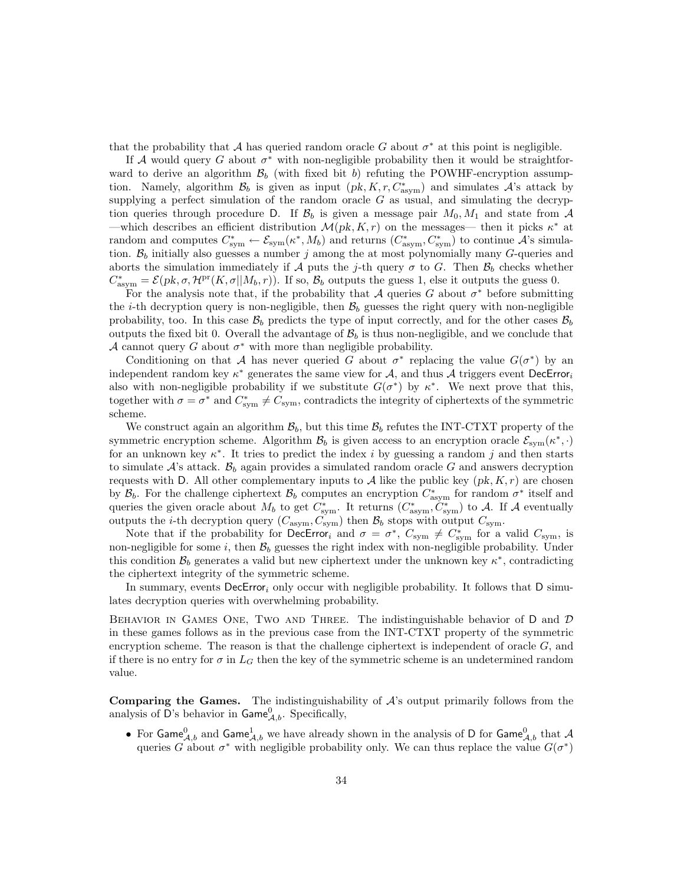that the probability that A has queried random oracle G about  $\sigma^*$  at this point is negligible.

If A would query G about  $\sigma^*$  with non-negligible probability then it would be straightforward to derive an algorithm  $\mathcal{B}_b$  (with fixed bit b) refuting the POWHF-encryption assumption. Namely, algorithm  $\mathcal{B}_b$  is given as input  $(pk, K, r, C^*_{\text{asym}})$  and simulates  $\mathcal{A}$ 's attack by supplying a perfect simulation of the random oracle  $G$  as usual, and simulating the decryption queries through procedure D. If  $\mathcal{B}_b$  is given a message pair  $M_0, M_1$  and state from A —which describes an efficient distribution  $\mathcal{M}(pk, K, r)$  on the messages— then it picks  $\kappa^*$  at random and computes  $C^*_{sym} \leftarrow \mathcal{E}_{sym}(\kappa^*, M_b)$  and returns  $(C^*_{asym}, C^*_{sym})$  to continue A's simulation.  $B_b$  initially also guesses a number j among the at most polynomially many G-queries and aborts the simulation immediately if A puts the j-th query  $\sigma$  to G. Then  $\mathcal{B}_b$  checks whether  $C^*_{\text{asym}} = \mathcal{E}(pk, \sigma, \mathcal{H}^{\text{pr}}(K, \sigma||M_b, r)).$  If so,  $\mathcal{B}_b$  outputs the guess 1, else it outputs the guess 0.

For the analysis note that, if the probability that A queries G about  $\sigma^*$  before submitting the *i*-th decryption query is non-negligible, then  $B_b$  guesses the right query with non-negligible probability, too. In this case  $\mathcal{B}_b$  predicts the type of input correctly, and for the other cases  $\mathcal{B}_b$ outputs the fixed bit 0. Overall the advantage of  $B_b$  is thus non-negligible, and we conclude that A cannot query G about  $\sigma^*$  with more than negligible probability.

Conditioning on that A has never queried G about  $\sigma^*$  replacing the value  $G(\sigma^*)$  by an independent random key  $\kappa^*$  generates the same view for  $\mathcal{A}$ , and thus  $\mathcal{A}$  triggers event DecError<sub>i</sub> also with non-negligible probability if we substitute  $G(\sigma^*)$  by  $\kappa^*$ . We next prove that this, together with  $\sigma = \sigma^*$  and  $C^*_{sym} \neq C_{sym}$ , contradicts the integrity of ciphertexts of the symmetric scheme.

We construct again an algorithm  $\mathcal{B}_b$ , but this time  $\mathcal{B}_b$  refutes the INT-CTXT property of the symmetric encryption scheme. Algorithm  $\mathcal{B}_b$  is given access to an encryption oracle  $\mathcal{E}_{sym}(\kappa^*,\cdot)$ for an unknown key  $\kappa^*$ . It tries to predict the index i by guessing a random j and then starts to simulate  $\mathcal{A}$ 's attack.  $\mathcal{B}_b$  again provides a simulated random oracle G and answers decryption requests with D. All other complementary inputs to A like the public key  $(pk, K, r)$  are chosen by  $\mathcal{B}_b$ . For the challenge ciphertext  $\mathcal{B}_b$  computes an encryption  $C^*_{\text{asym}}$  for random  $\sigma^*$  itself and queries the given oracle about  $M_b$  to get  $C^*_{sym}$ . It returns  $(C^*_{asym}, \check{C}^*_{sym})$  to A. If A eventually outputs the *i*-th decryption query  $(C_{\text{asym}}, \widetilde{C}_{\text{sym}})$  then  $\mathcal{B}_b$  stops with output  $C_{\text{sym}}$ .

Note that if the probability for DecError<sub>i</sub> and  $\sigma = \sigma^*$ ,  $C_{sym} \neq C_{sym}^*$  for a valid  $C_{sym}$ , is non-negligible for some i, then  $\mathcal{B}_b$  guesses the right index with non-negligible probability. Under this condition  $\mathcal{B}_b$  generates a valid but new ciphertext under the unknown key  $\kappa^*$ , contradicting the ciphertext integrity of the symmetric scheme.

In summary, events DecError<sub>i</sub> only occur with negligible probability. It follows that D simulates decryption queries with overwhelming probability.

BEHAVIOR IN GAMES ONE, TWO AND THREE. The indistinguishable behavior of  $D$  and  $D$ in these games follows as in the previous case from the INT-CTXT property of the symmetric encryption scheme. The reason is that the challenge ciphertext is independent of oracle  $G$ , and if there is no entry for  $\sigma$  in  $L_G$  then the key of the symmetric scheme is an undetermined random value.

**Comparing the Games.** The indistinguishability of  $A$ 's output primarily follows from the analysis of D's behavior in  $\mathsf{Game}^0_{\mathcal{A},b}$ . Specifically,

• For Game $_{\mathcal{A},b}^{0}$  and Game $_{\mathcal{A},b}^{1}$  we have already shown in the analysis of D for Game $_{\mathcal{A},b}^{0}$  that  $\mathcal{A}$ queries G about  $\sigma^*$  with negligible probability only. We can thus replace the value  $G(\sigma^*)$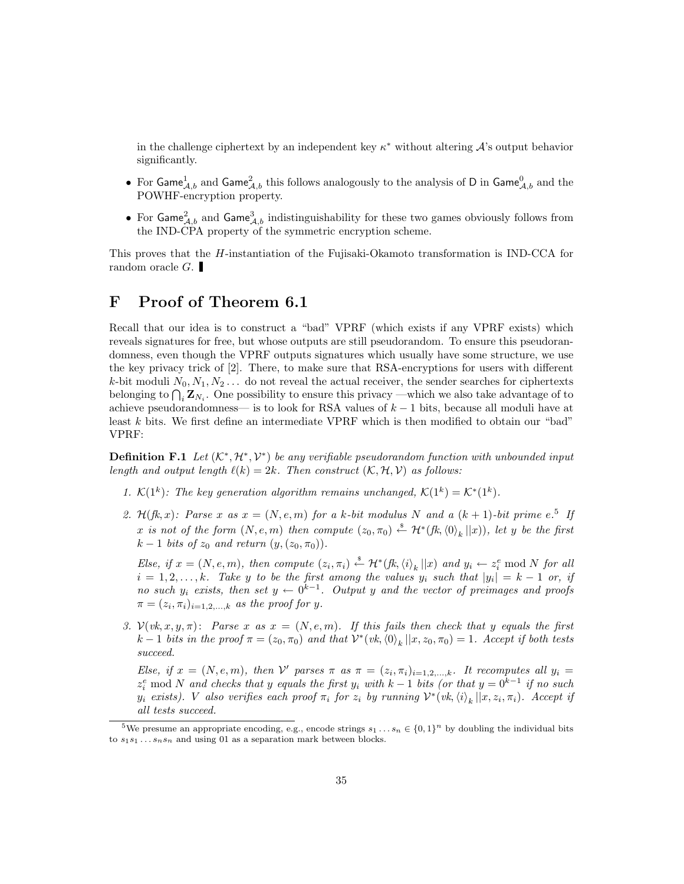in the challenge ciphertext by an independent key  $\kappa^*$  without altering  $\mathcal{A}$ 's output behavior significantly.

- For  $\mathsf{Game}^1_{\mathcal{A},b}$  and  $\mathsf{Game}^2_{\mathcal{A},b}$  this follows analogously to the analysis of D in  $\mathsf{Game}^0_{\mathcal{A},b}$  and the POWHF-encryption property.
- For  $\textsf{Game}^2_{\mathcal{A},b}$  and  $\textsf{Game}^3_{\mathcal{A},b}$  indistinguishability for these two games obviously follows from the IND-CPA property of the symmetric encryption scheme.

This proves that the H-instantiation of the Fujisaki-Okamoto transformation is IND-CCA for random oracle G.

# F Proof of Theorem 6.1

Recall that our idea is to construct a "bad" VPRF (which exists if any VPRF exists) which reveals signatures for free, but whose outputs are still pseudorandom. To ensure this pseudorandomness, even though the VPRF outputs signatures which usually have some structure, we use the key privacy trick of [2]. There, to make sure that RSA-encryptions for users with different k-bit moduli  $N_0, N_1, N_2, \ldots$  do not reveal the actual receiver, the sender searches for ciphertexts belonging to  $\bigcap_i \mathbf{Z}_{N_i}$ . One possibility to ensure this privacy —which we also take advantage of to achieve pseudorandomness— is to look for RSA values of  $k-1$  bits, because all moduli have at least k bits. We first define an intermediate VPRF which is then modified to obtain our "bad" VPRF:

**Definition F.1** Let  $(K^*, \mathcal{H}^*, \mathcal{V}^*)$  be any verifiable pseudorandom function with unbounded input length and output length  $\ell(k) = 2k$ . Then construct  $(K, \mathcal{H}, \mathcal{V})$  as follows:

- 1.  $\mathcal{K}(1^k)$ : The key generation algorithm remains unchanged,  $\mathcal{K}(1^k) = \mathcal{K}^*(1^k)$ .
- 2.  $\mathcal{H}(f k, x)$ : Parse x as  $x = (N, e, m)$  for a k-bit modulus N and a  $(k + 1)$ -bit prime e.<sup>5</sup> If x is not of the form  $(N, e, m)$  then compute  $(z_0, \pi_0) \stackrel{\text{s}}{\leftarrow} H^*(f k, \langle 0 \rangle_k || x))$ , let y be the first k – 1 bits of  $z_0$  and return  $(y, (z_0, \pi_0))$ .

Else, if  $x = (N, e, m)$ , then compute  $(z_i, \pi_i) \stackrel{\text{s}}{\leftarrow} \mathcal{H}^*(f k, \langle i \rangle_k || x)$  and  $y_i \leftarrow z_i^e \mod N$  for all  $i = 1, 2, \ldots, k$ . Take y to be the first among the values  $y_i$  such that  $|y_i| = k - 1$  or, if no such  $y_i$  exists, then set  $y \leftarrow 0^{k-1}$ . Output y and the vector of preimages and proofs  $\pi = (z_i, \pi_i)_{i=1,2,\ldots,k}$  as the proof for y.

3.  $V(wk, x, y, \pi)$ : Parse x as  $x = (N, e, m)$ . If this fails then check that y equals the first k – 1 bits in the proof  $\pi = (z_0, \pi_0)$  and that  $\mathcal{V}^*(vk, \langle 0 \rangle_k || x, z_0, \pi_0) = 1$ . Accept if both tests succeed.

Else, if  $x = (N, e, m)$ , then V' parses  $\pi$  as  $\pi = (z_i, \pi_i)_{i=1,2,...,k}$ . It recomputes all  $y_i =$  $z_i^e$  mod N and checks that y equals the first y<sub>i</sub> with k – 1 bits (or that  $y = 0^{k-1}$  if no such  $y_i$  exists). V also verifies each proof  $\pi_i$  for  $z_i$  by running  $\mathcal{V}^*(vk, \langle i \rangle_k || x, z_i, \pi_i)$ . Accept if all tests succeed.

<sup>&</sup>lt;sup>5</sup>We presume an appropriate encoding, e.g., encode strings  $s_1 \ldots s_n \in \{0,1\}^n$  by doubling the individual bits to  $s_1s_1 \ldots s_ns_n$  and using 01 as a separation mark between blocks.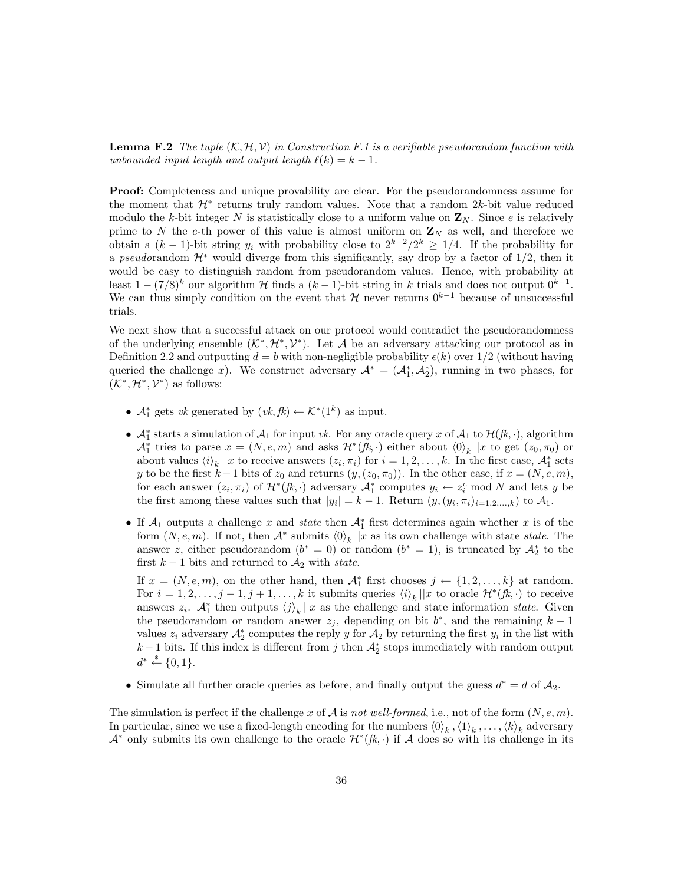**Lemma F.2** The tuple  $(K, \mathcal{H}, \mathcal{V})$  in Construction F.1 is a verifiable pseudorandom function with unbounded input length and output length  $\ell(k) = k - 1$ .

Proof: Completeness and unique provability are clear. For the pseudorandomness assume for the moment that  $\mathcal{H}^*$  returns truly random values. Note that a random 2k-bit value reduced modulo the k-bit integer N is statistically close to a uniform value on  $\mathbf{Z}_N$ . Since e is relatively prime to N the e-th power of this value is almost uniform on  $\mathbf{Z}_N$  as well, and therefore we obtain a  $(k-1)$ -bit string  $y_i$  with probability close to  $2^{k-2}/2^k \geq 1/4$ . If the probability for a *pseudorandom*  $\mathcal{H}^*$  would diverge from this significantly, say drop by a factor of 1/2, then it would be easy to distinguish random from pseudorandom values. Hence, with probability at least  $1 - (7/8)^k$  our algorithm H finds a  $(k-1)$ -bit string in k trials and does not output  $0^{k-1}$ . We can thus simply condition on the event that H never returns  $0^{k-1}$  because of unsuccessful trials.

We next show that a successful attack on our protocol would contradict the pseudorandomness of the underlying ensemble  $(K^*, \mathcal{H}^*, \mathcal{V}^*)$ . Let A be an adversary attacking our protocol as in Definition 2.2 and outputting  $d = b$  with non-negligible probability  $\epsilon(k)$  over 1/2 (without having queried the challenge x). We construct adversary  $A^* = (A_1^*, A_2^*)$ , running in two phases, for  $(\mathcal{K}^*, \mathcal{H}^*, \mathcal{V}^*)$  as follows:

- $\mathcal{A}_1^*$  gets vk generated by  $(vk, fk) \leftarrow \mathcal{K}^*(1^k)$  as input.
- $\mathcal{A}_1^*$  starts a simulation of  $\mathcal{A}_1$  for input vk. For any oracle query x of  $\mathcal{A}_1$  to  $\mathcal{H}(f k, \cdot)$ , algorithm  $\mathcal{A}_1^*$  tries to parse  $x = (N, e, m)$  and asks  $\mathcal{H}^*(f k, \cdot)$  either about  $\langle 0 \rangle_k || x$  to get  $(z_0, \pi_0)$  or about values  $\langle i \rangle_k || x$  to receive answers  $(z_i, \pi_i)$  for  $i = 1, 2, ..., k$ . In the first case,  $\mathcal{A}_1^*$  sets y to be the first  $k-1$  bits of  $z_0$  and returns  $(y,(z_0,\pi_0))$ . In the other case, if  $x=(N,e,m)$ , for each answer  $(z_i, \pi_i)$  of  $\mathcal{H}^*(f k, \cdot)$  adversary  $\mathcal{A}_1^*$  computes  $y_i \leftarrow z_i^e \mod N$  and lets y be the first among these values such that  $|y_i| = k - 1$ . Return  $(y_i, (y_i, \pi_i)_{i=1,2,\dots,k})$  to  $\mathcal{A}_1$ .
- If  $A_1$  outputs a challenge x and *state* then  $A_1^*$  first determines again whether x is of the form  $(N, e, m)$ . If not, then  $\mathcal{A}^*$  submits  $\langle 0 \rangle_k ||x$  as its own challenge with state state. The answer z, either pseudorandom  $(b^* = 0)$  or random  $(b^* = 1)$ , is truncated by  $\mathcal{A}_2^*$  to the first  $k-1$  bits and returned to  $\mathcal{A}_2$  with state.

If  $x = (N, e, m)$ , on the other hand, then  $\mathcal{A}_{1}^{*}$  first chooses  $j \leftarrow \{1, 2, ..., k\}$  at random. For  $i = 1, 2, \ldots, j - 1, j + 1, \ldots, k$  it submits queries  $\langle i \rangle_k || x$  to oracle  $\mathcal{H}^*(f k, \cdot)$  to receive answers  $z_i$ .  $\mathcal{A}_1^*$  then outputs  $\langle j \rangle_k || x$  as the challenge and state information state. Given the pseudorandom or random answer  $z_j$ , depending on bit  $b^*$ , and the remaining  $k-1$ values  $z_i$  adversary  $\mathcal{A}_2^*$  computes the reply y for  $\mathcal{A}_2$  by returning the first  $y_i$  in the list with  $k-1$  bits. If this index is different from j then  $\mathcal{A}_2^*$  stops immediately with random output  $d^* \stackrel{\$}{\leftarrow} \{0,1\}.$ 

• Simulate all further oracle queries as before, and finally output the guess  $d^* = d$  of  $\mathcal{A}_2$ .

The simulation is perfect if the challenge x of A is not well-formed, i.e., not of the form  $(N, e, m)$ . In particular, since we use a fixed-length encoding for the numbers  $\langle 0 \rangle_k$ ,  $\langle 1 \rangle_k$ , ...,  $\langle k \rangle_k$  adversary  $\mathcal{A}^*$  only submits its own challenge to the oracle  $\mathcal{H}^*(f k, \cdot)$  if A does so with its challenge in its